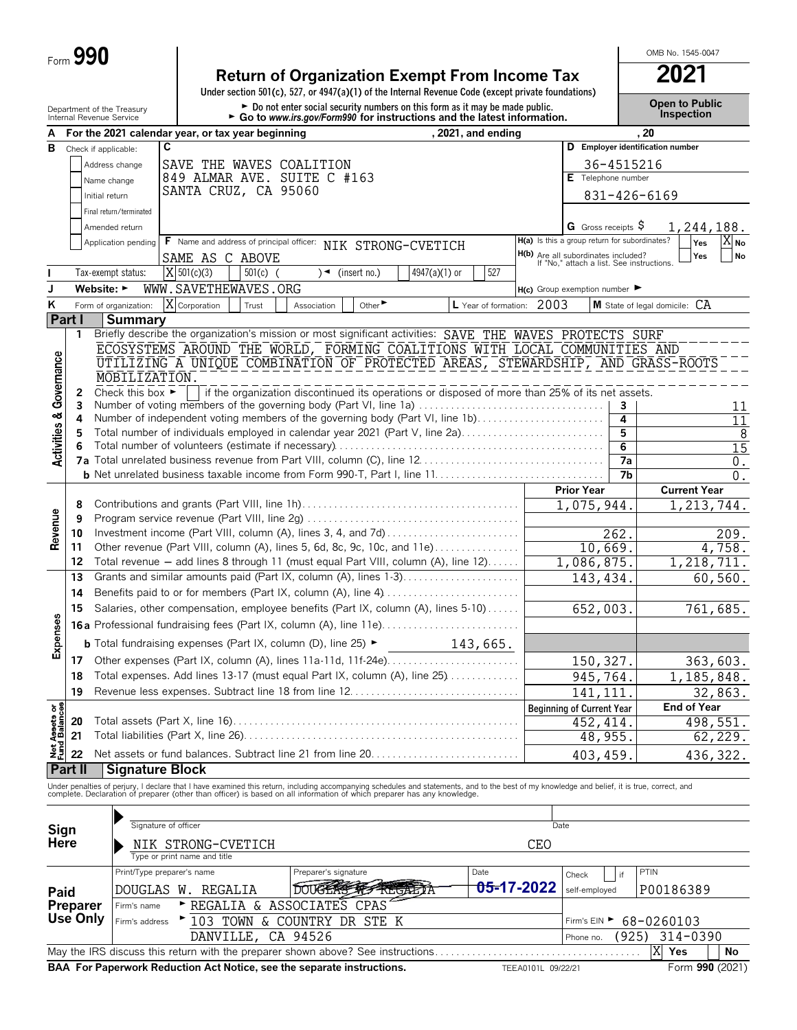# **Return of Organization Exempt From Income Tax 2021**

**Under section 501(c), 527, or 4947(a)(1) of the Internal Revenue Code (except private foundations)**

Department of the Treasury **Depen to Public**<br>Internal Revenue Service **Depen to Public**<br>Internal Revenue Service **Content of the Condomy Alternation and the latest information. The propertion of the propertion** 

OMB No. 1545-0047

|                                        |                                        | internal Revenue Service                                                                         |   |                                                                                          | $\blacktriangleright$ Go to www.irs.gov/Form990 for instructions and the latest information.                                                                                                                                      |                 |                           |                    |                                                                                  |                 |                                  |                  |  |  |  |  |
|----------------------------------------|----------------------------------------|--------------------------------------------------------------------------------------------------|---|------------------------------------------------------------------------------------------|-----------------------------------------------------------------------------------------------------------------------------------------------------------------------------------------------------------------------------------|-----------------|---------------------------|--------------------|----------------------------------------------------------------------------------|-----------------|----------------------------------|------------------|--|--|--|--|
| А                                      |                                        |                                                                                                  |   | For the 2021 calendar year, or tax year beginning                                        |                                                                                                                                                                                                                                   |                 | , 2021, and ending        |                    |                                                                                  |                 | . 20                             |                  |  |  |  |  |
| в                                      |                                        | Check if applicable:                                                                             | C |                                                                                          |                                                                                                                                                                                                                                   |                 |                           |                    |                                                                                  |                 | D Employer identification number |                  |  |  |  |  |
|                                        |                                        | Address change                                                                                   |   | SAVE THE WAVES COALITION                                                                 |                                                                                                                                                                                                                                   |                 |                           |                    |                                                                                  | 36-4515216      |                                  |                  |  |  |  |  |
|                                        |                                        | Name change                                                                                      |   | 849 ALMAR AVE. SUITE C #163                                                              |                                                                                                                                                                                                                                   |                 |                           |                    | E Telephone number                                                               |                 |                                  |                  |  |  |  |  |
|                                        | SANTA CRUZ, CA 95060<br>Initial return |                                                                                                  |   |                                                                                          |                                                                                                                                                                                                                                   |                 |                           |                    |                                                                                  |                 | 831-426-6169                     |                  |  |  |  |  |
|                                        | Final return/terminated                |                                                                                                  |   |                                                                                          |                                                                                                                                                                                                                                   |                 |                           |                    |                                                                                  |                 |                                  |                  |  |  |  |  |
|                                        |                                        | Amended return                                                                                   |   |                                                                                          |                                                                                                                                                                                                                                   |                 |                           |                    | G Gross receipts \$                                                              |                 | 1,244,188.                       |                  |  |  |  |  |
|                                        |                                        | Application pending                                                                              |   | <b>F</b> Name and address of principal officer:                                          |                                                                                                                                                                                                                                   |                 |                           |                    | H(a) Is this a group return for subordinates?                                    |                 | X No<br>Yes                      |                  |  |  |  |  |
|                                        |                                        |                                                                                                  |   | SAME AS C ABOVE                                                                          | NIK STRONG-CVETICH                                                                                                                                                                                                                |                 |                           |                    | H(b) Are all subordinates included?<br>If "No," attach a list. See instructions. |                 | Yes<br>No                        |                  |  |  |  |  |
|                                        |                                        | Tax-exempt status:                                                                               |   | X 501(c)(3)<br>$501(c)$ (                                                                | $\sqrt{ }$ (insert no.)                                                                                                                                                                                                           | $4947(a)(1)$ or | 527                       |                    |                                                                                  |                 |                                  |                  |  |  |  |  |
| J                                      |                                        | Website: ►                                                                                       |   | WWW.SAVETHEWAVES.ORG                                                                     |                                                                                                                                                                                                                                   |                 |                           |                    |                                                                                  |                 |                                  |                  |  |  |  |  |
| Κ                                      |                                        | Form of organization:                                                                            |   | X Corporation<br>Trust                                                                   | Other <sup>&gt;</sup><br>Association                                                                                                                                                                                              |                 | L Year of formation: 2003 |                    | $H(c)$ Group exemption number $\blacktriangleright$                              |                 | M State of legal domicile: CA    |                  |  |  |  |  |
|                                        | Part I                                 |                                                                                                  |   |                                                                                          |                                                                                                                                                                                                                                   |                 |                           |                    |                                                                                  |                 |                                  |                  |  |  |  |  |
|                                        | 1                                      | <b>Summary</b>                                                                                   |   |                                                                                          | Briefly describe the organization's mission or most significant activities: SAVE THE WAVES PROTECTS SURF                                                                                                                          |                 |                           |                    |                                                                                  |                 |                                  |                  |  |  |  |  |
|                                        |                                        |                                                                                                  |   |                                                                                          | ECOSYSTEMS AROUND THE WORLD, FORMING COALITIONS WITH LOCAL COMMUNITIES AND                                                                                                                                                        |                 |                           |                    |                                                                                  |                 |                                  |                  |  |  |  |  |
| Activities & Governance                |                                        |                                                                                                  |   |                                                                                          |                                                                                                                                                                                                                                   |                 |                           |                    |                                                                                  |                 |                                  |                  |  |  |  |  |
|                                        |                                        | UTILIZING A UNIQUE COMBINATION OF PROTECTED AREAS, STEWARDSHIP, AND GRASS-ROOTS<br>MOBILIZATION. |   |                                                                                          |                                                                                                                                                                                                                                   |                 |                           |                    |                                                                                  |                 |                                  |                  |  |  |  |  |
|                                        | 2                                      | Check this box $\blacktriangleright$                                                             |   |                                                                                          | if the organization discontinued its operations or disposed of more than 25% of its net assets.                                                                                                                                   |                 |                           |                    |                                                                                  |                 |                                  |                  |  |  |  |  |
|                                        | 3                                      |                                                                                                  |   |                                                                                          | Number of voting members of the governing body (Part VI, line 1a)                                                                                                                                                                 |                 |                           |                    |                                                                                  | 3               |                                  | 11               |  |  |  |  |
|                                        | 4                                      |                                                                                                  |   |                                                                                          | Number of independent voting members of the governing body (Part VI, line 1b)                                                                                                                                                     |                 |                           |                    |                                                                                  | 4               |                                  | $\overline{11}$  |  |  |  |  |
|                                        | 5                                      | Total number of individuals employed in calendar year 2021 (Part V, line 2a)                     |   |                                                                                          |                                                                                                                                                                                                                                   |                 |                           |                    |                                                                                  | 5               |                                  | 8                |  |  |  |  |
|                                        | 6                                      |                                                                                                  |   |                                                                                          |                                                                                                                                                                                                                                   |                 |                           |                    |                                                                                  | 6               |                                  | $\overline{15}$  |  |  |  |  |
|                                        |                                        |                                                                                                  |   |                                                                                          |                                                                                                                                                                                                                                   |                 |                           |                    |                                                                                  | 7a              |                                  | $0$ .            |  |  |  |  |
|                                        |                                        |                                                                                                  |   |                                                                                          |                                                                                                                                                                                                                                   |                 |                           |                    |                                                                                  | $\overline{7}b$ |                                  | $\overline{0}$ . |  |  |  |  |
|                                        |                                        |                                                                                                  |   |                                                                                          |                                                                                                                                                                                                                                   |                 |                           |                    | <b>Prior Year</b>                                                                |                 | <b>Current Year</b>              |                  |  |  |  |  |
|                                        | 8                                      |                                                                                                  |   |                                                                                          |                                                                                                                                                                                                                                   |                 |                           |                    | 1,075,944                                                                        |                 | $\overline{1,213},744.$          |                  |  |  |  |  |
| Revenue                                | 9                                      |                                                                                                  |   |                                                                                          |                                                                                                                                                                                                                                   |                 |                           |                    |                                                                                  |                 |                                  |                  |  |  |  |  |
|                                        | 10                                     |                                                                                                  |   |                                                                                          | Investment income (Part VIII, column (A), lines 3, 4, and 7d)                                                                                                                                                                     |                 |                           |                    |                                                                                  | 262.            | 209.                             |                  |  |  |  |  |
|                                        | 11                                     |                                                                                                  |   |                                                                                          | Other revenue (Part VIII, column (A), lines 5, 6d, 8c, 9c, 10c, and 11e)                                                                                                                                                          |                 |                           |                    | 10,669.                                                                          |                 | 4,758.                           |                  |  |  |  |  |
|                                        | 12                                     |                                                                                                  |   |                                                                                          | Total revenue - add lines 8 through 11 (must equal Part VIII, column (A), line 12)                                                                                                                                                |                 |                           |                    | 1,086,875.                                                                       |                 | 1,218,711.                       |                  |  |  |  |  |
|                                        | 13                                     |                                                                                                  |   |                                                                                          | Grants and similar amounts paid (Part IX, column (A), lines 1-3)                                                                                                                                                                  |                 |                           |                    | 143,434                                                                          |                 | 60, 560.                         |                  |  |  |  |  |
|                                        | 14                                     | Benefits paid to or for members (Part IX, column (A), line 4)                                    |   |                                                                                          |                                                                                                                                                                                                                                   |                 |                           |                    |                                                                                  |                 |                                  |                  |  |  |  |  |
|                                        | 15                                     | Salaries, other compensation, employee benefits (Part IX, column (A), lines 5-10)                |   |                                                                                          |                                                                                                                                                                                                                                   |                 |                           |                    |                                                                                  | 652,003.        | 761,685.                         |                  |  |  |  |  |
| Expenses                               |                                        |                                                                                                  |   |                                                                                          |                                                                                                                                                                                                                                   |                 |                           |                    |                                                                                  |                 |                                  |                  |  |  |  |  |
|                                        |                                        |                                                                                                  |   | <b>b</b> Total fundraising expenses (Part IX, column (D), line 25) $\blacktriangleright$ |                                                                                                                                                                                                                                   |                 |                           |                    |                                                                                  |                 |                                  |                  |  |  |  |  |
|                                        | 17                                     |                                                                                                  |   |                                                                                          |                                                                                                                                                                                                                                   |                 |                           |                    | 150, 327.                                                                        |                 | 363,603.                         |                  |  |  |  |  |
|                                        | 18                                     |                                                                                                  |   |                                                                                          | Total expenses. Add lines 13-17 (must equal Part IX, column (A), line 25)                                                                                                                                                         |                 |                           |                    | 945,764.                                                                         |                 | 1,185,848.                       |                  |  |  |  |  |
|                                        | 19                                     |                                                                                                  |   |                                                                                          |                                                                                                                                                                                                                                   |                 |                           |                    | 141, 111                                                                         |                 | 32,863.                          |                  |  |  |  |  |
|                                        |                                        |                                                                                                  |   |                                                                                          |                                                                                                                                                                                                                                   |                 |                           |                    | <b>Beginning of Current Year</b>                                                 |                 | End of Year                      |                  |  |  |  |  |
|                                        | 20                                     |                                                                                                  |   |                                                                                          |                                                                                                                                                                                                                                   |                 |                           |                    | 452, 414                                                                         |                 | 498,551.                         |                  |  |  |  |  |
|                                        | 21                                     |                                                                                                  |   |                                                                                          |                                                                                                                                                                                                                                   |                 |                           |                    | 48,955.                                                                          |                 | 62, 229.                         |                  |  |  |  |  |
| <b>Net Assets or<br/>Fund Balances</b> | 22                                     |                                                                                                  |   |                                                                                          |                                                                                                                                                                                                                                   |                 |                           |                    | 403,459                                                                          |                 | 436, 322.                        |                  |  |  |  |  |
|                                        | Part II                                | <b>Signature Block</b>                                                                           |   |                                                                                          |                                                                                                                                                                                                                                   |                 |                           |                    |                                                                                  |                 |                                  |                  |  |  |  |  |
|                                        |                                        |                                                                                                  |   |                                                                                          | Under penalties of perjury, I declare that I have examined this return, including accompanying schedules and statements, and to the best of my knowledge and belief, it is true, correct, and<br>complete. Declaration of prepare |                 |                           |                    |                                                                                  |                 |                                  |                  |  |  |  |  |
|                                        |                                        |                                                                                                  |   |                                                                                          |                                                                                                                                                                                                                                   |                 |                           |                    |                                                                                  |                 |                                  |                  |  |  |  |  |
|                                        |                                        |                                                                                                  |   |                                                                                          |                                                                                                                                                                                                                                   |                 |                           |                    |                                                                                  |                 |                                  |                  |  |  |  |  |
| Sign                                   |                                        | Signature of officer                                                                             |   |                                                                                          |                                                                                                                                                                                                                                   |                 |                           | Date               |                                                                                  |                 |                                  |                  |  |  |  |  |
| Here                                   |                                        |                                                                                                  |   | NIK STRONG-CVETICH                                                                       |                                                                                                                                                                                                                                   |                 |                           | <b>CEO</b>         |                                                                                  |                 |                                  |                  |  |  |  |  |
|                                        |                                        |                                                                                                  |   | Type or print name and title                                                             |                                                                                                                                                                                                                                   |                 |                           |                    |                                                                                  |                 |                                  |                  |  |  |  |  |
|                                        |                                        | Print/Type preparer's name                                                                       |   |                                                                                          | Preparer's signature                                                                                                                                                                                                              |                 | Date                      |                    | Check                                                                            | if              | PTIN                             |                  |  |  |  |  |
| Paid                                   |                                        |                                                                                                  |   | DOUGLAS W. REGALIA                                                                       | DOUGLAS TO REGALLA                                                                                                                                                                                                                |                 | <del>05-</del> 17-2022    |                    | self-employed                                                                    |                 | P00186389                        |                  |  |  |  |  |
|                                        | Preparer                               | Firm's name                                                                                      |   | REGALIA & ASSOCIATES CPAS                                                                |                                                                                                                                                                                                                                   |                 |                           |                    |                                                                                  |                 |                                  |                  |  |  |  |  |
|                                        | <b>Use Only</b>                        | Firm's address                                                                                   |   |                                                                                          | ▶ 103 TOWN & COUNTRY DR STE K                                                                                                                                                                                                     |                 |                           |                    | Firm's $EIN$                                                                     |                 | 68-0260103                       |                  |  |  |  |  |
|                                        |                                        |                                                                                                  |   | DANVILLE, CA 94526                                                                       |                                                                                                                                                                                                                                   |                 |                           |                    | Phone no.                                                                        | (925)           | $314 - 0390$                     |                  |  |  |  |  |
|                                        |                                        |                                                                                                  |   |                                                                                          | May the IRS discuss this return with the preparer shown above? See instructions                                                                                                                                                   |                 |                           |                    |                                                                                  |                 | X<br>Yes<br>No                   |                  |  |  |  |  |
|                                        |                                        |                                                                                                  |   |                                                                                          | BAA For Paperwork Reduction Act Notice, see the separate instructions.                                                                                                                                                            |                 |                           | TEEA0101L 09/22/21 |                                                                                  |                 | Form 990 (2021)                  |                  |  |  |  |  |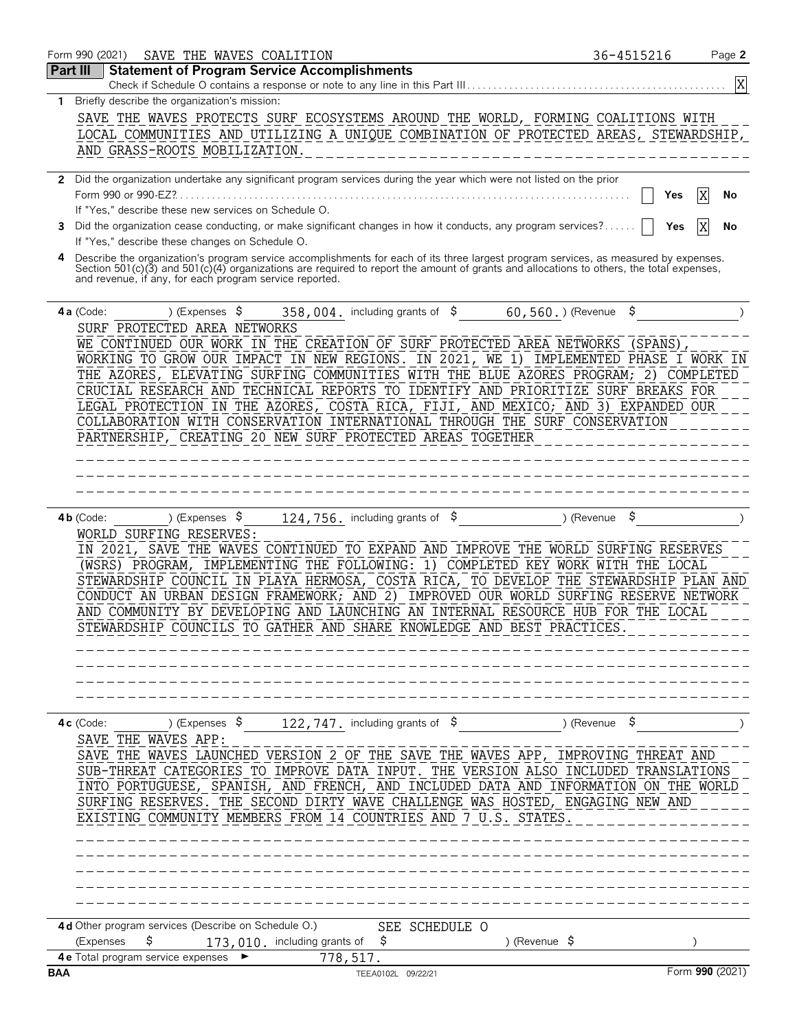|              | Form 990 (2021)<br>SAVE THE WAVES COALITION<br><b>Statement of Program Service Accomplishments</b><br>Part III                                                                                      | 36-4515216                  |         | Page 2          |
|--------------|-----------------------------------------------------------------------------------------------------------------------------------------------------------------------------------------------------|-----------------------------|---------|-----------------|
|              | Check if Schedule O contains a response or note to any line in this Part III                                                                                                                        |                             |         |                 |
| 1.           | Briefly describe the organization's mission:                                                                                                                                                        |                             |         |                 |
|              | SAVE THE WAVES PROTECTS SURF ECOSYSTEMS AROUND THE WORLD, FORMING COALITIONS WITH                                                                                                                   |                             |         |                 |
|              | LOCAL COMMUNITIES AND UTILIZING A UNIQUE COMBINATION OF PROTECTED AREAS, STEWARDSHIP,                                                                                                               |                             |         |                 |
|              | AND GRASS-ROOTS MOBILIZATION.                                                                                                                                                                       |                             |         |                 |
|              |                                                                                                                                                                                                     |                             |         |                 |
| $\mathbf{2}$ | Did the organization undertake any significant program services during the year which were not listed on the prior<br>Form 990 or 990-EZ?.                                                          |                             |         |                 |
|              | If "Yes," describe these new services on Schedule O.                                                                                                                                                |                             | Yes     | No              |
| 3            | Did the organization cease conducting, or make significant changes in how it conducts, any program services?                                                                                        |                             |         | No              |
|              | If "Yes," describe these changes on Schedule O.                                                                                                                                                     |                             | Yes     |                 |
|              | Describe the organization's program service accomplishments for each of its three largest program services, as measured by expenses.                                                                |                             |         |                 |
|              | Section 501(c)(3) and 501(c)(4) organizations are required to report the amount of grants and allocations to others, the total expenses,<br>and revenue, if any, for each program service reported. |                             |         |                 |
|              | ) (Expenses $\sqrt{5}$<br>$4a$ (Code:<br>358, 004. including grants of $$$<br>60,560.) (Revenue                                                                                                     | Ş                           |         |                 |
|              | SURF PROTECTED AREA NETWORKS                                                                                                                                                                        |                             |         |                 |
|              | WE CONTINUED OUR WORK IN THE CREATION OF SURF PROTECTED AREA NETWORKS                                                                                                                               |                             | (SPANS) |                 |
|              | WORKING TO GROW OUR IMPACT IN NEW REGIONS. IN 2021,<br>WE 1)<br>THE AZORES, ELEVATING SURFING COMMUNITIES WITH THE BLUE AZORES PROGRAM;                                                             | IMPLEMENTED PHASE I WORK IN | 2)      | COMPLETED       |
|              | CRUCIAL RESEARCH AND TECHNICAL REPORTS TO IDENTIFY AND PRIORITIZE SURF BREAKS FOR                                                                                                                   |                             |         |                 |
|              | LEGAL PROTECTION IN THE AZORES, COSTA RICA, FIJI, AND MEXICO; AND 3) EXPANDED OUR                                                                                                                   |                             |         |                 |
|              | COLLABORATION WITH CONSERVATION INTERNATIONAL THROUGH THE SURF CONSERVATION                                                                                                                         |                             |         |                 |
|              | PARTNERSHIP, CREATING 20 NEW SURF PROTECTED AREAS TOGETHER                                                                                                                                          |                             |         |                 |
|              |                                                                                                                                                                                                     |                             |         |                 |
|              |                                                                                                                                                                                                     |                             |         |                 |
|              |                                                                                                                                                                                                     |                             |         |                 |
|              |                                                                                                                                                                                                     |                             |         |                 |
|              | ) (Expenses \$<br>124, 756. including grants of $\frac{1}{5}$<br>$4b$ (Code:                                                                                                                        | ) (Revenue                  |         |                 |
|              | WORLD SURFING RESERVES:                                                                                                                                                                             |                             |         |                 |
|              | IN 2021, SAVE THE WAVES CONTINUED TO EXPAND AND IMPROVE THE WORLD SURFING RESERVES                                                                                                                  |                             |         |                 |
|              | (WSRS) PROGRAM, IMPLEMENTING THE FOLLOWING: 1) COMPLETED KEY WORK WITH THE LOCAL                                                                                                                    |                             |         |                 |
|              | STEWARDSHIP COUNCIL IN PLAYA HERMOSA, COSTA RICA, TO DEVELOP THE STEWARDSHIP PLAN AND                                                                                                               |                             |         |                 |
|              | CONDUCT AN URBAN DESIGN FRAMEWORK; AND 2) IMPROVED OUR WORLD SURFING RESERVE NETWORK                                                                                                                |                             |         |                 |
|              | AND COMMUNITY BY DEVELOPING AND LAUNCHING AN INTERNAL RESOURCE HUB FOR THE LOCAL                                                                                                                    |                             |         |                 |
|              | STEWARDSHIP COUNCILS TO GATHER AND SHARE KNOWLEDGE AND BEST PRACTICES.                                                                                                                              |                             |         |                 |
|              |                                                                                                                                                                                                     |                             |         |                 |
|              |                                                                                                                                                                                                     |                             |         |                 |
|              |                                                                                                                                                                                                     |                             |         |                 |
|              |                                                                                                                                                                                                     |                             |         |                 |
|              |                                                                                                                                                                                                     |                             |         |                 |
|              | 122, 747. including grants of \$<br>) (Expenses \$<br>$4c$ (Code:                                                                                                                                   | ) (Revenue $\frac{1}{2}$    |         |                 |
|              | SAVE THE WAVES APP:                                                                                                                                                                                 |                             |         |                 |
|              | SAVE THE WAVES LAUNCHED VERSION 2 OF THE SAVE THE WAVES APP, IMPROVING THREAT AND                                                                                                                   |                             |         |                 |
|              | SUB-THREAT CATEGORIES TO IMPROVE DATA INPUT. THE VERSION ALSO INCLUDED TRANSLATIONS                                                                                                                 |                             |         |                 |
|              | INTO PORTUGUESE, SPANISH, AND FRENCH, AND INCLUDED DATA AND INFORMATION ON THE WORLD                                                                                                                |                             |         |                 |
|              | SURFING RESERVES. THE SECOND DIRTY WAVE CHALLENGE WAS HOSTED, ENGAGING NEW AND                                                                                                                      |                             |         |                 |
|              | EXISTING COMMUNITY MEMBERS FROM 14 COUNTRIES AND 7 U.S. STATES.                                                                                                                                     |                             |         |                 |
|              | _______________                                                                                                                                                                                     |                             |         |                 |
|              |                                                                                                                                                                                                     |                             |         |                 |
|              |                                                                                                                                                                                                     |                             |         |                 |
|              |                                                                                                                                                                                                     |                             |         |                 |
|              |                                                                                                                                                                                                     |                             |         |                 |
|              | 4d Other program services (Describe on Schedule O.)<br>SEE SCHEDULE O<br>\$<br>(Expenses<br>173,010. including grants of<br>) (Revenue $\sqrt{5}$<br>Ş.                                             |                             |         |                 |
|              | 4 e Total program service expenses<br>778,517.                                                                                                                                                      |                             |         |                 |
|              |                                                                                                                                                                                                     |                             |         | Form 990 (2021) |
| <b>BAA</b>   | TEEA0102L 09/22/21                                                                                                                                                                                  |                             |         |                 |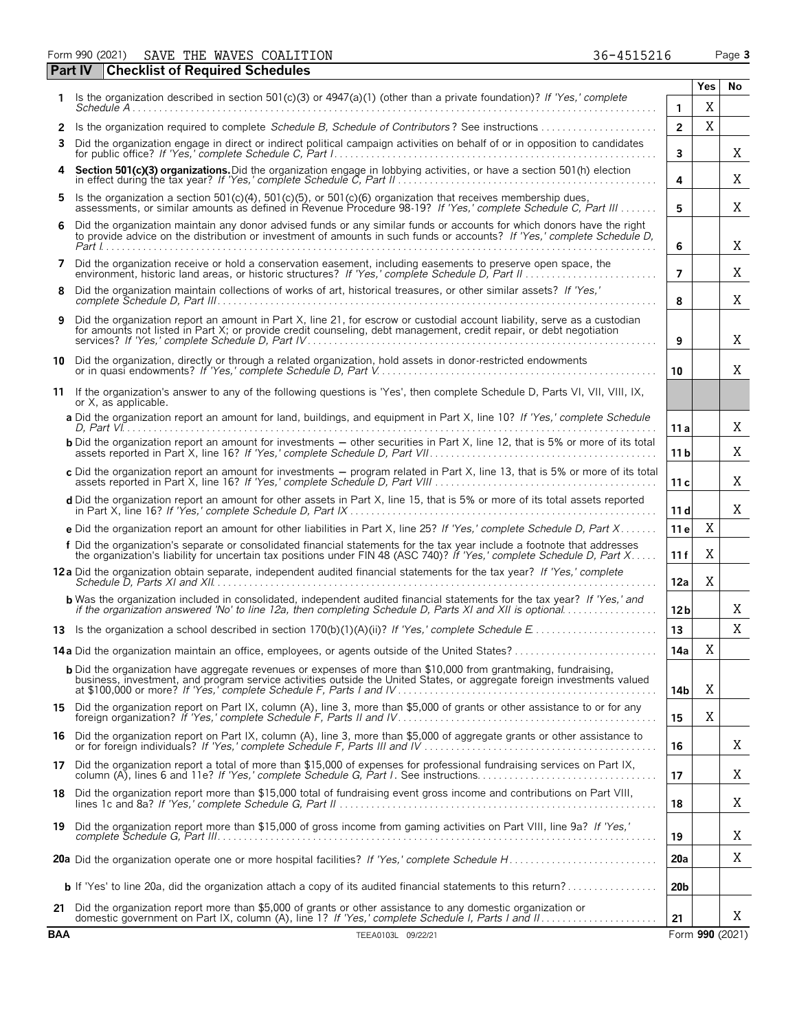Form 990 (2021) SAVE THE WAVES COALITION **1898 120 COALITION** 36-4515216 Page 3 **Part IV Checklist of Required Schedules**

|              | oncennation nequired ochicudica                                                                                                                                                                                                                     |                  | <b>Yes</b> | No                   |
|--------------|-----------------------------------------------------------------------------------------------------------------------------------------------------------------------------------------------------------------------------------------------------|------------------|------------|----------------------|
|              | Is the organization described in section 501(c)(3) or $4947(a)(1)$ (other than a private foundation)? If 'Yes,' complete                                                                                                                            | 1                | Χ          |                      |
| $\mathbf{2}$ | Is the organization required to complete Schedule B. Schedule of Contributors? See instructions                                                                                                                                                     | $\overline{2}$   | X          |                      |
| 3            | Did the organization engage in direct or indirect political campaign activities on behalf of or in opposition to candidates                                                                                                                         | 3                |            | Χ                    |
| 4            | Section 501(c)(3) organizations. Did the organization engage in lobbying activities, or have a section 501(h) election                                                                                                                              | 4                |            | Χ                    |
| 5            | Is the organization a section 501(c)(4), 501(c)(5), or 501(c)(6) organization that receives membership dues,<br>assessments, or similar amounts as defined in Revenue Procedure 98-19? If 'Yes,' complete Schedule C, Part III                      | 5                |            | Χ                    |
| 6            | Did the organization maintain any donor advised funds or any similar funds or accounts for which donors have the right<br>to provide advice on the distribution or investment of amounts in such funds or accounts? If 'Yes,' complete Schedule D,  | 6                |            | Χ                    |
| 7            | Did the organization receive or hold a conservation easement, including easements to preserve open space, the                                                                                                                                       | $\overline{7}$   |            | Χ                    |
| 8            | Did the organization maintain collections of works of art, historical treasures, or other similar assets? If 'Yes,'                                                                                                                                 | 8                |            | Χ                    |
| 9            | Did the organization report an amount in Part X, line 21, for escrow or custodial account liability, serve as a custodian<br>for amounts not listed in Part X; or provide credit counseling, debt management, credit repair, or debt negotiation    | 9                |            | Χ                    |
|              | 10 Did the organization, directly or through a related organization, hold assets in donor-restricted endowments                                                                                                                                     | 10               |            | X                    |
| 11           | If the organization's answer to any of the following questions is 'Yes', then complete Schedule D, Parts VI, VII, VIII, IX,<br>or X, as applicable.                                                                                                 |                  |            |                      |
|              | a Did the organization report an amount for land, buildings, and equipment in Part X, line 10? If 'Yes,' complete Schedule                                                                                                                          | 11a              |            | X                    |
|              | <b>b</b> Did the organization report an amount for investments - other securities in Part X, line 12, that is 5% or more of its total                                                                                                               | 11 b             |            | X                    |
|              | c Did the organization report an amount for investments - program related in Part X, line 13, that is 5% or more of its total                                                                                                                       | 11c              |            | X                    |
|              | d Did the organization report an amount for other assets in Part X, line 15, that is 5% or more of its total assets reported                                                                                                                        | 11d              |            | Χ                    |
|              | e Did the organization report an amount for other liabilities in Part X, line 25? If 'Yes,' complete Schedule D, Part X                                                                                                                             | 11 <sub>e</sub>  | X          |                      |
|              | f Did the organization's separate or consolidated financial statements for the tax year include a footnote that addresses<br>the organization's liability for uncertain tax positions under FIN 48 (ASC 740)? If 'Yes,' complete Schedule D, Part X | 11f              | X          |                      |
|              | 12a Did the organization obtain separate, independent audited financial statements for the tax year? If 'Yes,' complete                                                                                                                             | 12a              | Χ          |                      |
|              | <b>b</b> Was the organization included in consolidated, independent audited financial statements for the tax year? If 'Yes,' and<br>if the organization answered 'No' to line 12a, then completing Schedule D, Parts XI and XII is optional         | 12 <sub>b</sub>  |            | Χ                    |
|              |                                                                                                                                                                                                                                                     | 13               |            | X                    |
|              | 14a Did the organization maintain an office, employees, or agents outside of the United States?                                                                                                                                                     | 14a              | X          |                      |
|              | <b>b</b> Did the organization have aggregate revenues or expenses of more than \$10,000 from grantmaking, fundraising,<br>business, investment, and program service activities outside the United States, or aggregate foreign investments valued   | 14b              | Χ          |                      |
|              | 15 Did the organization report on Part IX, column (A), line 3, more than \$5,000 of grants or other assistance to or for any                                                                                                                        | 15               | X          |                      |
| 16           | Did the organization report on Part IX, column (A), line 3, more than \$5,000 of aggregate grants or other assistance to                                                                                                                            | 16               |            | Χ                    |
| 17           | Did the organization report a total of more than \$15,000 of expenses for professional fundraising services on Part IX,                                                                                                                             | 17               |            | X                    |
| 18           | Did the organization report more than \$15,000 total of fundraising event gross income and contributions on Part VIII,                                                                                                                              | 18               |            | Χ                    |
| 19           | Did the organization report more than \$15,000 of gross income from gaming activities on Part VIII, line 9a? If 'Yes,'                                                                                                                              |                  |            | Χ                    |
|              |                                                                                                                                                                                                                                                     | 19<br><b>20a</b> |            | Χ                    |
|              | <b>b</b> If 'Yes' to line 20a, did the organization attach a copy of its audited financial statements to this return?                                                                                                                               | 20 <sub>b</sub>  |            |                      |
|              | 21 Did the organization report more than \$5,000 of grants or other assistance to any domestic organization or                                                                                                                                      |                  |            |                      |
| <b>BAA</b>   | TEEA0103L 09/22/21                                                                                                                                                                                                                                  | 21               |            | Χ<br>Form 990 (2021) |
|              |                                                                                                                                                                                                                                                     |                  |            |                      |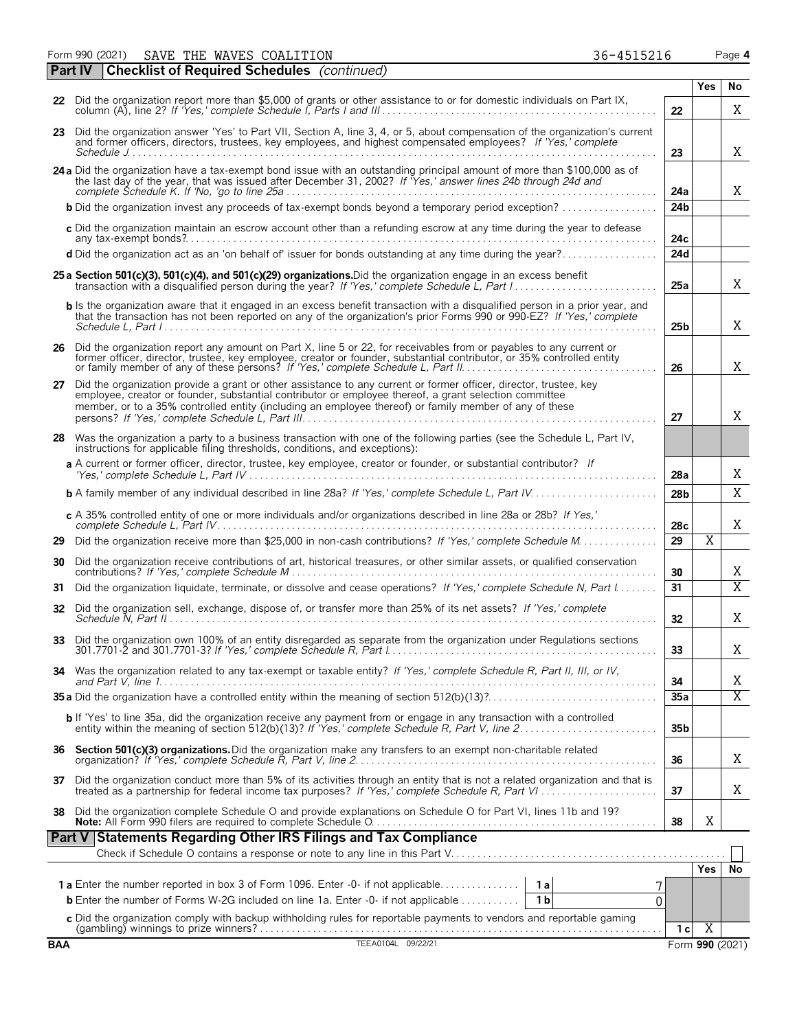Form 990 (2021) SAVE THE WAVES COALITION 36-4515216 Page **4** SAVE THE WAVES COALITION 36-4515216

**Part IV Checklist of Required Schedules** *(continued)*

| <b>BAA</b> |                                                                                                                                                                                                                                                                                                                                          |                       | Form 990 (2021) |                     |  |  |  |  |  |
|------------|------------------------------------------------------------------------------------------------------------------------------------------------------------------------------------------------------------------------------------------------------------------------------------------------------------------------------------------|-----------------------|-----------------|---------------------|--|--|--|--|--|
|            | (gambling) winnings to prize winners?<br>TEEA0104L 09/22/21                                                                                                                                                                                                                                                                              | 1 <sub>c</sub>        | $\overline{X}$  |                     |  |  |  |  |  |
|            | <b>b</b> Enter the number of Forms W-2G included on line 1a. Enter -0- if not applicable<br>0<br>c Did the organization comply with backup withholding rules for reportable payments to vendors and reportable qaming                                                                                                                    |                       |                 |                     |  |  |  |  |  |
|            | 7<br>1 <sub>b</sub>                                                                                                                                                                                                                                                                                                                      |                       |                 |                     |  |  |  |  |  |
|            |                                                                                                                                                                                                                                                                                                                                          |                       | Yes             | No                  |  |  |  |  |  |
|            |                                                                                                                                                                                                                                                                                                                                          |                       |                 |                     |  |  |  |  |  |
|            | Part V Statements Regarding Other IRS Filings and Tax Compliance                                                                                                                                                                                                                                                                         |                       |                 |                     |  |  |  |  |  |
|            | 38 Did the organization complete Schedule O and provide explanations on Schedule O for Part VI, lines 11b and 19?                                                                                                                                                                                                                        | 38                    | Χ               |                     |  |  |  |  |  |
|            | 37 Did the organization conduct more than 5% of its activities through an entity that is not a related organization and that is treated as a partnership for federal income tax purposes? If 'Yes,' complete Schedule R, Part                                                                                                            | 37                    |                 | Χ                   |  |  |  |  |  |
|            | 36 Section 501(c)(3) organizations. Did the organization make any transfers to an exempt non-charitable related                                                                                                                                                                                                                          | 36                    |                 | Χ                   |  |  |  |  |  |
|            | <b>b</b> If 'Yes' to line 35a, did the organization receive any payment from or engage in any transaction with a controlled entity within the meaning of section 512(b)(13)? If 'Yes,' complete Schedule R, Part V, line 2                                                                                                               | 35 <sub>b</sub>       |                 |                     |  |  |  |  |  |
|            |                                                                                                                                                                                                                                                                                                                                          | 35a                   |                 | Χ                   |  |  |  |  |  |
|            | 34 Was the organization related to any tax-exempt or taxable entity? If 'Yes,' complete Schedule R, Part II, III, or IV,                                                                                                                                                                                                                 | 34                    |                 | Χ                   |  |  |  |  |  |
| 33         | Did the organization own 100% of an entity disregarded as separate from the organization under Regulations sections                                                                                                                                                                                                                      | 33                    |                 | Χ                   |  |  |  |  |  |
| 32         | Did the organization sell, exchange, dispose of, or transfer more than 25% of its net assets? If 'Yes,' complete                                                                                                                                                                                                                         | 32                    |                 | Χ                   |  |  |  |  |  |
| 31         | Did the organization liquidate, terminate, or dissolve and cease operations? If 'Yes,' complete Schedule N, Part I                                                                                                                                                                                                                       |                       |                 |                     |  |  |  |  |  |
|            |                                                                                                                                                                                                                                                                                                                                          | 30<br>31              |                 | Χ<br>$\overline{X}$ |  |  |  |  |  |
| 30         | Did the organization receive contributions of art, historical treasures, or other similar assets, or qualified conservation                                                                                                                                                                                                              |                       |                 |                     |  |  |  |  |  |
|            |                                                                                                                                                                                                                                                                                                                                          | 28 <sub>c</sub><br>29 | $\overline{X}$  | Χ                   |  |  |  |  |  |
|            | c A 35% controlled entity of one or more individuals and/or organizations described in line 28a or 28b? If Yes,'                                                                                                                                                                                                                         |                       |                 |                     |  |  |  |  |  |
|            |                                                                                                                                                                                                                                                                                                                                          | 28 <sub>b</sub>       |                 | X                   |  |  |  |  |  |
|            | instructions for applicable filing thresholds, conditions, and exceptions):<br>a A current or former officer, director, trustee, key employee, creator or founder, or substantial contributor? If                                                                                                                                        | 28a                   |                 | Χ                   |  |  |  |  |  |
|            | 28 Was the organization a party to a business transaction with one of the following parties (see the Schedule L, Part IV,                                                                                                                                                                                                                | 27                    |                 |                     |  |  |  |  |  |
|            | 27 Did the organization provide a grant or other assistance to any current or former officer, director, trustee, key<br>employee, creator or founder, substantial contributor or employee thereof, a grant selection committee<br>member, or to a 35% controlled entity (including an employee thereof) or family member of any of these |                       |                 | Χ                   |  |  |  |  |  |
|            | 26 Did the organization report any amount on Part X, line 5 or 22, for receivables from or payables to any current or<br>former officer, director, trustee, key employee, creator or founder, substantial contributor, or 35% controlled entity                                                                                          | 26                    |                 | Χ                   |  |  |  |  |  |
|            | <b>b</b> Is the organization aware that it engaged in an excess benefit transaction with a disqualified person in a prior year, and<br>that the transaction has not been reported on any of the organization's prior Forms 990 or 990-EZ? If 'Yes,' complete                                                                             | 25 <sub>b</sub>       |                 | Χ                   |  |  |  |  |  |
|            | 25 a Section 501(c)(3), 501(c)(4), and 501(c)(29) organizations. Did the organization engage in an excess benefit                                                                                                                                                                                                                        | 25a                   |                 | X                   |  |  |  |  |  |
|            | d Did the organization act as an 'on behalf of' issuer for bonds outstanding at any time during the year?                                                                                                                                                                                                                                | 24d                   |                 |                     |  |  |  |  |  |
|            | c Did the organization maintain an escrow account other than a refunding escrow at any time during the year to defease                                                                                                                                                                                                                   | 24c                   |                 |                     |  |  |  |  |  |
|            | <b>b</b> Did the organization invest any proceeds of tax-exempt bonds beyond a temporary period exception?                                                                                                                                                                                                                               | 24 <sub>b</sub>       |                 |                     |  |  |  |  |  |
|            | 24 a Did the organization have a tax-exempt bond issue with an outstanding principal amount of more than \$100,000 as of<br>the last day of the year, that was issued after December 31, 2002? If Yes,' answer lines 24b through 24d and                                                                                                 | 24a                   |                 | X                   |  |  |  |  |  |
|            | 23 Did the organization answer 'Yes' to Part VII, Section A, line 3, 4, or 5, about compensation of the organization's current<br>and former officers, directors, trustees, key employees, and highest compensated employees? If 'Yes,' complete                                                                                         | 23                    |                 | X                   |  |  |  |  |  |
|            | 22 Did the organization report more than \$5,000 of grants or other assistance to or for domestic individuals on Part IX,                                                                                                                                                                                                                |                       |                 |                     |  |  |  |  |  |

**Yes No**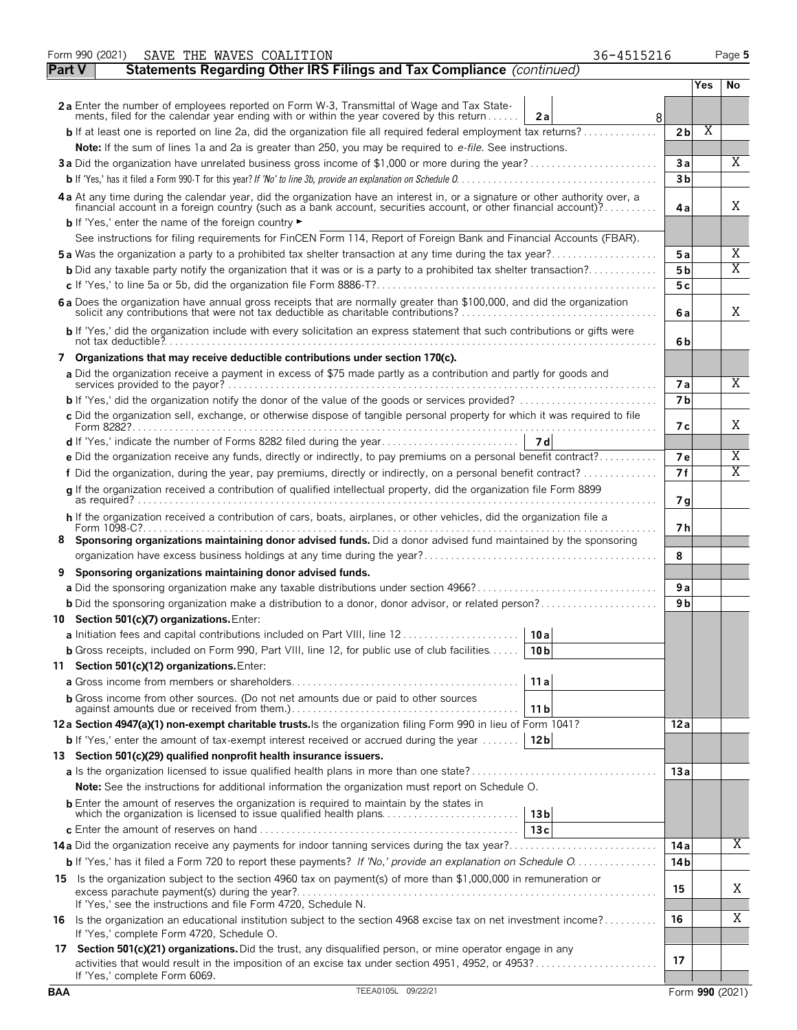|               | Form 990 (2021) | SAVE THE WAVES COALITION                                                                                                                                                                                                       | 36-4515216             |                      |     | Page 5                |
|---------------|-----------------|--------------------------------------------------------------------------------------------------------------------------------------------------------------------------------------------------------------------------------|------------------------|----------------------|-----|-----------------------|
| <b>Part V</b> |                 | Statements Regarding Other IRS Filings and Tax Compliance (continued)                                                                                                                                                          |                        |                      |     |                       |
|               |                 |                                                                                                                                                                                                                                |                        |                      | Yes | No                    |
|               |                 | 2a Enter the number of employees reported on Form W-3, Transmittal of Wage and Tax State-                                                                                                                                      |                        |                      |     |                       |
|               |                 | ments, filed for the calendar year ending with or within the year covered by this return                                                                                                                                       | 2a<br>8                |                      |     |                       |
|               |                 | <b>b</b> If at least one is reported on line 2a, did the organization file all required federal employment tax returns?                                                                                                        |                        | 2 <sub>b</sub>       | Χ   |                       |
|               |                 | Note: If the sum of lines 1a and 2a is greater than 250, you may be required to e-file. See instructions.                                                                                                                      |                        | 3a                   |     | Χ                     |
|               |                 |                                                                                                                                                                                                                                |                        | 3b                   |     |                       |
|               |                 |                                                                                                                                                                                                                                |                        |                      |     |                       |
|               |                 | 4a At any time during the calendar year, did the organization have an interest in, or a signature or other authority over, a financial account in a foreign country (such as a bank account, securities account, or other fina |                        | 4a                   |     | X                     |
|               |                 | <b>b</b> If 'Yes,' enter the name of the foreign country                                                                                                                                                                       |                        |                      |     |                       |
|               |                 | See instructions for filing requirements for FinCEN Form 114, Report of Foreign Bank and Financial Accounts (FBAR).                                                                                                            |                        |                      |     |                       |
|               |                 |                                                                                                                                                                                                                                |                        | 5 a                  |     | Χ                     |
|               |                 | <b>b</b> Did any taxable party notify the organization that it was or is a party to a prohibited tax shelter transaction?                                                                                                      |                        | 5 <sub>b</sub>       |     | Χ                     |
|               |                 |                                                                                                                                                                                                                                |                        | 5с                   |     |                       |
|               |                 | 6 a Does the organization have annual gross receipts that are normally greater than \$100,000, and did the organization solicit any contributions that were not tax deductible as charitable contributions?                    |                        | 6 a                  |     | X                     |
|               |                 | b If 'Yes,' did the organization include with every solicitation an express statement that such contributions or gifts were                                                                                                    |                        | 6b                   |     |                       |
|               |                 | 7 Organizations that may receive deductible contributions under section 170(c).                                                                                                                                                |                        |                      |     |                       |
|               |                 | a Did the organization receive a payment in excess of \$75 made partly as a contribution and partly for goods and                                                                                                              |                        |                      |     | X                     |
|               |                 |                                                                                                                                                                                                                                |                        | 7a<br>7 <sub>b</sub> |     |                       |
|               |                 | c Did the organization sell, exchange, or otherwise dispose of tangible personal property for which it was required to file                                                                                                    |                        |                      |     |                       |
|               |                 |                                                                                                                                                                                                                                |                        | 7 с                  |     | Χ                     |
|               |                 |                                                                                                                                                                                                                                |                        |                      |     |                       |
|               |                 | e Did the organization receive any funds, directly or indirectly, to pay premiums on a personal benefit contract?                                                                                                              |                        | <b>7e</b>            |     | Χ                     |
|               |                 |                                                                                                                                                                                                                                |                        | 7f                   |     | $\overline{\text{X}}$ |
|               |                 | g If the organization received a contribution of qualified intellectual property, did the organization file Form 8899                                                                                                          |                        | 7g                   |     |                       |
|               |                 | h If the organization received a contribution of cars, boats, airplanes, or other vehicles, did the organization file a                                                                                                        |                        | 7 h                  |     |                       |
|               |                 | 8 Sponsoring organizations maintaining donor advised funds. Did a donor advised fund maintained by the sponsoring                                                                                                              |                        |                      |     |                       |
|               |                 |                                                                                                                                                                                                                                |                        | 8                    |     |                       |
|               |                 | 9 Sponsoring organizations maintaining donor advised funds.                                                                                                                                                                    |                        | 9a                   |     |                       |
|               |                 | <b>b</b> Did the sponsoring organization make a distribution to a donor, donor advisor, or related person?                                                                                                                     |                        | 9 <sub>b</sub>       |     |                       |
|               |                 | 10 Section 501(c)(7) organizations. Enter:                                                                                                                                                                                     |                        |                      |     |                       |
|               |                 | a Initiation fees and capital contributions included on Part VIII, line 12                                                                                                                                                     | 10a                    |                      |     |                       |
|               |                 | <b>b</b> Gross receipts, included on Form 990, Part VIII, line 12, for public use of club facilities                                                                                                                           | 10 <sub>b</sub>        |                      |     |                       |
|               |                 | 11 Section 501(c)(12) organizations. Enter:                                                                                                                                                                                    |                        |                      |     |                       |
|               |                 |                                                                                                                                                                                                                                | 11a                    |                      |     |                       |
|               |                 | <b>b</b> Gross income from other sources. (Do not net amounts due or paid to other sources                                                                                                                                     |                        |                      |     |                       |
|               |                 |                                                                                                                                                                                                                                | 11 b                   |                      |     |                       |
|               |                 | 12a Section 4947(a)(1) non-exempt charitable trusts. Is the organization filing Form 990 in lieu of Form 1041?                                                                                                                 |                        | 12 a                 |     |                       |
|               |                 | <b>b</b> If 'Yes,' enter the amount of tax-exempt interest received or accrued during the year                                                                                                                                 | 12 <sub>b</sub>        |                      |     |                       |
|               |                 | 13 Section 501(c)(29) qualified nonprofit health insurance issuers.                                                                                                                                                            |                        | 13a                  |     |                       |
|               |                 | Note: See the instructions for additional information the organization must report on Schedule O.                                                                                                                              |                        |                      |     |                       |
|               |                 | <b>b</b> Enter the amount of reserves the organization is required to maintain by the states in                                                                                                                                |                        |                      |     |                       |
|               |                 |                                                                                                                                                                                                                                | 13 <sub>b</sub><br>13c |                      |     |                       |
|               |                 |                                                                                                                                                                                                                                |                        | 14 a                 |     | Χ                     |
|               |                 |                                                                                                                                                                                                                                |                        | 14 <sub>b</sub>      |     |                       |
| 15            |                 | Is the organization subject to the section 4960 tax on payment(s) of more than \$1,000,000 in remuneration or                                                                                                                  |                        |                      |     |                       |
|               |                 | If 'Yes,' see the instructions and file Form 4720, Schedule N.                                                                                                                                                                 |                        | 15                   |     | Χ                     |
|               |                 | 16 Is the organization an educational institution subject to the section 4968 excise tax on net investment income?<br>If 'Yes,' complete Form 4720, Schedule O.                                                                |                        | 16                   |     | Χ                     |
|               |                 | 17 Section 501(c)(21) organizations. Did the trust, any disqualified person, or mine operator engage in any                                                                                                                    |                        | 17                   |     |                       |
|               |                 | If 'Yes,' complete Form 6069.                                                                                                                                                                                                  |                        |                      |     |                       |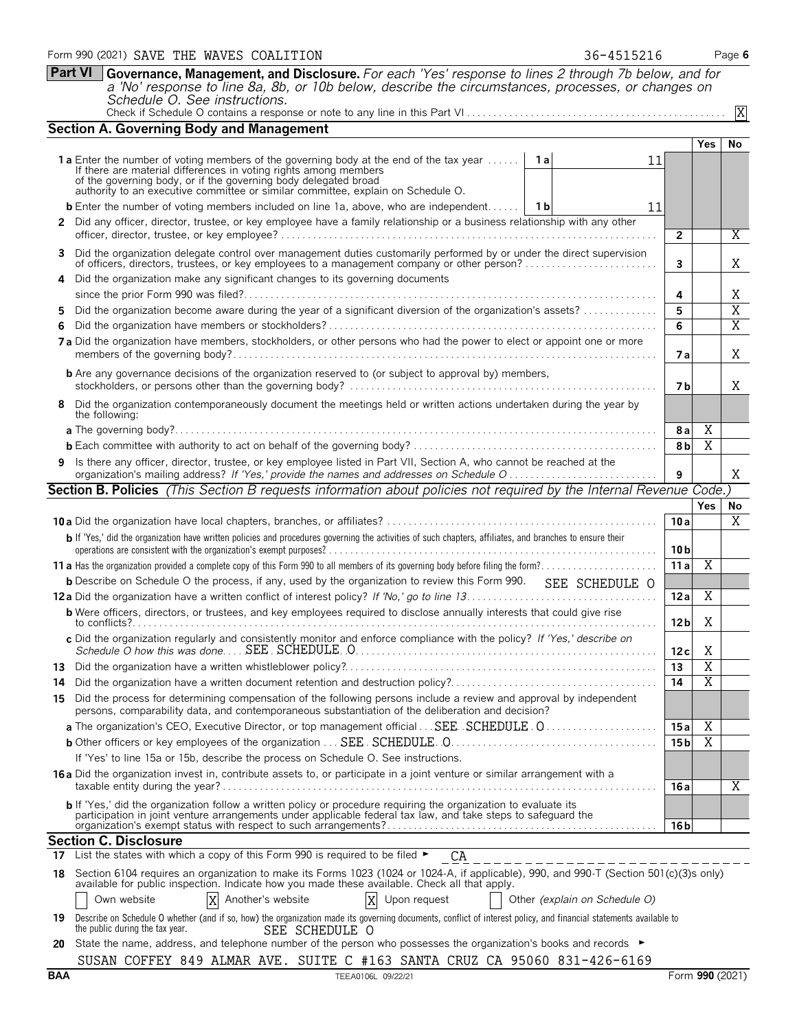|          | Form 990 (2021) SAVE THE WAVES COALITION<br>Part VI Governance, Management, and Disclosure. For each 'Yes' response to lines 2 through 7b below, and for                                                                                                                                                                        | 36-4515216 |                 |                | Page 6                |
|----------|---------------------------------------------------------------------------------------------------------------------------------------------------------------------------------------------------------------------------------------------------------------------------------------------------------------------------------|------------|-----------------|----------------|-----------------------|
|          | a 'No' response to line 8a, 8b, or 10b below, describe the circumstances, processes, or changes on                                                                                                                                                                                                                              |            |                 |                |                       |
|          | Schedule O. See instructions.                                                                                                                                                                                                                                                                                                   |            |                 |                |                       |
|          | <b>Section A. Governing Body and Management</b>                                                                                                                                                                                                                                                                                 |            |                 |                |                       |
|          |                                                                                                                                                                                                                                                                                                                                 |            |                 | Yes            | No                    |
|          | <b>1a</b> Enter the number of voting members of the governing body at the end of the tax year <b>1a</b><br>If there are material differences in voting rights among members<br>of the governing body, or if the governing body delegated broad authority to an executive committee or similar committee, explain on Schedule O. | 11         |                 |                |                       |
|          | <b>b</b> Enter the number of voting members included on line 1a, above, who are independent   1b                                                                                                                                                                                                                                | 11         |                 |                |                       |
| 2        | Did any officer, director, trustee, or key employee have a family relationship or a business relationship with any other                                                                                                                                                                                                        |            |                 |                |                       |
|          |                                                                                                                                                                                                                                                                                                                                 |            | $\overline{2}$  |                | Χ                     |
|          | Did the organization delegate control over management duties customarily performed by or under the direct supervision<br>of officers, directors, trustees, or key employees to a management company or other person?                                                                                                            |            | 3               |                | Χ                     |
| 4        | Did the organization make any significant changes to its governing documents                                                                                                                                                                                                                                                    |            | 4               |                | Χ                     |
| 5.       | Did the organization become aware during the year of a significant diversion of the organization's assets?                                                                                                                                                                                                                      |            | 5               |                | $\overline{X}$        |
| 6        |                                                                                                                                                                                                                                                                                                                                 |            | 6               |                | $\overline{\text{X}}$ |
|          | 7a Did the organization have members, stockholders, or other persons who had the power to elect or appoint one or more                                                                                                                                                                                                          |            | 7а              |                | X                     |
|          | <b>b</b> Are any governance decisions of the organization reserved to (or subject to approval by) members,                                                                                                                                                                                                                      |            | 7 <sub>b</sub>  |                | Χ                     |
| 8        | Did the organization contemporaneously document the meetings held or written actions undertaken during the year by<br>the following:                                                                                                                                                                                            |            |                 |                |                       |
|          |                                                                                                                                                                                                                                                                                                                                 |            | 8 a             | X              |                       |
|          |                                                                                                                                                                                                                                                                                                                                 |            | 8 <sub>b</sub>  | $\overline{X}$ |                       |
| 9        | Is there any officer, director, trustee, or key employee listed in Part VII, Section A, who cannot be reached at the                                                                                                                                                                                                            |            | 9               |                | X                     |
|          | Section B. Policies (This Section B requests information about policies not required by the Internal Revenue Code.)                                                                                                                                                                                                             |            |                 |                |                       |
|          |                                                                                                                                                                                                                                                                                                                                 |            | 10a             | Yes            | No<br>$\overline{X}$  |
|          | b If 'Yes,' did the organization have written policies and procedures governing the activities of such chapters, affiliates, and branches to ensure their                                                                                                                                                                       |            | 10 <sub>b</sub> |                |                       |
|          |                                                                                                                                                                                                                                                                                                                                 |            | 11 a            | Χ              |                       |
|          | <b>b</b> Describe on Schedule O the process, if any, used by the organization to review this Form 990.<br>SEE SCHEDULE O                                                                                                                                                                                                        |            |                 |                |                       |
|          |                                                                                                                                                                                                                                                                                                                                 |            | 12a             | X              |                       |
|          | <b>b</b> Were officers, directors, or trustees, and key employees required to disclose annually interests that could give rise                                                                                                                                                                                                  |            | 12 b            | Χ              |                       |
|          | c Did the organization regularly and consistently monitor and enforce compliance with the policy? If 'Yes,' describe on                                                                                                                                                                                                         |            | 12c             | Χ              |                       |
|          |                                                                                                                                                                                                                                                                                                                                 |            | 13              | X              |                       |
|          |                                                                                                                                                                                                                                                                                                                                 |            |                 | X              |                       |
|          | Did the organization have a written document retention and destruction policy?<br>Did the process for determining compensation of the following persons include a review and approval by independent                                                                                                                            |            | 14              |                |                       |
|          | persons, comparability data, and contemporaneous substantiation of the deliberation and decision?                                                                                                                                                                                                                               |            |                 |                |                       |
|          | a The organization's CEO, Executive Director, or top management official SEE. SCHEDULE 0                                                                                                                                                                                                                                        |            | 15a             | X              |                       |
|          | If 'Yes' to line 15a or 15b, describe the process on Schedule O. See instructions.                                                                                                                                                                                                                                              |            | 15 <sub>b</sub> | X              |                       |
| 14<br>15 | 16 a Did the organization invest in, contribute assets to, or participate in a joint venture or similar arrangement with a                                                                                                                                                                                                      |            | 16 a            |                | Χ                     |

17 List the states with which a copy of this Form 990 is required to be filed  $\blacktriangleright$  $C_A$ 

18 Section 6104 requires an organization to make its Forms 1023 (1024 or 1024-A, if applicable), 990, and 990-T (Section 501(c)(3)s only)<br>available for public inspection. Indicate how you made these available. Check all th Own website  $\boxed{X}$  Another's website  $\boxed{X}$  Upon request  $\boxed{O}$  Other *(explain on Schedule O)* Г Another's website

| the public during the tax year. | SEE SCHEDULE O | <b>19</b> Describe on Schedule O whether (and if so, how) the organization made its governing documents, conflict of interest policy, and financial statements available to |
|---------------------------------|----------------|-----------------------------------------------------------------------------------------------------------------------------------------------------------------------------|
|                                 |                |                                                                                                                                                                             |

**20** State the name, address, and telephone number of the person who possesses the organization's books and records ► SUSAN COFFEY 849 ALMAR AVE. SUITE C #163 SANTA CRUZ CA 95060 831-426-6169

| ۰.<br>×<br>v |
|--------------|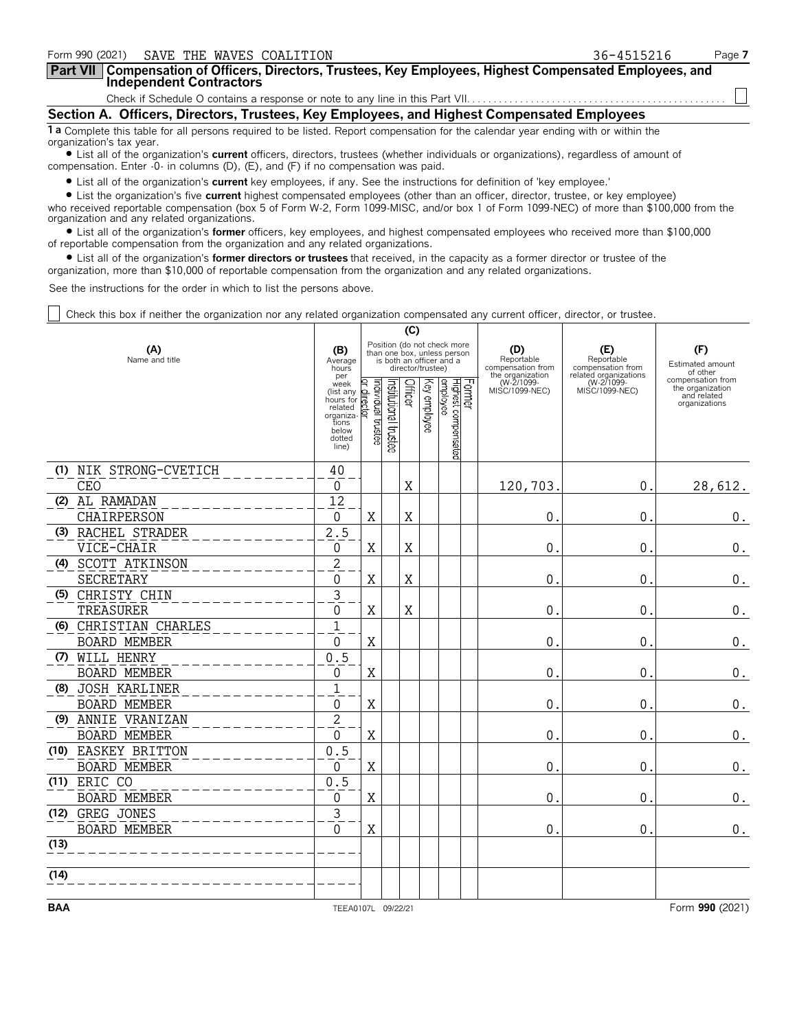| Form 990 (2021) SAVE THE WAVES COALITION                                                                                                                                                                                                                                                             | 36-4515216 | Page 7 |  |  |  |  |  |  |  |
|------------------------------------------------------------------------------------------------------------------------------------------------------------------------------------------------------------------------------------------------------------------------------------------------------|------------|--------|--|--|--|--|--|--|--|
| Part VII   Compensation of Officers, Directors, Trustees, Key Employees, Highest Compensated Employees, and<br><b>Independent Contractors</b>                                                                                                                                                        |            |        |  |  |  |  |  |  |  |
|                                                                                                                                                                                                                                                                                                      |            |        |  |  |  |  |  |  |  |
| Section A. Officers, Directors, Trustees, Key Employees, and Highest Compensated Employees                                                                                                                                                                                                           |            |        |  |  |  |  |  |  |  |
| 1 a Complete this table for all persons required to be listed. Report compensation for the calendar year ending with or within the<br>organization's tax year.<br>I ict all of the organization's current officers directors trustees (whether individuals or organizations) regardless of amount of |            |        |  |  |  |  |  |  |  |

? List all of the organization's **current** officers, directors, trustees (whether individuals or organizations), regardless of amount of compensation. Enter -0- in columns (D), (E), and (F) if no compensation was paid.

? List all of the organization's **current** key employees, if any. See the instructions for definition of 'key employee.'

? List the organization's five **current** highest compensated employees (other than an officer, director, trustee, or key employee) who received reportable compensation (box 5 of Form W-2, Form 1099-MISC, and/or box 1 of Form 1099-NEC) of more than \$100,000 from the organization and any related organizations.

? List all of the organization's **former** officers, key employees, and highest compensated employees who received more than \$100,000 of reportable compensation from the organization and any related organizations.

? List all of the organization's **former directors or trustees** that received, in the capacity as a former director or trustee of the organization, more than \$10,000 of reportable compensation from the organization and any related organizations.

See the instructions for the order in which to list the persons above.

Check this box if neither the organization nor any related organization compensated any current officer, director, or trustee.

|                       |                        |                                                                                                    |                                                                                                             |                      | (C)     |              |                                           |                                                  |                                                                 |                                                                       |
|-----------------------|------------------------|----------------------------------------------------------------------------------------------------|-------------------------------------------------------------------------------------------------------------|----------------------|---------|--------------|-------------------------------------------|--------------------------------------------------|-----------------------------------------------------------------|-----------------------------------------------------------------------|
| (A)<br>Name and title |                        |                                                                                                    | Position (do not check more<br>than one box, unless person<br>is both an officer and a<br>director/trustee) |                      |         |              |                                           | (D)<br>Reportable<br>compensation from           | (E)<br>Reportable<br>compensation from<br>related organizations | (F)<br>Estimated amount<br>of other                                   |
|                       |                        | per<br>week<br>(list any<br>hours for<br>related<br>organiza-<br>tions<br>below<br>dotted<br>line) | ndividual trustee<br>lo.<br>liect<br>হি                                                                     | nstitutional trustee | Officer | Key employee | Former<br>Highest compensated<br>employee | the organization<br>(W-2/1099-<br>MISC/1099-NEC) | (W-2/1099-<br>MISC/1099-NEC)                                    | compensation from<br>the organization<br>and related<br>organizations |
|                       | (1) NIK STRONG-CVETICH | 40                                                                                                 |                                                                                                             |                      |         |              |                                           |                                                  |                                                                 |                                                                       |
|                       | CEO                    | $\Omega$                                                                                           |                                                                                                             |                      | X       |              |                                           | 120,703                                          | 0.                                                              | 28,612.                                                               |
|                       | (2) AL RAMADAN         | 12                                                                                                 |                                                                                                             |                      |         |              |                                           |                                                  |                                                                 |                                                                       |
|                       | CHAIRPERSON            | 0                                                                                                  | Χ                                                                                                           |                      | X       |              |                                           | 0                                                | 0.                                                              | 0.                                                                    |
|                       | (3) RACHEL STRADER     | 2.5                                                                                                |                                                                                                             |                      |         |              |                                           |                                                  |                                                                 |                                                                       |
|                       | VICE-CHAIR             | 0                                                                                                  | X                                                                                                           |                      | X       |              |                                           | $\mathbf 0$                                      | 0.                                                              | 0.                                                                    |
|                       | (4) SCOTT ATKINSON     | $\overline{2}$                                                                                     |                                                                                                             |                      |         |              |                                           |                                                  |                                                                 |                                                                       |
|                       | SECRETARY              | 0                                                                                                  | X                                                                                                           |                      | X       |              |                                           | $\mathbf 0$                                      | 0.                                                              | $\boldsymbol{0}$ .                                                    |
|                       | (5) CHRISTY CHIN       | 3                                                                                                  |                                                                                                             |                      |         |              |                                           |                                                  |                                                                 |                                                                       |
|                       | TREASURER              | 0                                                                                                  | X                                                                                                           |                      | X       |              |                                           | $\mathbf 0$                                      | 0.                                                              | $\boldsymbol{0}$ .                                                    |
|                       | (6) CHRISTIAN CHARLES  | $\overline{1}$                                                                                     |                                                                                                             |                      |         |              |                                           |                                                  |                                                                 |                                                                       |
|                       | BOARD MEMBER           | 0                                                                                                  | X                                                                                                           |                      |         |              |                                           | $\mathbf 0$                                      | $\mathbf{0}$                                                    | $\boldsymbol{0}$ .                                                    |
|                       | (7) WILL HENRY         | 0.5                                                                                                |                                                                                                             |                      |         |              |                                           |                                                  |                                                                 |                                                                       |
|                       | <b>BOARD MEMBER</b>    | 0                                                                                                  | X                                                                                                           |                      |         |              |                                           | $\mathbf 0$                                      | $\mathbf{0}$                                                    | $0_{.}$                                                               |
|                       | (8) JOSH KARLINER      | $\overline{1}$                                                                                     |                                                                                                             |                      |         |              |                                           |                                                  |                                                                 |                                                                       |
|                       | <b>BOARD MEMBER</b>    | 0                                                                                                  | X                                                                                                           |                      |         |              |                                           | $\mathbf{0}$                                     | 0.                                                              | $\boldsymbol{0}$ .                                                    |
|                       | (9) ANNIE VRANIZAN     | $\overline{2}$                                                                                     |                                                                                                             |                      |         |              |                                           |                                                  |                                                                 |                                                                       |
|                       | <b>BOARD MEMBER</b>    | $\Omega$                                                                                           | X                                                                                                           |                      |         |              |                                           | $\mathbf{0}$                                     | 0.                                                              | $\boldsymbol{0}$ .                                                    |
|                       | (10) EASKEY BRITTON    | 0.5                                                                                                |                                                                                                             |                      |         |              |                                           |                                                  |                                                                 |                                                                       |
|                       | <b>BOARD MEMBER</b>    | 0                                                                                                  | Χ                                                                                                           |                      |         |              |                                           | $\mathbf{0}$                                     | $\mathbf 0$ .                                                   | $\boldsymbol{0}$ .                                                    |
|                       | (11) ERIC CO           | 0.5                                                                                                |                                                                                                             |                      |         |              |                                           |                                                  |                                                                 |                                                                       |
|                       | <b>BOARD MEMBER</b>    | 0                                                                                                  | Χ                                                                                                           |                      |         |              |                                           | $\mathbf{0}$                                     | $\overline{0}$ .                                                | $0$ .                                                                 |
|                       | (12) GREG JONES        | 3                                                                                                  |                                                                                                             |                      |         |              |                                           |                                                  |                                                                 |                                                                       |
|                       | <b>BOARD MEMBER</b>    | $\Omega$                                                                                           | X                                                                                                           |                      |         |              |                                           | $\mathbf{0}$                                     | 0.                                                              | $\boldsymbol{0}$ .                                                    |
| (13)                  |                        |                                                                                                    |                                                                                                             |                      |         |              |                                           |                                                  |                                                                 |                                                                       |
| (14)                  |                        |                                                                                                    |                                                                                                             |                      |         |              |                                           |                                                  |                                                                 |                                                                       |
| <b>BAA</b>            |                        | TEEA0107L 09/22/21                                                                                 |                                                                                                             |                      |         |              |                                           |                                                  |                                                                 | Form 990 (2021)                                                       |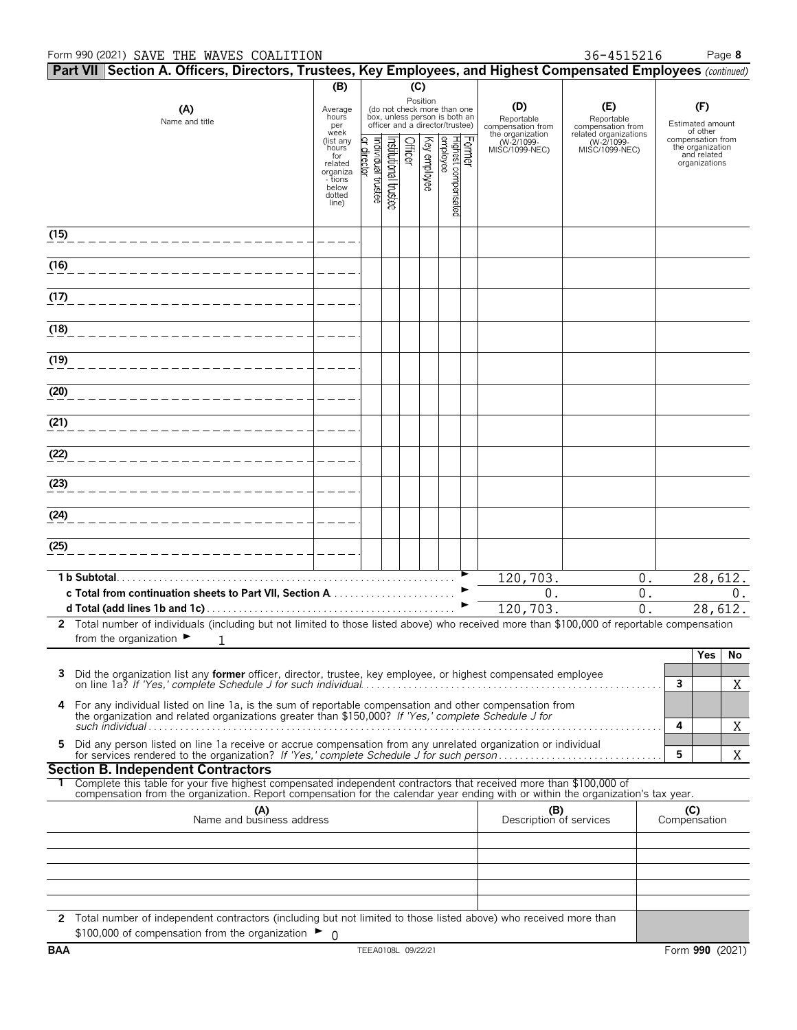### Form 990 (2021) SAVE THE WAVES COALITION **1898 8** 36-4515216 Page 8

|            |              | Part VII Section A. Officers, Directors, Trustees, Key Employees, and Highest Compensated Employees (continued)                                                                                                                                        |                                 |                                  |                      |          |                                                                                                 |                                            |                                                  |                                                       |                                     |                                       |
|------------|--------------|--------------------------------------------------------------------------------------------------------------------------------------------------------------------------------------------------------------------------------------------------------|---------------------------------|----------------------------------|----------------------|----------|-------------------------------------------------------------------------------------------------|--------------------------------------------|--------------------------------------------------|-------------------------------------------------------|-------------------------------------|---------------------------------------|
|            |              |                                                                                                                                                                                                                                                        | (B)                             |                                  |                      | (C)      |                                                                                                 |                                            |                                                  |                                                       |                                     |                                       |
|            |              | Average<br>hours<br>per<br>week                                                                                                                                                                                                                        |                                 |                                  |                      | Position | (do not check more than one<br>box, unless person is both an<br>officer and a director/trustee) | (D)<br>Reportable<br>compensation from     | (E)<br>Reportable<br>compensation from           |                                                       | (F)<br>Estimated amount<br>of other |                                       |
|            |              |                                                                                                                                                                                                                                                        | (list any<br>hours <sup>7</sup> |                                  |                      | Officer  |                                                                                                 | Former<br>Highest compensated<br> employee | the organization<br>(W-2/1099-<br>MISC/1099-NEC) | related organizations<br>(W-271099-<br>MISC/1099-NEC) |                                     | compensation from<br>the organization |
|            |              |                                                                                                                                                                                                                                                        | for<br>related<br>organiza      | or director<br>ndividual trustee | nstitutional trustee |          | Key employee                                                                                    |                                            |                                                  |                                                       |                                     | and related<br>organizations          |
|            |              |                                                                                                                                                                                                                                                        | - tions<br>below                |                                  |                      |          |                                                                                                 |                                            |                                                  |                                                       |                                     |                                       |
|            |              |                                                                                                                                                                                                                                                        | dotted<br>line)                 |                                  |                      |          |                                                                                                 |                                            |                                                  |                                                       |                                     |                                       |
|            |              |                                                                                                                                                                                                                                                        |                                 |                                  |                      |          |                                                                                                 |                                            |                                                  |                                                       |                                     |                                       |
| (15)       |              |                                                                                                                                                                                                                                                        |                                 |                                  |                      |          |                                                                                                 |                                            |                                                  |                                                       |                                     |                                       |
| (16)       |              |                                                                                                                                                                                                                                                        |                                 |                                  |                      |          |                                                                                                 |                                            |                                                  |                                                       |                                     |                                       |
| (17)       |              |                                                                                                                                                                                                                                                        |                                 |                                  |                      |          |                                                                                                 |                                            |                                                  |                                                       |                                     |                                       |
|            |              |                                                                                                                                                                                                                                                        |                                 |                                  |                      |          |                                                                                                 |                                            |                                                  |                                                       |                                     |                                       |
| (18)       |              |                                                                                                                                                                                                                                                        |                                 |                                  |                      |          |                                                                                                 |                                            |                                                  |                                                       |                                     |                                       |
| (19)       |              |                                                                                                                                                                                                                                                        |                                 |                                  |                      |          |                                                                                                 |                                            |                                                  |                                                       |                                     |                                       |
| (20)       |              |                                                                                                                                                                                                                                                        |                                 |                                  |                      |          |                                                                                                 |                                            |                                                  |                                                       |                                     |                                       |
|            |              |                                                                                                                                                                                                                                                        |                                 |                                  |                      |          |                                                                                                 |                                            |                                                  |                                                       |                                     |                                       |
| (21)       |              |                                                                                                                                                                                                                                                        |                                 |                                  |                      |          |                                                                                                 |                                            |                                                  |                                                       |                                     |                                       |
| (22)       |              |                                                                                                                                                                                                                                                        |                                 |                                  |                      |          |                                                                                                 |                                            |                                                  |                                                       |                                     |                                       |
| (23)       |              |                                                                                                                                                                                                                                                        |                                 |                                  |                      |          |                                                                                                 |                                            |                                                  |                                                       |                                     |                                       |
| (24)       |              |                                                                                                                                                                                                                                                        |                                 |                                  |                      |          |                                                                                                 |                                            |                                                  |                                                       |                                     |                                       |
| (25)       |              |                                                                                                                                                                                                                                                        |                                 |                                  |                      |          |                                                                                                 |                                            |                                                  |                                                       |                                     |                                       |
|            |              |                                                                                                                                                                                                                                                        |                                 |                                  |                      |          |                                                                                                 |                                            |                                                  |                                                       |                                     |                                       |
|            | 1 b Subtotal |                                                                                                                                                                                                                                                        |                                 |                                  |                      |          |                                                                                                 |                                            | 120, 703.                                        | 0.                                                    |                                     | 28,612.                               |
|            |              | c Total from continuation sheets to Part VII, Section A                                                                                                                                                                                                |                                 |                                  |                      |          |                                                                                                 |                                            | 0.<br>120, 703.                                  | 0.<br>$\overline{0}$ .                                |                                     | $0$ .<br>28,612.                      |
|            |              | 2 Total number of individuals (including but not limited to those listed above) who received more than \$100,000 of reportable compensation<br>from the organization $\blacktriangleright$                                                             |                                 |                                  |                      |          |                                                                                                 |                                            |                                                  |                                                       |                                     |                                       |
|            |              | 1                                                                                                                                                                                                                                                      |                                 |                                  |                      |          |                                                                                                 |                                            |                                                  |                                                       |                                     | <b>Yes</b><br>No                      |
| 3          |              | Did the organization list any <b>former</b> officer, director, trustee, key employee, or highest compensated employee                                                                                                                                  |                                 |                                  |                      |          |                                                                                                 |                                            |                                                  |                                                       |                                     |                                       |
|            |              |                                                                                                                                                                                                                                                        |                                 |                                  |                      |          |                                                                                                 |                                            |                                                  |                                                       | 3                                   | Χ                                     |
| 4          |              | For any individual listed on line 1a, is the sum of reportable compensation and other compensation from<br>the organization and related organizations greater than \$150,000? If 'Yes,' complete Schedule J for                                        |                                 |                                  |                      |          |                                                                                                 |                                            |                                                  |                                                       |                                     |                                       |
|            |              |                                                                                                                                                                                                                                                        |                                 |                                  |                      |          |                                                                                                 |                                            |                                                  |                                                       | 4                                   | X                                     |
| 5          |              | Did any person listed on line 1a receive or accrue compensation from any unrelated organization or individual                                                                                                                                          |                                 |                                  |                      |          |                                                                                                 |                                            |                                                  |                                                       | 5                                   | X                                     |
|            |              | <b>Section B. Independent Contractors</b>                                                                                                                                                                                                              |                                 |                                  |                      |          |                                                                                                 |                                            |                                                  |                                                       |                                     |                                       |
|            |              | Complete this table for your five highest compensated independent contractors that received more than \$100,000 of<br>compensation from the organization. Report compensation for the calendar year ending with or within the organization's tax year. |                                 |                                  |                      |          |                                                                                                 |                                            |                                                  |                                                       |                                     |                                       |
|            |              | (A)<br>Name and business address                                                                                                                                                                                                                       |                                 |                                  |                      |          |                                                                                                 |                                            | (B)<br>Description of services                   |                                                       |                                     | (C)<br>Compensation                   |
|            |              |                                                                                                                                                                                                                                                        |                                 |                                  |                      |          |                                                                                                 |                                            |                                                  |                                                       |                                     |                                       |
|            |              |                                                                                                                                                                                                                                                        |                                 |                                  |                      |          |                                                                                                 |                                            |                                                  |                                                       |                                     |                                       |
|            |              |                                                                                                                                                                                                                                                        |                                 |                                  |                      |          |                                                                                                 |                                            |                                                  |                                                       |                                     |                                       |
|            |              |                                                                                                                                                                                                                                                        |                                 |                                  |                      |          |                                                                                                 |                                            |                                                  |                                                       |                                     |                                       |
|            |              | 2 Total number of independent contractors (including but not limited to those listed above) who received more than                                                                                                                                     |                                 |                                  |                      |          |                                                                                                 |                                            |                                                  |                                                       |                                     |                                       |
|            |              | \$100,000 of compensation from the organization $\blacktriangleright$ 0                                                                                                                                                                                |                                 |                                  |                      |          |                                                                                                 |                                            |                                                  |                                                       |                                     |                                       |
| <b>BAA</b> |              |                                                                                                                                                                                                                                                        |                                 | TEEA0108L 09/22/21               |                      |          |                                                                                                 |                                            |                                                  |                                                       |                                     | Form 990 (2021)                       |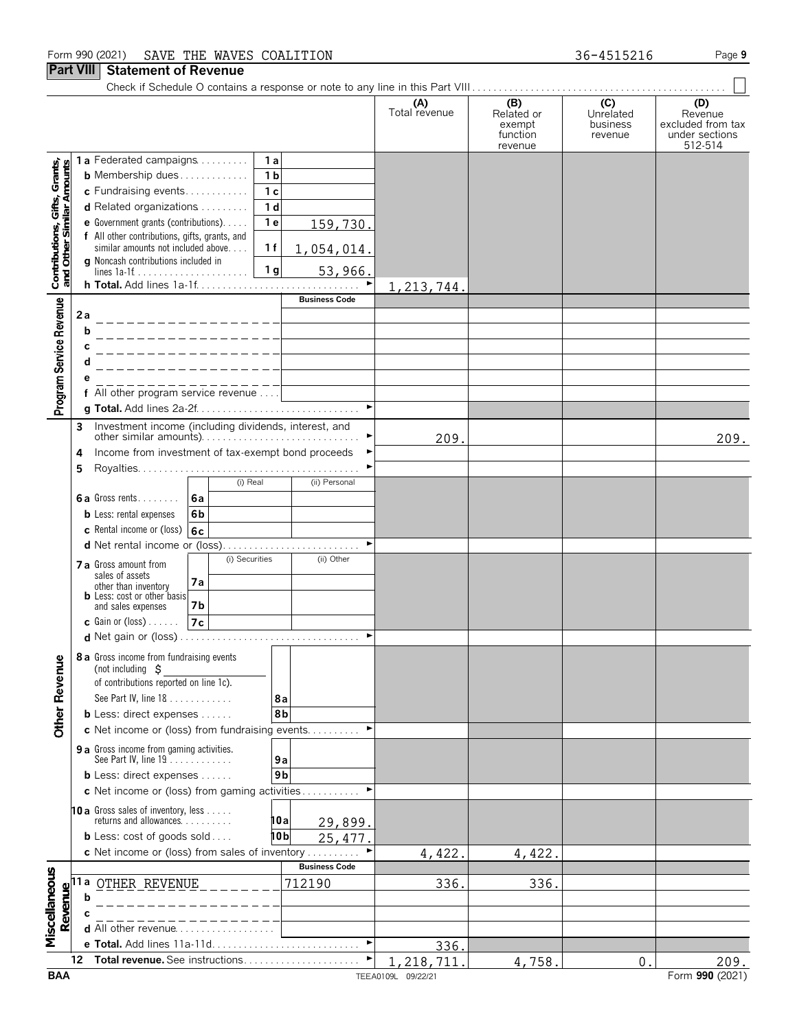### Form 990 (2021) SAVE THE WAVES COALITION **1898 120 COALITION** 36-4515216 Page 9

# **Part VIII Statement of Revenue**

| III                                                        |         | unun vinu                                                                                                       |                                |                      |                                                    |                                         |                                                                  |
|------------------------------------------------------------|---------|-----------------------------------------------------------------------------------------------------------------|--------------------------------|----------------------|----------------------------------------------------|-----------------------------------------|------------------------------------------------------------------|
|                                                            |         |                                                                                                                 |                                | (A)<br>Total revenue | (B)<br>Related or<br>exempt<br>function<br>revenue | (C)<br>Unrelated<br>business<br>revenue | (D)<br>Revenue<br>excluded from tax<br>under sections<br>512-514 |
|                                                            |         | 1a Federated campaigns<br>1a                                                                                    |                                |                      |                                                    |                                         |                                                                  |
|                                                            |         | <b>b</b> Membership dues<br>1 <sub>b</sub>                                                                      |                                |                      |                                                    |                                         |                                                                  |
| Contributions, Gifts, Grants,<br>and Other Similar Amounts |         | c Fundraising events<br>1 <sub>c</sub><br>d Related organizations<br>1 <sub>d</sub>                             |                                |                      |                                                    |                                         |                                                                  |
|                                                            |         | e Government grants (contributions).<br>1 <sub>e</sub>                                                          | 159,730.                       |                      |                                                    |                                         |                                                                  |
|                                                            |         | f All other contributions, gifts, grants, and                                                                   |                                |                      |                                                    |                                         |                                                                  |
|                                                            |         | 1f<br>similar amounts not included above<br><b>g</b> Noncash contributions included in                          | 1,054,014.                     |                      |                                                    |                                         |                                                                  |
|                                                            |         | 1 <sub>g</sub>                                                                                                  | 53,966.                        |                      |                                                    |                                         |                                                                  |
|                                                            |         |                                                                                                                 |                                | 1, 213, 744          |                                                    |                                         |                                                                  |
|                                                            |         |                                                                                                                 | <b>Business Code</b>           |                      |                                                    |                                         |                                                                  |
| Program Service Revenue                                    | 2а<br>b |                                                                                                                 |                                |                      |                                                    |                                         |                                                                  |
|                                                            |         |                                                                                                                 |                                |                      |                                                    |                                         |                                                                  |
|                                                            |         |                                                                                                                 |                                |                      |                                                    |                                         |                                                                  |
|                                                            |         |                                                                                                                 |                                |                      |                                                    |                                         |                                                                  |
|                                                            |         | f All other program service revenue                                                                             |                                |                      |                                                    |                                         |                                                                  |
|                                                            |         |                                                                                                                 | $\blacktriangleright$          |                      |                                                    |                                         |                                                                  |
|                                                            | 3       | Investment income (including dividends, interest, and<br>other similar amounts)                                 |                                | 209.                 |                                                    |                                         | 209.                                                             |
|                                                            | 4       | Income from investment of tax-exempt bond proceeds                                                              | ▶                              |                      |                                                    |                                         |                                                                  |
|                                                            | 5.      |                                                                                                                 |                                |                      |                                                    |                                         |                                                                  |
|                                                            |         | (i) Real                                                                                                        | (ii) Personal                  |                      |                                                    |                                         |                                                                  |
|                                                            |         | 6a Gross rents<br>l 6a                                                                                          |                                |                      |                                                    |                                         |                                                                  |
|                                                            |         | <b>b</b> Less: rental expenses<br>6b                                                                            |                                |                      |                                                    |                                         |                                                                  |
|                                                            |         | c Rental income or (loss)<br>6c                                                                                 | ►                              |                      |                                                    |                                         |                                                                  |
|                                                            |         | (i) Securities<br><b>7 a</b> Gross amount from                                                                  | (ii) Other                     |                      |                                                    |                                         |                                                                  |
|                                                            |         | sales of assets<br>7a                                                                                           |                                |                      |                                                    |                                         |                                                                  |
|                                                            |         | other than inventory<br><b>b</b> Less: cost or other basis                                                      |                                |                      |                                                    |                                         |                                                                  |
|                                                            |         | 7 <b>b</b><br>and sales expenses                                                                                |                                |                      |                                                    |                                         |                                                                  |
|                                                            |         | 7c<br><b>c</b> Gain or $(\text{loss})$                                                                          |                                |                      |                                                    |                                         |                                                                  |
|                                                            |         |                                                                                                                 |                                |                      |                                                    |                                         |                                                                  |
| <b>Other Revenue</b>                                       |         | 8 a Gross income from fundraising events<br>(not including $\ddot{S}$<br>of contributions reported on line 1c). |                                |                      |                                                    |                                         |                                                                  |
|                                                            |         | See Part IV, line 18                                                                                            | 8а                             |                      |                                                    |                                         |                                                                  |
|                                                            |         | <b>b</b> Less: direct expenses $\ldots$ .                                                                       | 8b                             |                      |                                                    |                                         |                                                                  |
|                                                            |         | c Net income or (loss) from fundraising events                                                                  |                                |                      |                                                    |                                         |                                                                  |
|                                                            |         | 9 a Gross income from gaming activities.<br>See Part IV, line $19$                                              |                                |                      |                                                    |                                         |                                                                  |
|                                                            |         | <b>b</b> Less: direct expenses $\ldots$ .                                                                       | 9a<br>9 <sub>b</sub>           |                      |                                                    |                                         |                                                                  |
|                                                            |         | c Net income or (loss) from gaming activities                                                                   |                                |                      |                                                    |                                         |                                                                  |
|                                                            |         | <b>10 a</b> Gross sales of inventory, less                                                                      |                                |                      |                                                    |                                         |                                                                  |
|                                                            |         | returns and allowances. $\ldots$ ,                                                                              | 10a<br>29,899.                 |                      |                                                    |                                         |                                                                  |
|                                                            |         | <b>b</b> Less: $cost$ of goods $sol$                                                                            | 10b<br>25,477                  |                      |                                                    |                                         |                                                                  |
|                                                            |         | c Net income or (loss) from sales of inventory                                                                  |                                | 4,422.               | 4,422.                                             |                                         |                                                                  |
|                                                            | 11 a    | OTHER REVENUE                                                                                                   | <b>Business Code</b><br>712190 | 336.                 | 336.                                               |                                         |                                                                  |
| Miscellaneous<br>Revenue                                   |         |                                                                                                                 |                                |                      |                                                    |                                         |                                                                  |
|                                                            |         |                                                                                                                 |                                |                      |                                                    |                                         |                                                                  |
|                                                            |         |                                                                                                                 |                                |                      |                                                    |                                         |                                                                  |
|                                                            |         |                                                                                                                 |                                | 336.                 |                                                    |                                         |                                                                  |
|                                                            | 12      |                                                                                                                 |                                | 218,711              | 4,758                                              | 0                                       | 209.                                                             |
| <b>BAA</b>                                                 |         |                                                                                                                 |                                | TEEA0109L 09/22/21   |                                                    |                                         | Form 990 (2021)                                                  |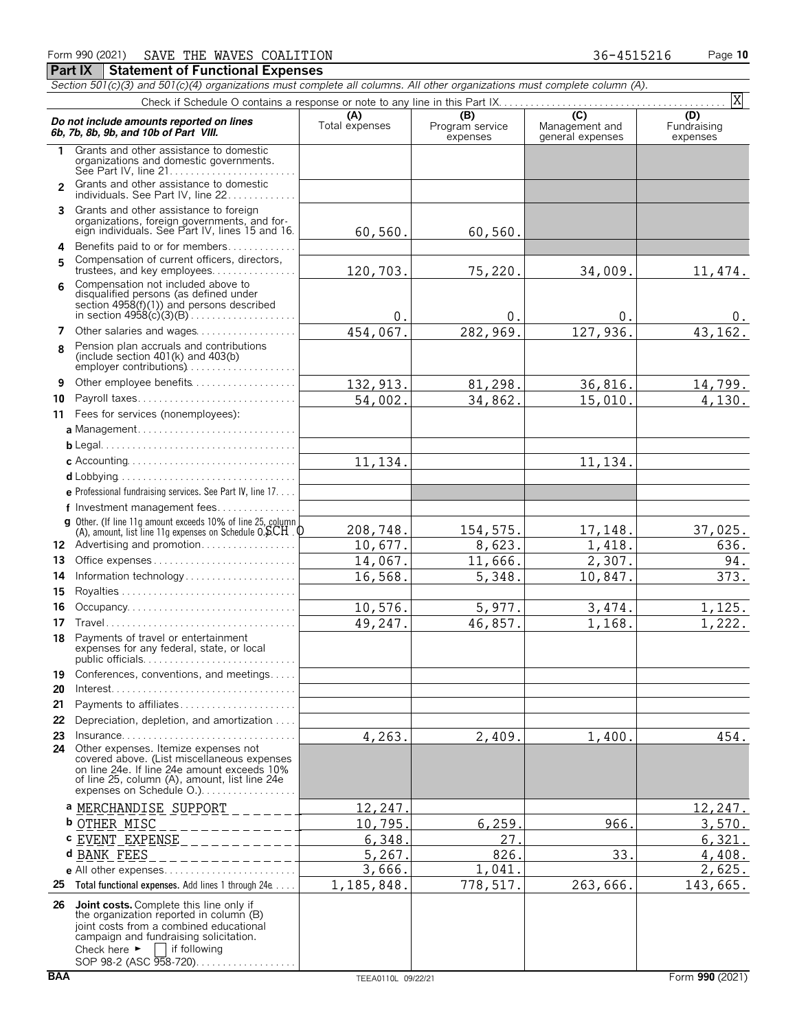|                | Form 990 (2021)<br>SAVE THE WAVES COALITION                                                                                                                                                                        |                       |                                    | 36-4515216                                                       | Page 10                        |
|----------------|--------------------------------------------------------------------------------------------------------------------------------------------------------------------------------------------------------------------|-----------------------|------------------------------------|------------------------------------------------------------------|--------------------------------|
|                | <b>Part IX</b><br><b>Statement of Functional Expenses</b>                                                                                                                                                          |                       |                                    |                                                                  |                                |
|                | Section 501(c)(3) and 501(c)(4) organizations must complete all columns. All other organizations must complete column (A).                                                                                         |                       |                                    |                                                                  |                                |
|                |                                                                                                                                                                                                                    |                       |                                    |                                                                  | X                              |
|                | Do not include amounts reported on lines<br>6b, 7b, 8b, 9b, and 10b of Part VIII.                                                                                                                                  | (A)<br>Total expenses | (B)<br>Program service<br>expenses | $\overline{(\mathcal{C})}$<br>Management and<br>general expenses | (D)<br>Fundraising<br>expenses |
| 1.             | Grants and other assistance to domestic<br>organizations and domestic governments.                                                                                                                                 |                       |                                    |                                                                  |                                |
| $\mathfrak{p}$ | Grants and other assistance to domestic<br>individuals. See Part IV, line 22                                                                                                                                       |                       |                                    |                                                                  |                                |
| 3              | Grants and other assistance to foreign<br>organizations, foreign governments, and for-<br>eign individuals. See Part IV, lines 15 and 16.                                                                          | 60,560.               | 60,560.                            |                                                                  |                                |
| 4<br>5         | Benefits paid to or for members<br>Compensation of current officers, directors,<br>trustees, and key employees                                                                                                     | 120,703.              | 75,220.                            | 34,009.                                                          | 11,474.                        |
| 6              | Compensation not included above to<br>disqualified persons (as defined under<br>section 4958(f)(1)) and persons described                                                                                          | $\mathbf 0$           | 0.                                 | 0.                                                               | 0.                             |
| 7              | Other salaries and wages                                                                                                                                                                                           | 454,067.              | 282,969.                           | 127,936.                                                         | 43,162.                        |
| 8              | Pension plan accruals and contributions<br>(include section $401(k)$ and $403(b)$ )<br>employer contributions)                                                                                                     |                       |                                    |                                                                  |                                |
| 9              | Other employee benefits                                                                                                                                                                                            | 132, 913.             | 81,298.                            | 36,816.                                                          | 14,799.                        |
| 10             |                                                                                                                                                                                                                    | 54,002.               | 34,862.                            | 15,010.                                                          | 4,130.                         |
| 11             | Fees for services (nonemployees):                                                                                                                                                                                  |                       |                                    |                                                                  |                                |
|                | a Management                                                                                                                                                                                                       |                       |                                    |                                                                  |                                |
|                |                                                                                                                                                                                                                    |                       |                                    |                                                                  |                                |
|                |                                                                                                                                                                                                                    | 11,134.               |                                    | 11,134.                                                          |                                |
|                |                                                                                                                                                                                                                    |                       |                                    |                                                                  |                                |
|                | e Professional fundraising services. See Part IV, line 17.                                                                                                                                                         |                       |                                    |                                                                  |                                |
|                | f Investment management fees                                                                                                                                                                                       |                       |                                    |                                                                  |                                |
|                | g Other. (If line 11g amount exceeds 10% of line 25, column                                                                                                                                                        | 208,748.              | 154,575.                           | 17,148.                                                          | 37,025.                        |
|                | (A), amount, list line 11g expenses on Schedule $0.5CH$ . $0$<br>12 Advertising and promotion                                                                                                                      | 10,677.               | 8,623.                             | 1,418.                                                           | 636.                           |
| 13             | Office expenses                                                                                                                                                                                                    | 14,067.               | 11,666.                            | 2,307.                                                           | 94.                            |
| 14             | Information technology                                                                                                                                                                                             | 16,568.               | 5,348.                             | 10,847.                                                          | 373.                           |
| 15             |                                                                                                                                                                                                                    |                       |                                    |                                                                  |                                |
| 16             |                                                                                                                                                                                                                    | 10,576.               | 5,977.                             | 3,474.                                                           | 1,125.                         |
| 17             |                                                                                                                                                                                                                    | 49,247.               | 46,857.                            | 1,168.                                                           | 1,222.                         |
|                | 18 Payments of travel or entertainment<br>expenses for any federal, state, or local                                                                                                                                |                       |                                    |                                                                  |                                |
| 19             | Conferences, conventions, and meetings                                                                                                                                                                             |                       |                                    |                                                                  |                                |
| 20<br>21       | Payments to affiliates                                                                                                                                                                                             |                       |                                    |                                                                  |                                |
| 22             | Depreciation, depletion, and amortization                                                                                                                                                                          |                       |                                    |                                                                  |                                |
| 23             | $Insurance \ldots \ldots \ldots \ldots \ldots$                                                                                                                                                                     | 4,263.                | 2,409.                             | 1,400.                                                           | 454.                           |
|                | 24 Other expenses. Itemize expenses not<br>covered above. (List miscellaneous expenses<br>on line 24e. If line 24e amount exceeds 10%<br>of line 25, column (A), amount, list line 24e<br>expenses on Schedule O.) |                       |                                    |                                                                  |                                |
|                | a MERCHANDISE SUPPORT                                                                                                                                                                                              | 12,247                |                                    |                                                                  | 12,247.                        |
|                | <b>b</b> OTHER MISC                                                                                                                                                                                                | 10,795                | 6, 259.                            | 966.                                                             | 3,570.                         |
|                | <b>c</b> EVENT EXPENSE                                                                                                                                                                                             | 6,348                 | 27                                 |                                                                  | 6,321.                         |
|                | d BANK FEES                                                                                                                                                                                                        | 5,267                 | 826                                | 33.                                                              | 4,408.                         |
|                | e All other expenses                                                                                                                                                                                               | 3,666.                | 1,041                              |                                                                  | 2,625.                         |
| 25             | Total functional expenses. Add lines 1 through 24e                                                                                                                                                                 | 1, 185, 848.          | 778,517.                           | 263,666.                                                         | 143,665.                       |
| 26             | Joint costs. Complete this line only if                                                                                                                                                                            |                       |                                    |                                                                  |                                |

**26 Joint costs.** Complete this line only if the organization reported in column (B) joint costs from a combined educational campaign and fundraising solicitation. Check here  $\blacktriangleright$  if following SOP 98-2 (ASC 958-720). . . . . . . . . . . . . . . . .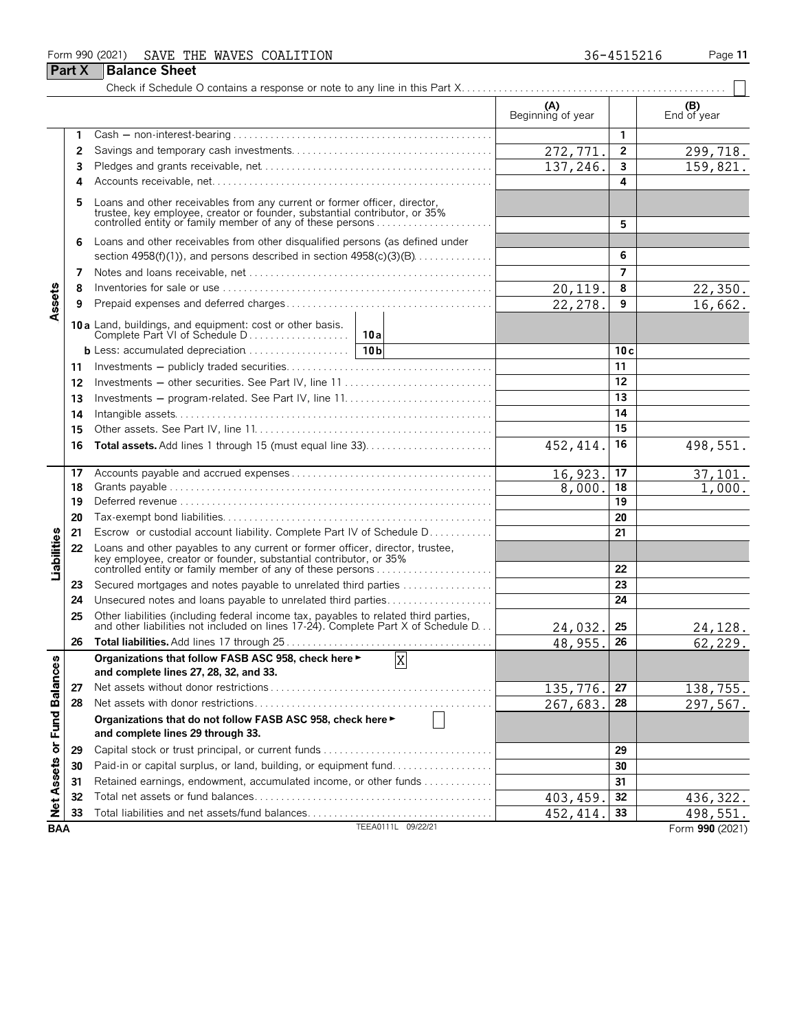### Form 990 (2021) SAVE THE WAVES COALITION **Page 11** 36-4515216 Page 11

**Part X** Balance Sheet

| 36-4515216 |  |  |  |  |  |
|------------|--|--|--|--|--|
|            |  |  |  |  |  |

#### $(B)$  **(A)**  $\qquad \qquad$  **End of year** End of year **(A) (B) 1** Cash ' non-interest-bearing . . . . . . . . . . . . . . . . . . . . . . . . . . . . . . . . . . . . . . . . . . . . . . . . . **1** 299,718. **2** Savings and temporary cash investments. . . . . . . . . . . . . . . . . . . . . . . . . . . . . . . . . . . . . . **2 3** Pledges and grants receivable, net. . . . . . . . . . . . . . . . . . . . . . . . . . . . . . . . . . . . . . . . . . . . **3** 159,821 **4** Accounts receivable, net. . . . . . . . . . . . . . . . . . . . . . . . . . . . . . . . . . . . . . . . . . . . . . . . . . . . . **4** 5 Loans and other receivables from any current or former officer, director,<br>trustee, key employee, creator or founder, substantial contributor, or 35%<br>controlled entity or family member of any of these persons . . . . . . **6** Loans and other receivables from other disqualified persons (as defined under section 4958(f)(1)), and persons described in section 4958(c)(3)(B). . . . . . . . . . . . . . . **6 7** Notes and loans receivable, net. . . . . . . . . . . . . . . . . . . . . . . . . . . . . . . . . . . . . . . . . . . . . . . **7 8** Inventories for sale or use . . . . . . . . . . . . . . . . . . . . . . . . . . . . . . . . . . . . . . . . . . . . . . . . . . . **8** 22,350. Assets **9** Prepaid expenses and deferred charges . . . . . . . . . . . . . . . . . . . . . . . . . . . . . . . . . . . . . . . **9** 16,662 **10 a** Land, buildings, and equipment: cost or other basis. Complete Part VI of Schedule D . . . . . . . . . . . . . . . . . . . **10a b** Less: accumulated depreciation. . . . . . . . . . . . . . . . . . . . **10b 10 c 11** Investments ' publicly traded securities. . . . . . . . . . . . . . . . . . . . . . . . . . . . . . . . . . . . . . . **11 12** Investments ' other securities. See Part IV, line 11 . . . . . . . . . . . . . . . . . . . . . . . . . . . . **12 13** Investments ' program-related. See Part IV, line 11. . . . . . . . . . . . . . . . . . . . . . . . . . . . **13 14** Intangible assets. . . . . . . . . . . . . . . . . . . . . . . . . . . . . . . . . . . . . . . . . . . . . . . . . . . . . . . . . . . . **14 15** Other assets. See Part IV, line 11. . . . . . . . . . . . . . . . . . . . . . . . . . . . . . . . . . . . . . . . . . . . . **15**  $452, 414.$  16 498,551. **16 Total assets.** Add lines 1 through 15 (must equal line 33). . . . . . . . . . . . . . . . . . . . . . . . **16 17** Accounts payable and accrued expenses . . . . . . . . . . . . . . . . . . . . . . . . . . . . . . . . . . . . . . **17** 16,923. 17 37,101  $1,000.$ **18** Grants payable . . . . . . . . . . . . . . . . . . . . . . . . . . . . . . . . . . . . . . . . . . . . . . . . . . . . . . . . . . . . . **18 19** Deferred revenue . . . . . . . . . . . . . . . . . . . . . . . . . . . . . . . . . . . . . . . . . . . . . . . . . . . . . . . . . . . **19 20** Tax-exempt bond liabilities. . . . . . . . . . . . . . . . . . . . . . . . . . . . . . . . . . . . . . . . . . . . . . . . . . . **20 21** Escrow or custodial account liability. Complete Part IV of Schedule D. . . . . . . . . . . . **21** Liabilities **22** Loans and other payables to any current or former officer, director, trustee, key employee, creator or founder, substantial contributor, or 35% controlled entity or family member of any of these persons . . . . . . . . . . . . . . . . . . . . . . **22 23** Secured mortgages and notes payable to unrelated third parties . . . . . . . . . . . . . . . . . **23 24** Unsecured notes and loans payable to unrelated third parties. . . . . . . . . . . . . . . . . . . . **24 25** Other liabilities (including federal income tax, payables to related third parties,<br>and other liabilities not included on lines 17-24). Complete Part X of Schedule D. . . **256 258 25** 25 24,032. 25 24,128. **26 Total liabilities.** Add lines 17 through 25 . . . . . . . . . . . . . . . . . . . . . . . . . . . . . . . . . . . . . . . **26** 48,955. 62,229. **Organizations that follow FASB ASC 958, check here** G X or Fund Balances **and complete lines 27, 28, 32, and 33. 27** Net assets without donor restrictions . . . . . . . . . . . . . . . . . . . . . . . . . . . . . . . . . . . . . . . . . . **27** 138,755. **28** Net assets with donor restrictions. . . . . . . . . . . . . . . . . . . . . . . . . . . . . . . . . . . . . . . . . . . . . **28** 297,567. **Organizations that do not follow FASB ASC 958, check here** G **and complete lines 29 through 33. 29** Capital stock or trust principal, or current funds. . . . . . . . . . . . . . . . . . . . . . . . . . . . . . . . . **29 Net Assets 30** Paid-in or capital surplus, or land, building, or equipment fund. . . . . . . . . . . . . . . . . . . **30 31** Retained earnings, endowment, accumulated income, or other funds . . . . . . . . . . . . . **31 32** Total net assets or fund balances. . . . . . . . . . . . . . . . . . . . . . . . . . . . . . . . . . . . . . . . . . . . . **32** 403,459. 436,322. **33** Total liabilities and net assets/fund balances. . . . . . . . . . . . . . . . . . . . . . . . . . . . . . . . . . . **33** 498,551

Check if Schedule O contains a response or note to any line in this Part X. . . . . . . . . . . . . . . . . . . . . . . . . . . . . . . . . . . . . . . . . . . . . . . . . .

**BAA** TEEA0111L 09/22/21 Form **990** (2021)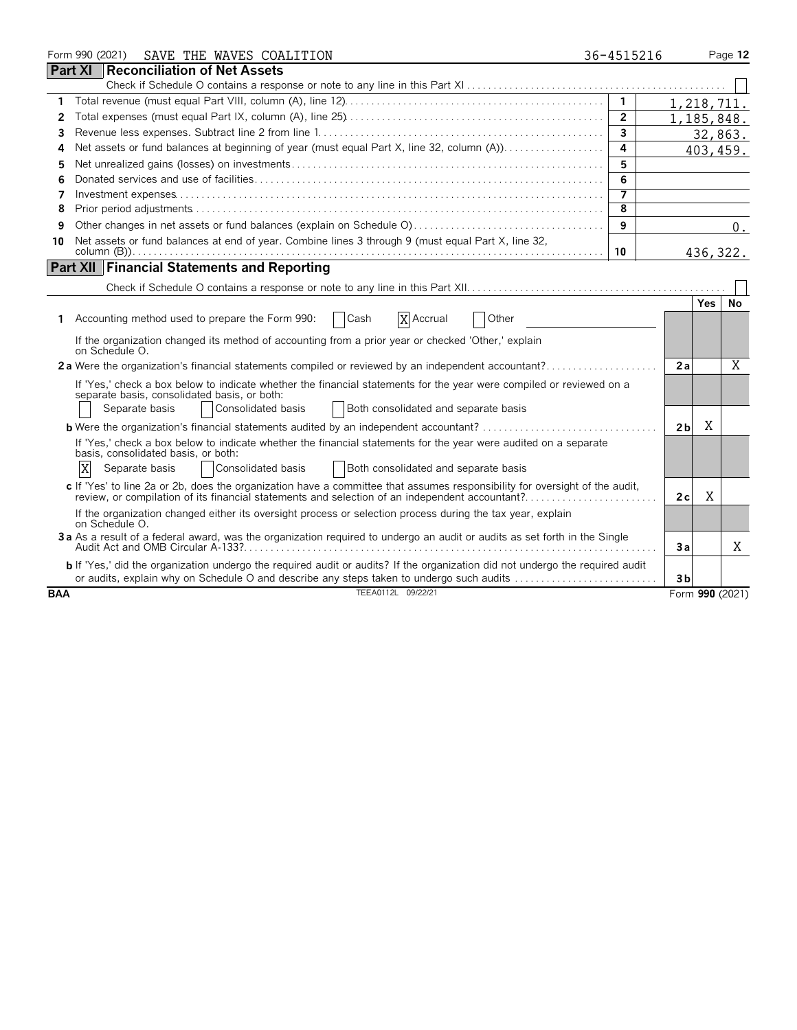|            | Form 990 (2021)<br>SAVE THE WAVES COALITION                                                                                                                                                                                                          | 36-4515216              |                |            | Page 12         |
|------------|------------------------------------------------------------------------------------------------------------------------------------------------------------------------------------------------------------------------------------------------------|-------------------------|----------------|------------|-----------------|
|            | <b>Part XI Reconciliation of Net Assets</b>                                                                                                                                                                                                          |                         |                |            |                 |
|            |                                                                                                                                                                                                                                                      |                         |                |            |                 |
| 1          |                                                                                                                                                                                                                                                      | $\overline{1}$          | 1,218,711.     |            |                 |
| 2          |                                                                                                                                                                                                                                                      | $\overline{2}$          | 1,185,848.     |            |                 |
| 3          |                                                                                                                                                                                                                                                      | $\overline{3}$          |                |            | 32,863.         |
| 4          | Net assets or fund balances at beginning of year (must equal Part X, line 32, column (A))                                                                                                                                                            | 4                       |                |            | 403, 459.       |
| 5          |                                                                                                                                                                                                                                                      | 5                       |                |            |                 |
| 6          |                                                                                                                                                                                                                                                      | 6                       |                |            |                 |
| 7          |                                                                                                                                                                                                                                                      | $\overline{\mathbf{z}}$ |                |            |                 |
| 8          |                                                                                                                                                                                                                                                      | 8                       |                |            |                 |
| 9          |                                                                                                                                                                                                                                                      | 9                       |                |            | 0.              |
| 10         | Net assets or fund balances at end of year. Combine lines 3 through 9 (must equal Part X, line 32,                                                                                                                                                   | 10                      |                |            | 436, 322.       |
|            | <b>Part XII Financial Statements and Reporting</b>                                                                                                                                                                                                   |                         |                |            |                 |
|            |                                                                                                                                                                                                                                                      |                         |                |            |                 |
|            |                                                                                                                                                                                                                                                      |                         |                | <b>Yes</b> | No              |
| 1.         | X Accrual<br>Other<br>Accounting method used to prepare the Form 990:<br>$ $ Cash                                                                                                                                                                    |                         |                |            |                 |
|            | If the organization changed its method of accounting from a prior year or checked 'Other,' explain<br>on Schedule O.                                                                                                                                 |                         |                |            |                 |
|            | 2a Were the organization's financial statements compiled or reviewed by an independent accountant?                                                                                                                                                   |                         | 2a             |            | Χ               |
|            | If 'Yes,' check a box below to indicate whether the financial statements for the year were compiled or reviewed on a<br>separate basis, consolidated basis, or both:<br>Consolidated basis<br>Both consolidated and separate basis<br>Separate basis |                         |                |            |                 |
|            | <b>b</b> Were the organization's financial statements audited by an independent accountant?                                                                                                                                                          |                         | 2 <sub>b</sub> | X          |                 |
|            | If 'Yes,' check a box below to indicate whether the financial statements for the year were audited on a separate<br>basis, consolidated basis, or both:<br>X<br>Consolidated basis<br>Both consolidated and separate basis<br>Separate basis         |                         |                |            |                 |
|            | c If 'Yes' to line 2a or 2b, does the organization have a committee that assumes responsibility for oversight of the audit,                                                                                                                          |                         | 2c             | Χ          |                 |
|            | If the organization changed either its oversight process or selection process during the tax year, explain<br>on Schedule O.                                                                                                                         |                         |                |            |                 |
|            | 3a As a result of a federal award, was the organization required to undergo an audit or audits as set forth in the Single                                                                                                                            |                         | 3a             |            | X               |
|            | <b>b</b> If 'Yes,' did the organization undergo the required audit or audits? If the organization did not undergo the required audit<br>or audits, explain why on Schedule O and describe any steps taken to undergo such audits                     |                         | 3 <sub>b</sub> |            |                 |
| <b>BAA</b> | TEEA0112L 09/22/21                                                                                                                                                                                                                                   |                         |                |            | Form 990 (2021) |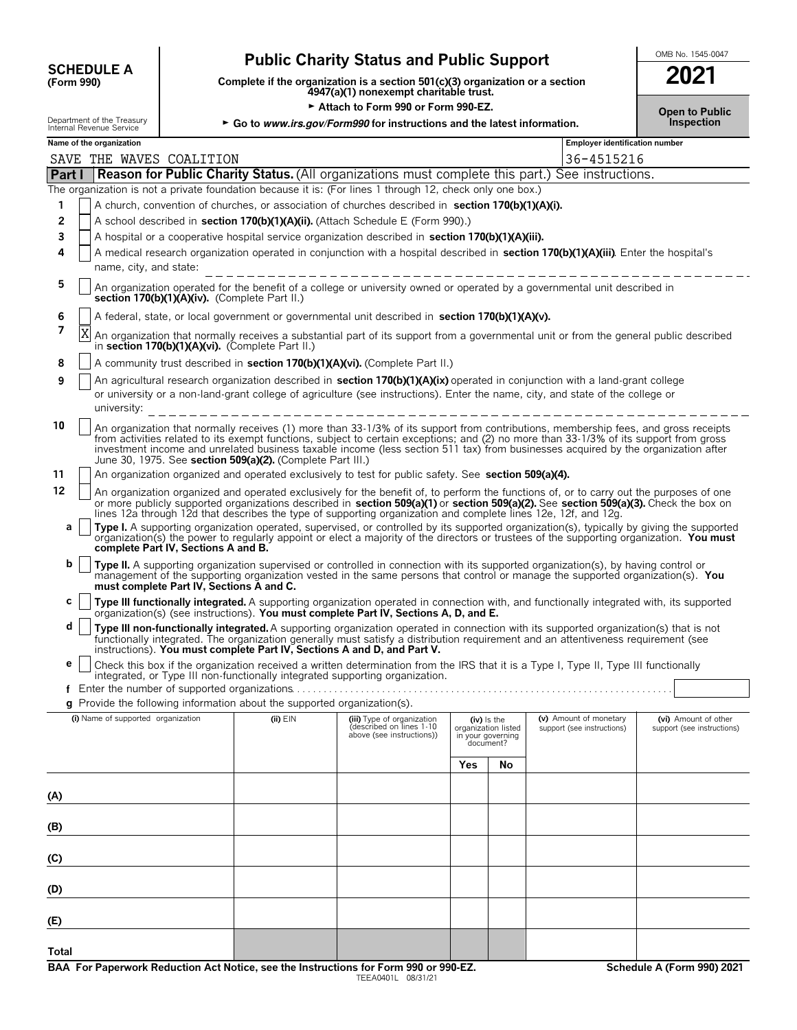| <b>SCHEDULE A</b>    |  |
|----------------------|--|
| $(F_{\alpha r}$ 990) |  |

# **Public Charity Status and Public Support SCHEDULE A**  $\overline{30}$

**COMPOUTE A**<br>(Form 990) **Complete if the organization is a section 501(c)(3) organization or a section <b>2021**<br>4947(a)(1) nonexempt charitable trust.

Attach to Form 990 or Form 990-EZ.

Department of the Treasury **Corporation 30 <b>Go to** *www.irs.gov/Form990* for instructions and the latest information.

| ZUZ I                               |  |
|-------------------------------------|--|
| <b>Open to Public</b><br>Inspection |  |

|        | Name of the organization                                                                                                                                                                                                                                                                                                                                                                                                                                                         |          |                                                                                     |     |                                                                      | <b>Employer identification number</b> |                                                    |
|--------|----------------------------------------------------------------------------------------------------------------------------------------------------------------------------------------------------------------------------------------------------------------------------------------------------------------------------------------------------------------------------------------------------------------------------------------------------------------------------------|----------|-------------------------------------------------------------------------------------|-----|----------------------------------------------------------------------|---------------------------------------|----------------------------------------------------|
|        | SAVE THE WAVES COALITION                                                                                                                                                                                                                                                                                                                                                                                                                                                         |          |                                                                                     |     |                                                                      | 36-4515216                            |                                                    |
| Part I | Reason for Public Charity Status. (All organizations must complete this part.) See instructions.                                                                                                                                                                                                                                                                                                                                                                                 |          |                                                                                     |     |                                                                      |                                       |                                                    |
|        | The organization is not a private foundation because it is: (For lines 1 through 12, check only one box.)                                                                                                                                                                                                                                                                                                                                                                        |          |                                                                                     |     |                                                                      |                                       |                                                    |
| 1      | A church, convention of churches, or association of churches described in section 170(b)(1)(A)(i).                                                                                                                                                                                                                                                                                                                                                                               |          |                                                                                     |     |                                                                      |                                       |                                                    |
| 2      | A school described in section 170(b)(1)(A)(ii). (Attach Schedule E (Form 990).)                                                                                                                                                                                                                                                                                                                                                                                                  |          |                                                                                     |     |                                                                      |                                       |                                                    |
| 3      | A hospital or a cooperative hospital service organization described in section 170(b)(1)(A)(iii).                                                                                                                                                                                                                                                                                                                                                                                |          |                                                                                     |     |                                                                      |                                       |                                                    |
| 4      | A medical research organization operated in conjunction with a hospital described in section 170(b)(1)(A)(iii). Enter the hospital's                                                                                                                                                                                                                                                                                                                                             |          |                                                                                     |     |                                                                      |                                       |                                                    |
|        | name, city, and state:                                                                                                                                                                                                                                                                                                                                                                                                                                                           |          |                                                                                     |     |                                                                      |                                       |                                                    |
| 5      | An organization operated for the benefit of a college or university owned or operated by a governmental unit described in<br>section 170(b)(1)(A)(iv). (Complete Part II.)                                                                                                                                                                                                                                                                                                       |          |                                                                                     |     |                                                                      |                                       |                                                    |
| 6      | A federal, state, or local government or governmental unit described in section 170(b)(1)(A)(v).                                                                                                                                                                                                                                                                                                                                                                                 |          |                                                                                     |     |                                                                      |                                       |                                                    |
| 7      | X<br>An organization that normally receives a substantial part of its support from a governmental unit or from the general public described<br>in section 170(b)(1)(A)(vi). (Complete Part II.)                                                                                                                                                                                                                                                                                  |          |                                                                                     |     |                                                                      |                                       |                                                    |
| 8      | A community trust described in section 170(b)(1)(A)(vi). (Complete Part II.)                                                                                                                                                                                                                                                                                                                                                                                                     |          |                                                                                     |     |                                                                      |                                       |                                                    |
| 9      | An agricultural research organization described in section 170(b)(1)(A)(ix) operated in conjunction with a land-grant college<br>or university or a non-land-grant college of agriculture (see instructions). Enter the name, city, and state of the college or                                                                                                                                                                                                                  |          |                                                                                     |     |                                                                      |                                       |                                                    |
|        |                                                                                                                                                                                                                                                                                                                                                                                                                                                                                  |          |                                                                                     |     |                                                                      |                                       |                                                    |
| 10     | An organization that normally receives (1) more than 33-1/3% of its support from contributions, membership fees, and gross receipts<br>from activities related to its exempt functions, subject to certain exceptions; and (2) no more than 33-1/3% of its support from gross<br>investment income and unrelated business taxable income (less section 511 tax) from businesses acquired by the organization after<br>June 30, 1975. See section 509(a)(2). (Complete Part III.) |          |                                                                                     |     |                                                                      |                                       |                                                    |
| 11     | An organization organized and operated exclusively to test for public safety. See section 509(a)(4).                                                                                                                                                                                                                                                                                                                                                                             |          |                                                                                     |     |                                                                      |                                       |                                                    |
| 12     | An organization organized and operated exclusively for the benefit of, to perform the functions of, or to carry out the purposes of one<br>or more publicly supported organizations described in section 509(a)(1) or section 509(a)(2). See section 509(a)(3). Check the box on<br>lines 12a through 12d that describes the type of supporting organization and complete lines 12e, 12f, and 12g.                                                                               |          |                                                                                     |     |                                                                      |                                       |                                                    |
| а      | Type I. A supporting organization operated, supervised, or controlled by its supported organization(s), typically by giving the supported<br>organization(s) the power to regularly appoint or elect a majority of the directors or trustees of the supporting organization. You must                                                                                                                                                                                            |          |                                                                                     |     |                                                                      |                                       |                                                    |
| b      | complete Part IV, Sections A and B.                                                                                                                                                                                                                                                                                                                                                                                                                                              |          |                                                                                     |     |                                                                      |                                       |                                                    |
|        | Type II. A supporting organization supervised or controlled in connection with its supported organization(s), by having control or<br>management of the supporting organization vested in the same persons that control or manage the supported organization(s). You<br>must complete Part IV, Sections A and C.                                                                                                                                                                 |          |                                                                                     |     |                                                                      |                                       |                                                    |
| С      | Type III functionally integrated. A supporting organization operated in connection with, and functionally integrated with, its supported                                                                                                                                                                                                                                                                                                                                         |          |                                                                                     |     |                                                                      |                                       |                                                    |
| d      | organization(s) (see instructions). You must complete Part IV, Sections A, D, and E.<br>Type III non-functionally integrated. A supporting organization operated in connection with its supported organization(s) that is not<br>functionally integrated. The organization generally must satisfy a distribution requirement and an attentiveness requirement (see                                                                                                               |          |                                                                                     |     |                                                                      |                                       |                                                    |
| е      | instructions). You must complete Part IV, Sections A and D, and Part V.<br>Check this box if the organization received a written determination from the IRS that it is a Type I, Type II, Type III functionally                                                                                                                                                                                                                                                                  |          |                                                                                     |     |                                                                      |                                       |                                                    |
|        | integrated, or Type III non-functionally integrated supporting organization.                                                                                                                                                                                                                                                                                                                                                                                                     |          |                                                                                     |     |                                                                      |                                       |                                                    |
|        | g Provide the following information about the supported organization(s).                                                                                                                                                                                                                                                                                                                                                                                                         |          |                                                                                     |     |                                                                      |                                       |                                                    |
|        |                                                                                                                                                                                                                                                                                                                                                                                                                                                                                  |          |                                                                                     |     |                                                                      | (v) Amount of monetary                |                                                    |
|        | (i) Name of supported organization                                                                                                                                                                                                                                                                                                                                                                                                                                               | (ii) EIN | (iii) Type of organization<br>(described on lines 1-10<br>above (see instructions)) |     | (iv) Is the<br>organization listed<br>in your governing<br>document? | support (see instructions)            | (vi) Amount of other<br>support (see instructions) |
|        |                                                                                                                                                                                                                                                                                                                                                                                                                                                                                  |          |                                                                                     | Yes | No                                                                   |                                       |                                                    |
|        |                                                                                                                                                                                                                                                                                                                                                                                                                                                                                  |          |                                                                                     |     |                                                                      |                                       |                                                    |
| (A)    |                                                                                                                                                                                                                                                                                                                                                                                                                                                                                  |          |                                                                                     |     |                                                                      |                                       |                                                    |
|        |                                                                                                                                                                                                                                                                                                                                                                                                                                                                                  |          |                                                                                     |     |                                                                      |                                       |                                                    |
| (B)    |                                                                                                                                                                                                                                                                                                                                                                                                                                                                                  |          |                                                                                     |     |                                                                      |                                       |                                                    |
|        |                                                                                                                                                                                                                                                                                                                                                                                                                                                                                  |          |                                                                                     |     |                                                                      |                                       |                                                    |
| (C)    |                                                                                                                                                                                                                                                                                                                                                                                                                                                                                  |          |                                                                                     |     |                                                                      |                                       |                                                    |
| (D)    |                                                                                                                                                                                                                                                                                                                                                                                                                                                                                  |          |                                                                                     |     |                                                                      |                                       |                                                    |
| (E)    |                                                                                                                                                                                                                                                                                                                                                                                                                                                                                  |          |                                                                                     |     |                                                                      |                                       |                                                    |
|        |                                                                                                                                                                                                                                                                                                                                                                                                                                                                                  |          |                                                                                     |     |                                                                      |                                       |                                                    |
| Total  |                                                                                                                                                                                                                                                                                                                                                                                                                                                                                  |          |                                                                                     |     |                                                                      |                                       |                                                    |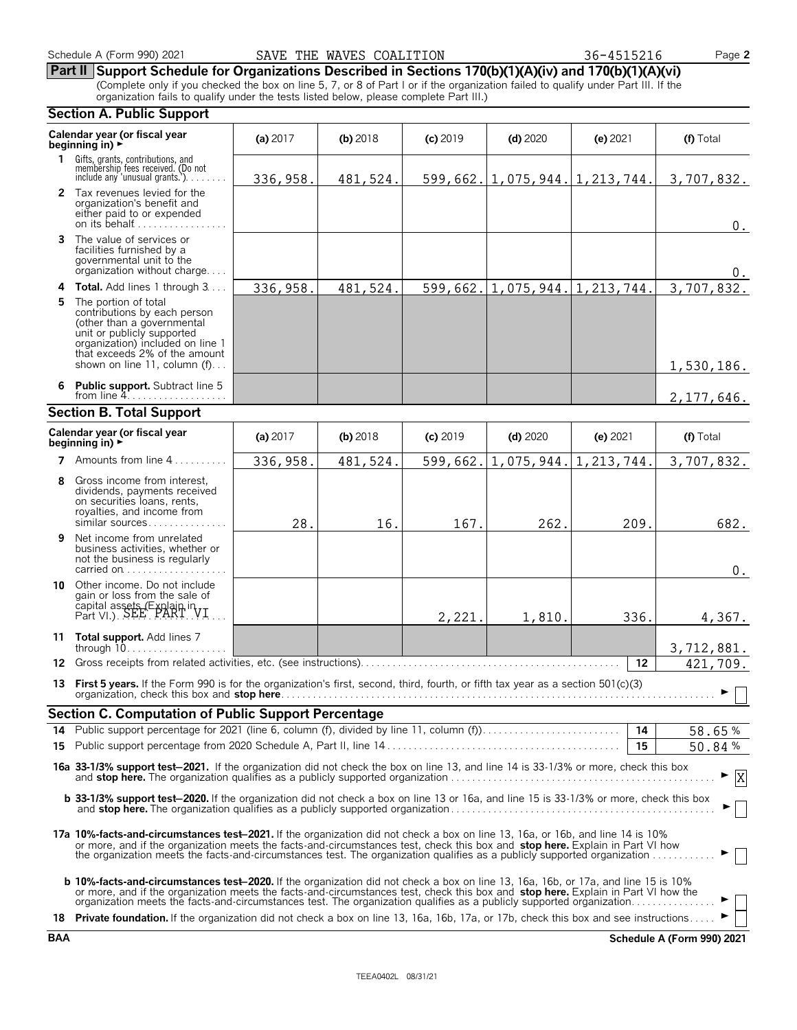# **Part II Support Schedule for Organizations Described in Sections 170(b)(1)(A)(iv) and 170(b)(1)(A)(vi)**

(Complete only if you checked the box on line 5, 7, or 8 of Part I or if the organization failed to qualify under Part III. If the organization fails to qualify under the tests listed below, please complete Part III.)

#### **Section A. Public Support Calendar year (or fiscal year (a) 2017 <b>(b)** 2018 **(c) 2019 <b>(d)** 2020 **(e)** 2021 **(f)** Total **beginning in) 1** Gifts, grants, contributions, and<br>membership fees received. (Do not<br>include any 'unusual grants.'). . . . . . . . **2** Tax revenues levied for the organization's benefit and either paid to or expended on its behalf............ **3** The value of services or facilities furnished by a governmental unit to the organization without charge. . . . **4 Total.** Add lines 1 through 3... **5** The portion of total contributions by each person (other than a governmental unit or publicly supported organization) included on line 1 that exceeds 2% of the amount shown on line 11, column (f)... **6 Public support.** Subtract line 5 from line  $4$ . **Section B. Total Support Calendar year (or fiscal year (a) 2017 <b>(b)** 2018 **(c)** 2019 **(d)** 2020 **(e)** 2021 **(f)** Total **beginning in) 7** Amounts from line 4...... **8** Gross income from interest, dividends, payments received on securities loans, rents, royalties, and income from similar sources. . . . . . . **9** Net income from unrelated business activities, whether or not the business is regularly carried on . . . . . . . . . . . . . . **10** Other income. Do not include gain or loss from the sale of capital assets (Explain in  $Part$  VI.).  $SEE - PART$  VI. **11 Total support.** Add lines 7 through 10. . . . . . . . . . . . . . . . . . . **12** Gross receipts from related activities, etc. (see instructions). . . . . . . . . . . . . . . . . . . . . . . . . . . . . . . . . . . . . . . . . . . . . . . . . **12 13 First 5 vears.** If the Form 990 is for the organization's first, second, third, fourth, or fifth tax year as a section 501(c)(3) organization, check this box and **stop here**. . . . . . . . . . . . . . . . . . . . . . . . . . . . . . . . . . . . . . . . . . . . . . . . . . . . . . . . . . . . . . . . . . . . . . . . . . . . . . . . . . G **Section C. Computation of Public Support Percentage 14** Public support percentage for 2021 (line 6, column (f), divided by line 11, column (f)). . . . . . . . . . . . . . . . . . . . . . . . . . **14** % **15** Public support percentage from 2020 Schedule A, Part II, line 14 . . . . . . . . . . . . . . . . . . . . . . . . . . . . . . . . . . . . . . . . . . . . **15** % **16a 33-1/3% support test**'**2021.** If the organization did not check the box on line 13, and line 14 is 33-1/3% or more, check this box and **stop here.** The organization qualifies as a publicly supported organization . . . . . . . . . . . . . . . . . . . . . . . . . . . . . . . . . . . . . . . . . . . . . . . . . . G **b 33-1/3% support test-2020.** If the organization did not check a box on line 13 or 16a, and line 15 is 33-1/3% or more, check this box and **stop here.** The organization qualifies as a publicly supported organization . . . . . . . . . . . . . . . . . . . . . . . . . . . . . . . . . . . . . . . . . . . . . . . . . . G **17a 10%-facts-and-circumstances test**'**2021.** If the organization did not check a box on line 13, 16a, or 16b, and line 14 is 10% or more, and if the organization meets the facts-and-circumstances test, check this box and **stop here.** Explain in Part VI how the organization meets the facts-and-circumstances test. The organization qualifies as a publicly supported organization . . . . . . . . . . . . G **b 10%-facts-and-circumstances test-2020.** If the organization did not check a box on line 13, 16a, 16b, or 17a, and line 15 is 10% or more, and if the organization meets the facts-and-circumstances test, check this box and **stop here.** Explain in Part VI how the organization meets the facts-and-circumstances test. The organization qualifies as a publicly supported organization. . . . . . . 18 **Private foundation.** If the organization did not check a box on line 13, 16a, 16b, 17a, or 17b, check this box and see instructions. 336,958. 481,524. 599,662. 1,075,944. 1,213,744. 3,707,832. 0. 0. 336,958. 481,524. 599,662. 1,075,944. 1,213,744. 3,707,832. 1,530,186. 2,177,646. 336,958. 481,524. 599,662. 1,075,944. 1,213,744. 3,707,832. 28. 16. 167. 262. 209. 682.  $\boldsymbol{0}$  . 2,221. 1,810. 336. 4,367. 3,712,881. 421,709. 58.65 50.84 X

**BAA Schedule A (Form 990) 2021**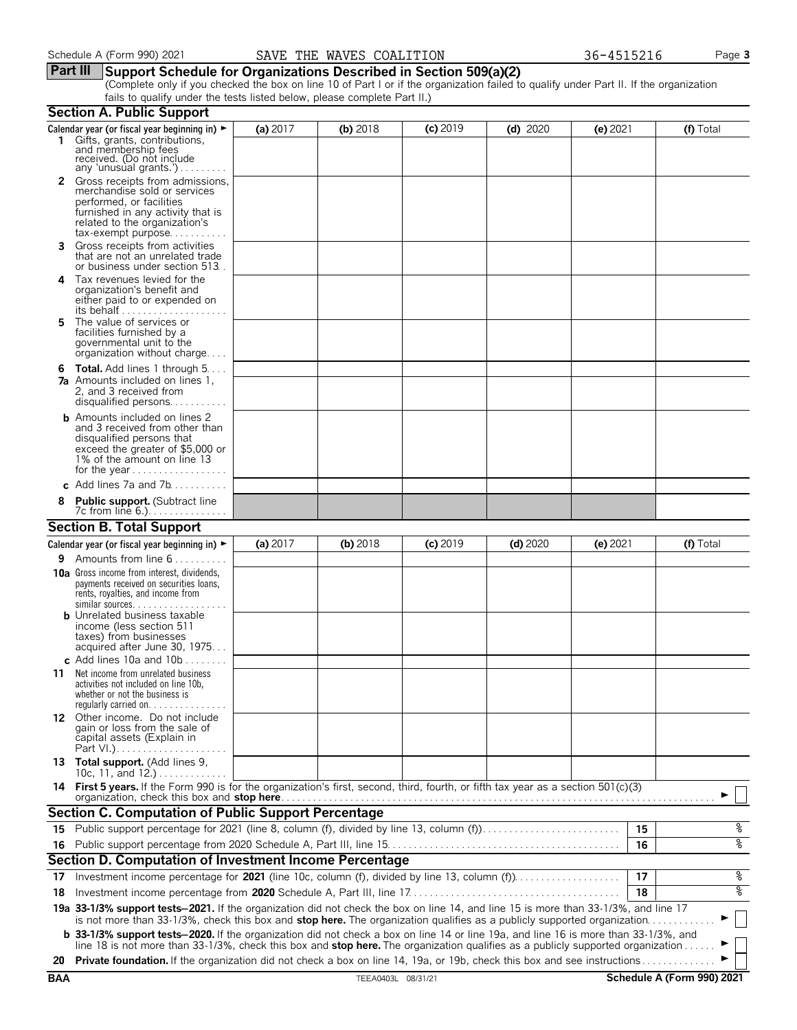# **Part III Support Schedule for Organizations Described in Section 509(a)(2)**

(Complete only if you checked the box on line 10 of Part I or if the organization failed to qualify under Part II. If the organization fails to qualify under the tests listed below, please complete Part II.)

|     | <b>Section A. Public Support</b>                                                                                                                                                                                                                                               |          |                    |            |            |            |    |                            |
|-----|--------------------------------------------------------------------------------------------------------------------------------------------------------------------------------------------------------------------------------------------------------------------------------|----------|--------------------|------------|------------|------------|----|----------------------------|
|     | Calendar year (or fiscal year beginning in) $\blacktriangleright$<br>1 Gifts, grants, contributions,<br>and membership fees<br>received. (Do not include                                                                                                                       | (a) 2017 | (b) 2018           | $(c)$ 2019 | $(d)$ 2020 | $(e)$ 2021 |    | (f) Total                  |
|     | any 'unusual grants.')<br>2 Gross receipts from admissions,<br>merchandise sold or services<br>performed, or facilities<br>furnished in any activity that is<br>related to the organization's                                                                                  |          |                    |            |            |            |    |                            |
| 3   | $tax\text{-}exempt$ purpose<br>Gross receipts from activities<br>that are not an unrelated trade                                                                                                                                                                               |          |                    |            |            |            |    |                            |
| 4   | or business under section 513.<br>Tax revenues levied for the                                                                                                                                                                                                                  |          |                    |            |            |            |    |                            |
|     | organization's benefit and<br>either paid to or expended on<br>its behalf                                                                                                                                                                                                      |          |                    |            |            |            |    |                            |
| 5.  | The value of services or<br>facilities furnished by a<br>governmental unit to the<br>organization without charge                                                                                                                                                               |          |                    |            |            |            |    |                            |
| 6   | <b>Total.</b> Add lines 1 through 5.<br><b>7a</b> Amounts included on lines 1,<br>2, and 3 received from                                                                                                                                                                       |          |                    |            |            |            |    |                            |
|     | <b>b</b> Amounts included on lines 2<br>and 3 received from other than<br>disqualified persons that<br>exceed the greater of \$5,000 or<br>1% of the amount on line 13                                                                                                         |          |                    |            |            |            |    |                            |
|     | c Add lines 7a and 7b                                                                                                                                                                                                                                                          |          |                    |            |            |            |    |                            |
|     | <b>Public support.</b> (Subtract line                                                                                                                                                                                                                                          |          |                    |            |            |            |    |                            |
|     | <b>Section B. Total Support</b>                                                                                                                                                                                                                                                |          |                    |            |            |            |    |                            |
|     | Calendar year (or fiscal year beginning in) $\blacktriangleright$                                                                                                                                                                                                              | (a) 2017 | (b) 2018           | $(c)$ 2019 | $(d)$ 2020 | $(e)$ 2021 |    | (f) Total                  |
| 9.  | Amounts from line 6                                                                                                                                                                                                                                                            |          |                    |            |            |            |    |                            |
|     | <b>10a</b> Gross income from interest, dividends,<br>payments received on securities loans,<br>rents, royalties, and income from<br>$similar$ sources.                                                                                                                         |          |                    |            |            |            |    |                            |
|     | <b>b</b> Unrelated business taxable<br>income (less section 511<br>taxes) from businesses<br>acquired after June 30, 1975<br>c Add lines 10a and $10b$                                                                                                                         |          |                    |            |            |            |    |                            |
| 11  | Net income from unrelated business<br>activities not included on line 10b,<br>whether or not the business is<br>regularly carried on. $\ldots$                                                                                                                                 |          |                    |            |            |            |    |                            |
|     | 12 Other income. Do not include<br>gain or loss from the sale of<br>capital assets (Explain in                                                                                                                                                                                 |          |                    |            |            |            |    |                            |
|     | 13 Total support. (Add lines 9,<br>10c, 11, and $12.$ )                                                                                                                                                                                                                        |          |                    |            |            |            |    |                            |
|     | 14 First 5 years. If the Form 990 is for the organization's first, second, third, fourth, or fifth tax year as a section 501(c)(3)<br>organization, check this box and stop here                                                                                               |          |                    |            |            |            |    |                            |
|     | Section C. Computation of Public Support Percentage                                                                                                                                                                                                                            |          |                    |            |            |            |    |                            |
| 15  | Public support percentage for 2021 (line 8, column (f), divided by line 13, column (f)                                                                                                                                                                                         |          |                    |            |            |            | 15 | %                          |
|     |                                                                                                                                                                                                                                                                                |          |                    |            |            |            | 16 | နွ                         |
|     | Section D. Computation of Investment Income Percentage                                                                                                                                                                                                                         |          |                    |            |            |            |    |                            |
| 17  |                                                                                                                                                                                                                                                                                |          |                    |            |            |            | 17 | %                          |
| 18  |                                                                                                                                                                                                                                                                                |          |                    |            |            |            | 18 | ०७                         |
|     | 19a 33-1/3% support tests-2021. If the organization did not check the box on line 14, and line 15 is more than 33-1/3%, and line 17<br>is not more than 33-1/3%, check this box and stop here. The organization qualifies as a publicly supported organization                 |          |                    |            |            |            |    |                            |
|     | <b>b 33-1/3% support tests-2020.</b> If the organization did not check a box on line 14 or line 19a, and line 16 is more than 33-1/3%, and<br>line 18 is not more than 33-1/3%, check this box and stop here. The organization qualifies as a publicly supported organization. |          |                    |            |            |            |    |                            |
| 20  | Private foundation. If the organization did not check a box on line 14, 19a, or 19b, check this box and see instructions                                                                                                                                                       |          |                    |            |            |            |    |                            |
| BAA |                                                                                                                                                                                                                                                                                |          | TEEA0403L 08/31/21 |            |            |            |    | Schedule A (Form 990) 2021 |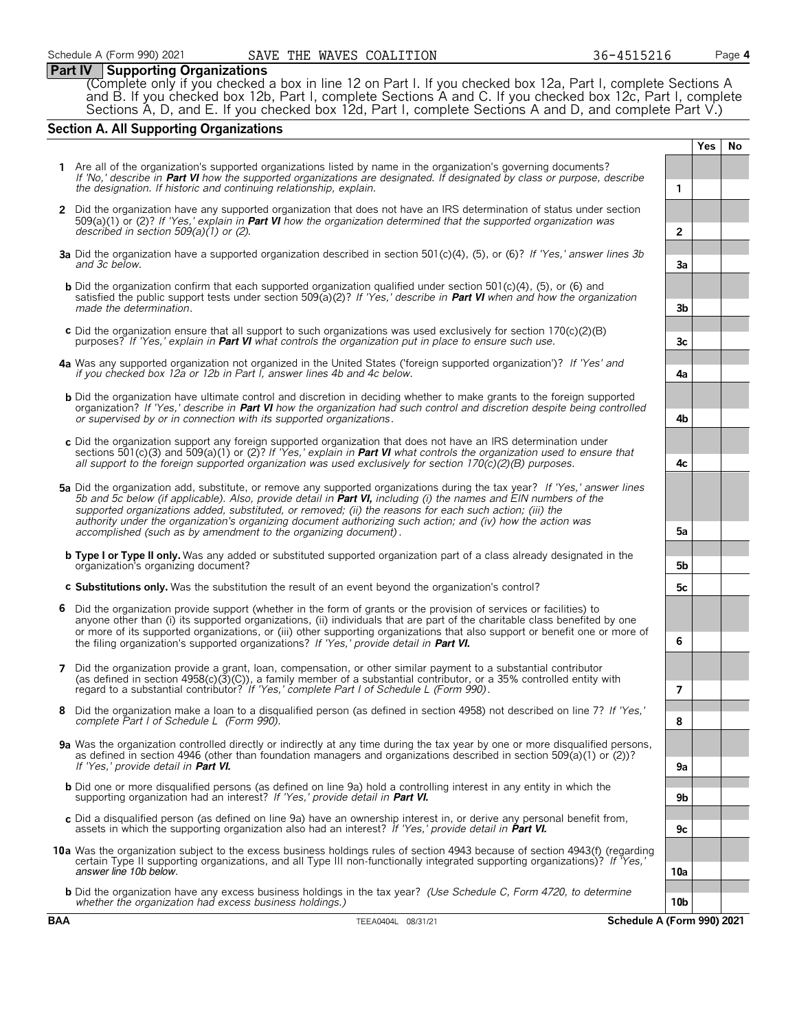# **Part IV Supporting Organizations**

(Complete only if you checked a box in line 12 on Part I. If you checked box 12a, Part I, complete Sections A and B. If you checked box 12b, Part I, complete Sections A and C. If you checked box 12c, Part I, complete Sections A, D, and E. If you checked box 12d, Part I, complete Sections A and D, and complete Part V.)

# **Section A. All Supporting Organizations**

|                                                                                                                                                                                                                                                                                                                                                                                                                                                                                                                                                      |                 | Yes | No |
|------------------------------------------------------------------------------------------------------------------------------------------------------------------------------------------------------------------------------------------------------------------------------------------------------------------------------------------------------------------------------------------------------------------------------------------------------------------------------------------------------------------------------------------------------|-----------------|-----|----|
| 1 Are all of the organization's supported organizations listed by name in the organization's governing documents?<br>If 'No,' describe in Part VI how the supported organizations are designated. If designated by class or purpose, describe<br>the designation. If historic and continuing relationship, explain.                                                                                                                                                                                                                                  | 1               |     |    |
| 2 Did the organization have any supported organization that does not have an IRS determination of status under section<br>509(a)(1) or (2)? If 'Yes,' explain in <b>Part VI</b> how the organization determined that the supported organization was<br>described in section $509(a)(1)$ or (2).                                                                                                                                                                                                                                                      | $\mathbf{2}$    |     |    |
| 3a Did the organization have a supported organization described in section 501(c)(4), (5), or (6)? If 'Yes,' answer lines 3b<br>and 3c below.                                                                                                                                                                                                                                                                                                                                                                                                        | За              |     |    |
| <b>b</b> Did the organization confirm that each supported organization qualified under section 501(c)(4), (5), or (6) and<br>satisfied the public support tests under section 509(a)(2)? If 'Yes,' describe in <b>Part VI</b> when and how the organization<br>made the determination.                                                                                                                                                                                                                                                               | 3b              |     |    |
| c Did the organization ensure that all support to such organizations was used exclusively for section $170(c)(2)(B)$<br>purposes? If 'Yes,' explain in Part VI what controls the organization put in place to ensure such use.                                                                                                                                                                                                                                                                                                                       | 3c              |     |    |
| 4a Was any supported organization not organized in the United States ('foreign supported organization')? If 'Yes' and<br>if you checked box 12a or 12b in Part I, answer lines 4b and 4c below.                                                                                                                                                                                                                                                                                                                                                      | 4a              |     |    |
| <b>b</b> Did the organization have ultimate control and discretion in deciding whether to make grants to the foreign supported<br>organization? If 'Yes,' describe in <b>Part VI</b> how the organization had such control and discretion despite being controlled<br>or supervised by or in connection with its supported organizations.                                                                                                                                                                                                            | 4b              |     |    |
| c Did the organization support any foreign supported organization that does not have an IRS determination under<br>sections 501(c)(3) and 509(a)(1) or (2)? If 'Yes,' explain in <b>Part VI</b> what controls the organization used to ensure that<br>all support to the foreign supported organization was used exclusively for section $170(c)(2)(B)$ purposes.                                                                                                                                                                                    | 4c              |     |    |
| 5a Did the organization add, substitute, or remove any supported organizations during the tax year? If 'Yes,' answer lines<br>5b and 5c below (if applicable). Also, provide detail in <b>Part VI</b> , including (i) the names and EIN numbers of the<br>supported organizations added, substituted, or removed; (ii) the reasons for each such action; (iii) the<br>authority under the organization's organizing document authorizing such action; and (iv) how the action was<br>accomplished (such as by amendment to the organizing document). | 5а              |     |    |
| <b>b</b> Type I or Type II only. Was any added or substituted supported organization part of a class already designated in the<br>organization's organizing document?                                                                                                                                                                                                                                                                                                                                                                                | 5b              |     |    |
| c Substitutions only. Was the substitution the result of an event beyond the organization's control?                                                                                                                                                                                                                                                                                                                                                                                                                                                 | 5c              |     |    |
| 6 Did the organization provide support (whether in the form of grants or the provision of services or facilities) to<br>anyone other than (i) its supported organizations, (ii) individuals that are part of the charitable class benefited by one<br>or more of its supported organizations, or (iii) other supporting organizations that also support or benefit one or more of<br>the filing organization's supported organizations? If 'Yes,' provide detail in Part VI.                                                                         | 6               |     |    |
| 7 Did the organization provide a grant, loan, compensation, or other similar payment to a substantial contributor<br>(as defined in section $4958(c)(3)(C)$ ), a family member of a substantial contributor, or a 35% controlled entity with<br>regard to a substantial contributor? If 'Yes,' complete Part I of Schedule L (Form 990).                                                                                                                                                                                                             | $\overline{7}$  |     |    |
| Did the organization make a loan to a disqualified person (as defined in section 4958) not described on line 7? If 'Yes,'<br>complete Part I of Schedule L (Form 990).                                                                                                                                                                                                                                                                                                                                                                               | 8               |     |    |
| 9a Was the organization controlled directly or indirectly at any time during the tax year by one or more disqualified persons,<br>as defined in section 4946 (other than foundation managers and organizations described in section 509(a)(1) or (2))?<br>If 'Yes,' provide detail in Part VI.                                                                                                                                                                                                                                                       | 9a              |     |    |
| <b>b</b> Did one or more disqualified persons (as defined on line 9a) hold a controlling interest in any entity in which the<br>supporting organization had an interest? If 'Yes,' provide detail in <b>Part VI.</b>                                                                                                                                                                                                                                                                                                                                 | 9b              |     |    |
| c Did a disqualified person (as defined on line 9a) have an ownership interest in, or derive any personal benefit from,<br>assets in which the supporting organization also had an interest? If 'Yes,' provide detail in Part VI.                                                                                                                                                                                                                                                                                                                    | 9с              |     |    |
| 10a Was the organization subject to the excess business holdings rules of section 4943 because of section 4943(f) (regarding<br>certain Type II supporting organizations, and all Type III non-functionally integrated supporting organizations)? If 'Yes,'<br>answer line 10b below.                                                                                                                                                                                                                                                                | 10a             |     |    |
| <b>b</b> Did the organization have any excess business holdings in the tax year? (Use Schedule C, Form 4720, to determine<br>whether the organization had excess business holdings.)                                                                                                                                                                                                                                                                                                                                                                 | 10 <sub>b</sub> |     |    |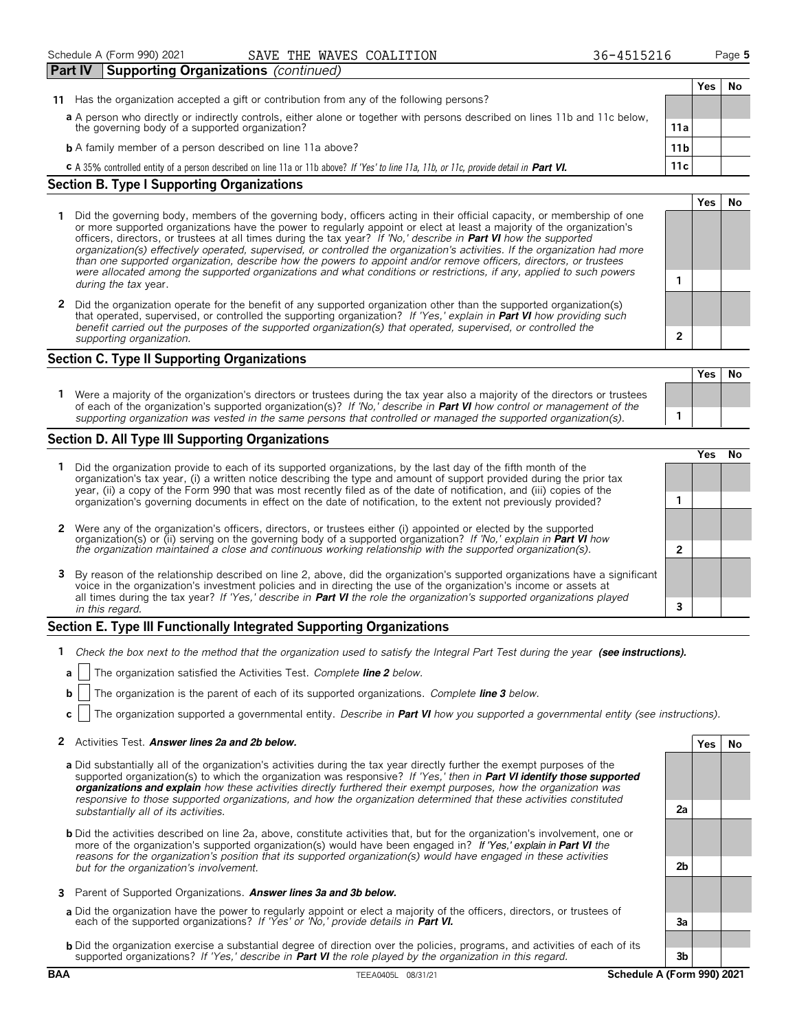# Schedule A (Form 990) 2021 **SAVE THE WAVES COALITION** 36-4515216 Page 5

| 36-4515216 |  |
|------------|--|
|            |  |

**Yes No**

| <b>Part IV</b>                                                                                                              | Supporting Organizations (continued)                                                                                                           |  |     |    |  |
|-----------------------------------------------------------------------------------------------------------------------------|------------------------------------------------------------------------------------------------------------------------------------------------|--|-----|----|--|
|                                                                                                                             |                                                                                                                                                |  | Yes | No |  |
| 11                                                                                                                          | Has the organization accepted a gift or contribution from any of the following persons?                                                        |  |     |    |  |
| a A person who directly or indirectly controls, either alone or together with persons described on lines 11b and 11c below, |                                                                                                                                                |  |     |    |  |
|                                                                                                                             | the governing body of a supported organization?<br>11a                                                                                         |  |     |    |  |
|                                                                                                                             | <b>b</b> A family member of a person described on line 11a above?<br>11 <sub>b</sub>                                                           |  |     |    |  |
|                                                                                                                             | 11c<br>C A 35% controlled entity of a person described on line 11a or 11b above? If 'Yes' to line 11a, 11b, or 11c, provide detail in Part VI. |  |     |    |  |

# **Section B. Type I Supporting Organizations**

- **1** Did the governing body, members of the governing body, officers acting in their official capacity, or membership of one or more supported organizations have the power to regularly appoint or elect at least a majority of the organization's officers, directors, or trustees at all times during the tax year? *If 'No,' describe in* **Part VI** *how the supported organization(s) effectively operated, supervised, or controlled the organization's activities. If the organization had more than one supported organization, describe how the powers to appoint and/or remove officers, directors, or trustees were allocated among the supported organizations and what conditions or restrictions, if any, applied to such powers* **1** *during the tax* year.
- **2** Did the organization operate for the benefit of any supported organization other than the supported organization(s) that operated, supervised, or controlled the supporting organization? *If 'Yes,' explain in* **Part VI** *how providing such benefit carried out the purposes of the supported organization(s) that operated, supervised, or controlled the supporting organization.* **2**

# **Section C. Type II Supporting Organizations**

|                                                                                                                                                                                                                                                               | Yes | No |
|---------------------------------------------------------------------------------------------------------------------------------------------------------------------------------------------------------------------------------------------------------------|-----|----|
| Were a majority of the organization's directors or trustees during the tax year also a majority of the directors or trustees<br>of each of the organization's supported organization(s)? If 'No,' describe in <b>Part VI</b> how control or management of the |     |    |
| supporting organization was vested in the same persons that controlled or managed the supported organization(s).                                                                                                                                              |     |    |

# **Section D. All Type III Supporting Organizations**

|                                                                                                                                                                                                                                                                                                                                                                                |   | ⁄ ρς |  |
|--------------------------------------------------------------------------------------------------------------------------------------------------------------------------------------------------------------------------------------------------------------------------------------------------------------------------------------------------------------------------------|---|------|--|
| Did the organization provide to each of its supported organizations, by the last day of the fifth month of the<br>organization's tax year, (i) a written notice describing the type and amount of support provided during the prior tax<br>year, (ii) a copy of the Form 990 that was most recently filed as of the date of notification, and (iii) copies of the              |   |      |  |
| organization's governing documents in effect on the date of notification, to the extent not previously provided?                                                                                                                                                                                                                                                               |   |      |  |
| 2 Were any of the organization's officers, directors, or trustees either (i) appointed or elected by the supported<br>organization(s) or (ii) serving on the governing body of a supported organization? If 'No,' explain in Part VI how                                                                                                                                       |   |      |  |
| the organization maintained a close and continuous working relationship with the supported organization(s).                                                                                                                                                                                                                                                                    | ◠ |      |  |
| 3 By reason of the relationship described on line 2, above, did the organization's supported organizations have a significant<br>voice in the organization's investment policies and in directing the use of the organization's income or assets at<br>all times during the tax year? If 'Yes,' describe in Part VI the role the organization's supported organizations played |   |      |  |
| in this regard.                                                                                                                                                                                                                                                                                                                                                                |   |      |  |

# **Section E. Type III Functionally Integrated Supporting Organizations**

- **1** *Check the box next to the method that the organization used to satisfy the Integral Part Test during the year* (see instructions).
- **a** The organization satisfied the Activities Test. *Complete line 2 below.*
- **b** The organization is the parent of each of its supported organizations. *Complete line 3 below.*
- **c** The organization supported a governmental entity. *Describe in* **Part VI** *how you supported a governmental entity (see instructions).*

# **2** Activities Test. Answer lines 2a and 2b below. **A substitution of the set of the Second Second Second Second Second Second Second Second Second Second Second Second Second Second Second Second Second Second Second Seco**

- **a** Did substantially all of the organization's activities during the tax year directly further the exempt purposes of the supported organization(s) to which the organization was responsive? *If 'Yes,' then in* **Part VI identify those supported organizations and explain** *how these activities directly furthered their exempt purposes, how the organization was responsive to those supported organizations, and how the organization determined that these activities constituted substantially all of its activities.* **2a**
- **b** Did the activities described on line 2a, above, constitute activities that, but for the organization's involvement, one or more of the organization's supported organization(s) would have been engaged in? If 'Yes,' explain in **Part VI** *the reasons for the organization's position that its supported organization(s) would have engaged in these activities but for the organization's involvement.* **2b**
- **3** Parent of Supported Organizations. **Answer lines 3a and 3b below.**
- **a** Did the organization have the power to regularly appoint or elect a majority of the officers, directors, or trustees of each of the supported organizations? *If 'Yes' or 'No,' provide details in* **Part VI. 3a**
- **b** Did the organization exercise a substantial degree of direction over the policies, programs, and activities of each of its supported organizations? *If 'Yes,' describe in* **Part VI** *the role played by the organization in this regard.* **3b**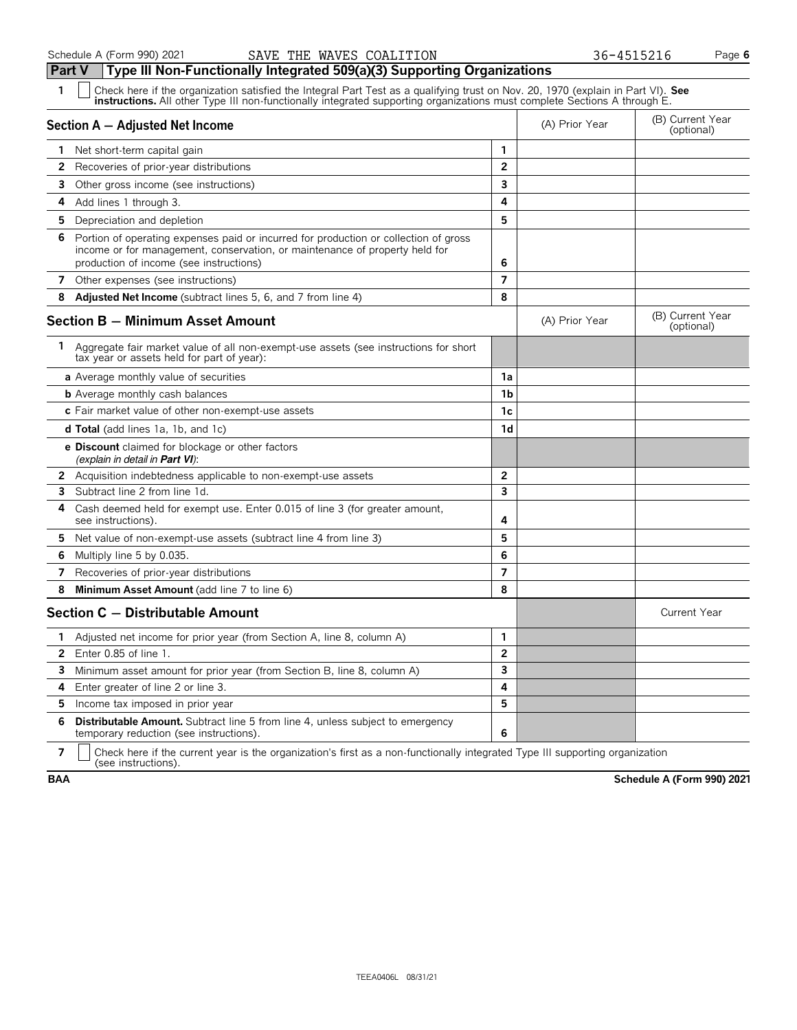**Part V Type III Non-Functionally Integrated 509(a)(3) Supporting Organizations**

| 1<br>Check here if the organization satisfied the Integral Part Test as a qualifying trust on Nov. 20, 1970 (explain in Part VI). See<br><b>instructions.</b> All other Type III non-functionally integrated supporting organizations must complete Sections A through E. |                |                |                                |
|---------------------------------------------------------------------------------------------------------------------------------------------------------------------------------------------------------------------------------------------------------------------------|----------------|----------------|--------------------------------|
| Section A - Adjusted Net Income                                                                                                                                                                                                                                           |                | (A) Prior Year | (B) Current Year<br>(optional) |
| 1 Net short-term capital gain                                                                                                                                                                                                                                             | 1              |                |                                |
| 2<br>Recoveries of prior-year distributions                                                                                                                                                                                                                               | $\mathbf{2}$   |                |                                |
| 3<br>Other gross income (see instructions)                                                                                                                                                                                                                                | 3              |                |                                |
| Add lines 1 through 3.<br>4                                                                                                                                                                                                                                               | 4              |                |                                |
| 5<br>Depreciation and depletion                                                                                                                                                                                                                                           | 5              |                |                                |
| 6<br>Portion of operating expenses paid or incurred for production or collection of gross<br>income or for management, conservation, or maintenance of property held for<br>production of income (see instructions)                                                       | 6              |                |                                |
| 7 Other expenses (see instructions)                                                                                                                                                                                                                                       | $\overline{7}$ |                |                                |
| 8<br><b>Adjusted Net Income</b> (subtract lines 5, 6, and 7 from line 4)                                                                                                                                                                                                  | 8              |                |                                |
| <b>Section B - Minimum Asset Amount</b>                                                                                                                                                                                                                                   |                | (A) Prior Year | (B) Current Year<br>(optional) |
| 1 Aggregate fair market value of all non-exempt-use assets (see instructions for short<br>tax year or assets held for part of year):                                                                                                                                      |                |                |                                |
| <b>a</b> Average monthly value of securities                                                                                                                                                                                                                              | 1a             |                |                                |
| <b>b</b> Average monthly cash balances                                                                                                                                                                                                                                    | 1b             |                |                                |
| c Fair market value of other non-exempt-use assets                                                                                                                                                                                                                        | 1c             |                |                                |
| <b>d Total</b> (add lines 1a, 1b, and 1c)                                                                                                                                                                                                                                 | 1d             |                |                                |
| e Discount claimed for blockage or other factors<br>(explain in detail in <b>Part VI</b> ):                                                                                                                                                                               |                |                |                                |
| $\mathbf{2}$<br>Acquisition indebtedness applicable to non-exempt-use assets                                                                                                                                                                                              | $\overline{2}$ |                |                                |
| Subtract line 2 from line 1d.<br>3                                                                                                                                                                                                                                        | 3              |                |                                |
| Cash deemed held for exempt use. Enter 0.015 of line 3 (for greater amount,<br>4<br>see instructions).                                                                                                                                                                    | 4              |                |                                |
| 5.<br>Net value of non-exempt-use assets (subtract line 4 from line 3)                                                                                                                                                                                                    | 5              |                |                                |
| 6<br>Multiply line 5 by 0.035.                                                                                                                                                                                                                                            | 6              |                |                                |
| Recoveries of prior-year distributions<br>7                                                                                                                                                                                                                               | $\overline{7}$ |                |                                |
| 8<br>Minimum Asset Amount (add line 7 to line 6)                                                                                                                                                                                                                          | 8              |                |                                |
| Section C - Distributable Amount                                                                                                                                                                                                                                          |                |                | <b>Current Year</b>            |
| Adjusted net income for prior year (from Section A, line 8, column A)<br>1                                                                                                                                                                                                | 1              |                |                                |
| $\mathbf{2}$<br>Enter 0.85 of line 1.                                                                                                                                                                                                                                     | $\overline{2}$ |                |                                |
| 3<br>Minimum asset amount for prior year (from Section B, line 8, column A)                                                                                                                                                                                               | 3              |                |                                |
| Enter greater of line 2 or line 3.<br>4                                                                                                                                                                                                                                   | 4              |                |                                |
| 5<br>Income tax imposed in prior year                                                                                                                                                                                                                                     | 5              |                |                                |
| <b>Distributable Amount.</b> Subtract line 5 from line 4, unless subject to emergency<br>6<br>temporary reduction (see instructions).                                                                                                                                     | 6              |                |                                |

**7**  $\Box$  Check here if the current year is the organization's first as a non-functionally integrated Type III supporting organization (see instructions).

**BAA Schedule A (Form 990) 2021**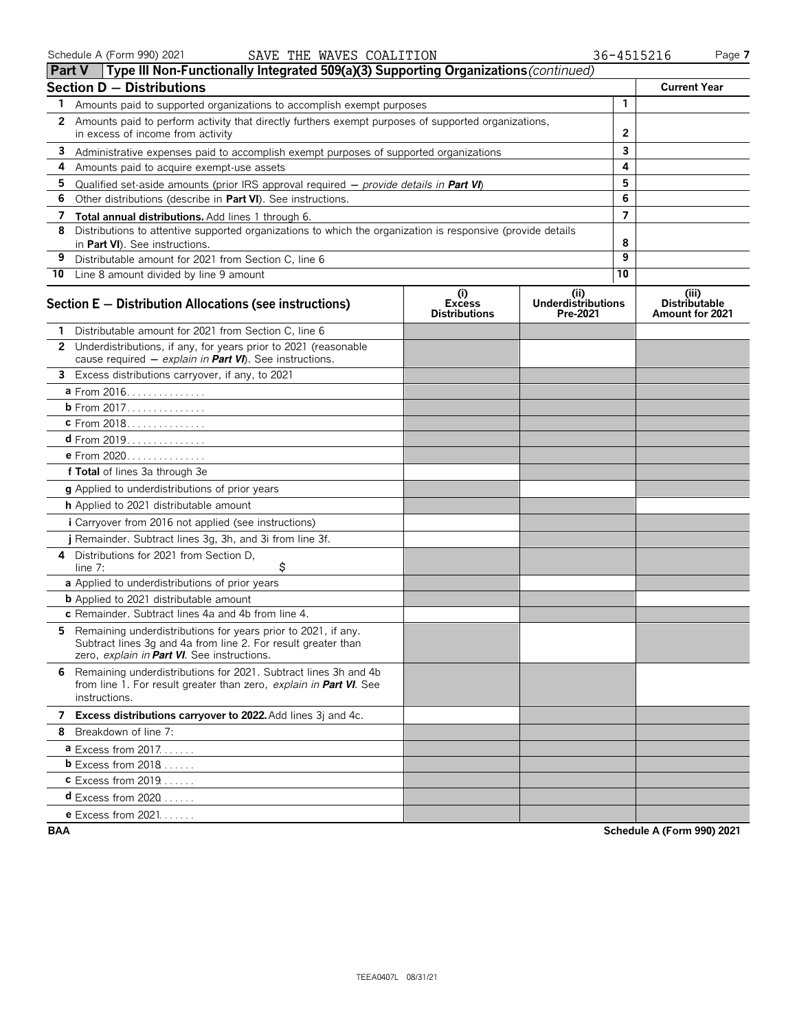|    | Type III Non-Functionally Integrated 509(a)(3) Supporting Organizations (continued)<br><b>Part V</b>                                                                          |                                              |                                               |                |                                                  |
|----|-------------------------------------------------------------------------------------------------------------------------------------------------------------------------------|----------------------------------------------|-----------------------------------------------|----------------|--------------------------------------------------|
|    | <b>Section D - Distributions</b>                                                                                                                                              |                                              |                                               |                | <b>Current Year</b>                              |
| 1. | Amounts paid to supported organizations to accomplish exempt purposes                                                                                                         |                                              |                                               | $\mathbf{1}$   |                                                  |
|    | 2 Amounts paid to perform activity that directly furthers exempt purposes of supported organizations,                                                                         |                                              |                                               |                |                                                  |
|    | in excess of income from activity                                                                                                                                             |                                              | $\mathbf{2}$                                  |                |                                                  |
| 3  | Administrative expenses paid to accomplish exempt purposes of supported organizations                                                                                         |                                              | 3                                             |                |                                                  |
| 4  | Amounts paid to acquire exempt-use assets                                                                                                                                     |                                              |                                               | 4              |                                                  |
| 5  | Qualified set-aside amounts (prior IRS approval required $-$ provide details in <b>Part VI</b> )                                                                              |                                              |                                               | 5              |                                                  |
| 6  | Other distributions (describe in Part VI). See instructions.                                                                                                                  |                                              |                                               | 6              |                                                  |
| 7  | Total annual distributions. Add lines 1 through 6.                                                                                                                            |                                              |                                               | $\overline{7}$ |                                                  |
| 8  | Distributions to attentive supported organizations to which the organization is responsive (provide details<br>in Part VI). See instructions.                                 |                                              |                                               | 8              |                                                  |
| 9  | Distributable amount for 2021 from Section C, line 6                                                                                                                          |                                              |                                               | 9              |                                                  |
|    | 10 Line 8 amount divided by line 9 amount                                                                                                                                     |                                              |                                               | 10             |                                                  |
|    | Section E - Distribution Allocations (see instructions)                                                                                                                       | (i)<br><b>Excess</b><br><b>Distributions</b> | (ii)<br><b>Underdistributions</b><br>Pre-2021 |                | (iii)<br><b>Distributable</b><br>Amount for 2021 |
|    | Distributable amount for 2021 from Section C, line 6                                                                                                                          |                                              |                                               |                |                                                  |
|    | 2 Underdistributions, if any, for years prior to 2021 (reasonable<br>cause required $-$ explain in Part VI). See instructions.                                                |                                              |                                               |                |                                                  |
|    | 3 Excess distributions carryover, if any, to 2021                                                                                                                             |                                              |                                               |                |                                                  |
|    | a From 2016.                                                                                                                                                                  |                                              |                                               |                |                                                  |
|    | <b>b</b> From 2017.                                                                                                                                                           |                                              |                                               |                |                                                  |
|    | c From 2018.                                                                                                                                                                  |                                              |                                               |                |                                                  |
|    | <b>d</b> From 2019.                                                                                                                                                           |                                              |                                               |                |                                                  |
|    | <b>e</b> From 2020                                                                                                                                                            |                                              |                                               |                |                                                  |
|    | f Total of lines 3a through 3e                                                                                                                                                |                                              |                                               |                |                                                  |
|    | g Applied to underdistributions of prior years                                                                                                                                |                                              |                                               |                |                                                  |
|    | h Applied to 2021 distributable amount                                                                                                                                        |                                              |                                               |                |                                                  |
|    | <i>i</i> Carryover from 2016 not applied (see instructions)                                                                                                                   |                                              |                                               |                |                                                  |
|    | Remainder. Subtract lines 3g, 3h, and 3i from line 3f.                                                                                                                        |                                              |                                               |                |                                                  |
| 4  | Distributions for 2021 from Section D,<br>\$<br>line $7:$                                                                                                                     |                                              |                                               |                |                                                  |
|    | a Applied to underdistributions of prior years                                                                                                                                |                                              |                                               |                |                                                  |
|    | <b>b</b> Applied to 2021 distributable amount                                                                                                                                 |                                              |                                               |                |                                                  |
|    | c Remainder. Subtract lines 4a and 4b from line 4.                                                                                                                            |                                              |                                               |                |                                                  |
| 5. | Remaining underdistributions for years prior to 2021, if any.<br>Subtract lines 3g and 4a from line 2. For result greater than<br>zero, explain in Part VI. See instructions. |                                              |                                               |                |                                                  |
|    | 6 Remaining underdistributions for 2021. Subtract lines 3h and 4b<br>from line 1. For result greater than zero, explain in Part VI. See<br>instructions.                      |                                              |                                               |                |                                                  |
|    | 7 Excess distributions carryover to 2022. Add lines 3j and 4c.                                                                                                                |                                              |                                               |                |                                                  |
|    | 8 Breakdown of line 7:                                                                                                                                                        |                                              |                                               |                |                                                  |
|    | <b>a</b> Excess from $2017$                                                                                                                                                   |                                              |                                               |                |                                                  |
|    | $b$ Excess from 2018                                                                                                                                                          |                                              |                                               |                |                                                  |
|    | $c$ Excess from 2019                                                                                                                                                          |                                              |                                               |                |                                                  |
|    | <b>d</b> Excess from 2020 $\ldots$                                                                                                                                            |                                              |                                               |                |                                                  |
|    | <b>e</b> Excess from $2021$                                                                                                                                                   |                                              |                                               |                |                                                  |

**BAA Schedule A (Form 990) 2021**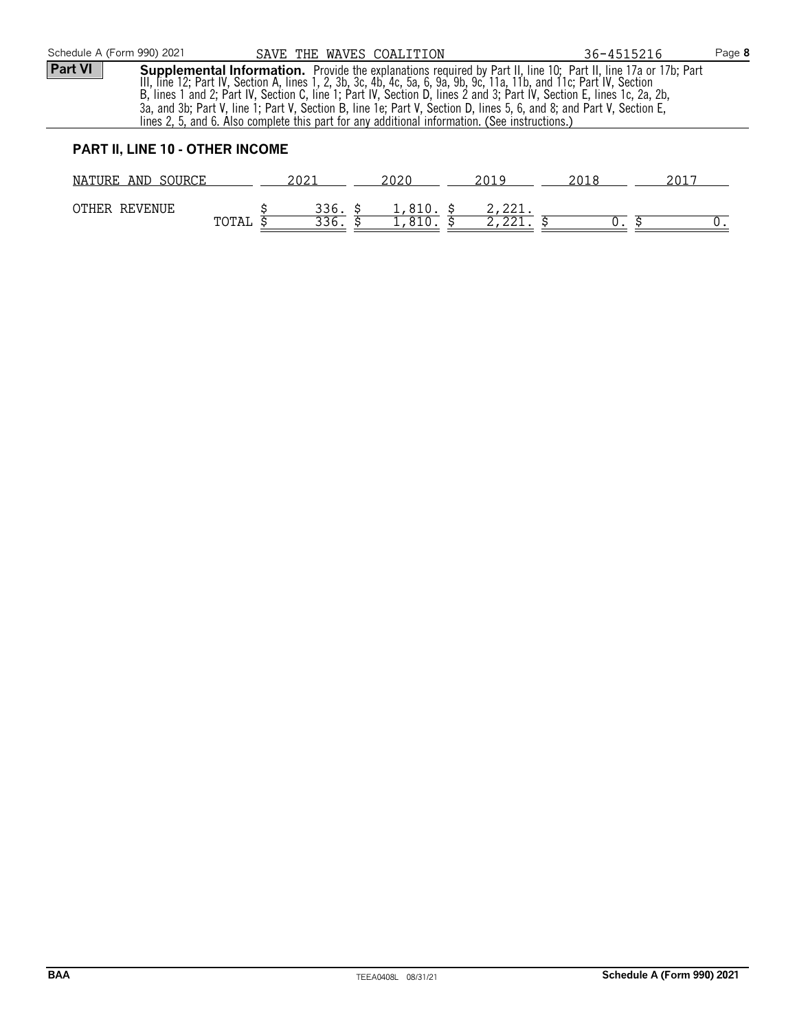|                                                                                                                                                                                                                                                                                                                                                                                                                                                                                                                                                                                                          | Schedule A (Form 990) 2021             |  | SAVE THE WAVES COALITION |  |           |  |        | 36-4515216 |      | Page 8 |
|----------------------------------------------------------------------------------------------------------------------------------------------------------------------------------------------------------------------------------------------------------------------------------------------------------------------------------------------------------------------------------------------------------------------------------------------------------------------------------------------------------------------------------------------------------------------------------------------------------|----------------------------------------|--|--------------------------|--|-----------|--|--------|------------|------|--------|
| <b>Part VI</b><br><b>Supplemental Information.</b> Provide the explanations required by Part II, line 10; Part II, line 17a or 17b; Part III, line 17a or 17b; Part III, line 12; Part IV, Section A, lines 1, 2, 3b, 3c, 4b, 4c, 5a, 6, 9a, 9b, 9c,<br>B, lines 1 and 2; Part IV, Section C, line 1; Part IV, Section D, lines 2 and 3; Part IV, Section E, lines 1c, 2a, 2b,<br>3a, and 3b; Part V, line 1; Part V, Section B, line 1e; Part V, Section D, lines 5, 6, and 8; and Part V, Section E,<br>lines 2, 5, and 6. Also complete this part for any additional information. (See instructions.) |                                        |  |                          |  |           |  |        |            |      |        |
|                                                                                                                                                                                                                                                                                                                                                                                                                                                                                                                                                                                                          | <b>PART II, LINE 10 - OTHER INCOME</b> |  |                          |  |           |  |        |            |      |        |
|                                                                                                                                                                                                                                                                                                                                                                                                                                                                                                                                                                                                          | NATURE AND SOURCE                      |  | 2021                     |  | 2020      |  | 2019   | 2018       | 2017 |        |
|                                                                                                                                                                                                                                                                                                                                                                                                                                                                                                                                                                                                          | OTHER REVENUE                          |  | 336. S                   |  | 1,810. \$ |  | 2,221. |            |      |        |

TOTAL  $\overline{\xi}$  336.  $\overline{\xi}$  1,810.  $\overline{\xi}$  2,221.  $\overline{\xi}$  0.  $\overline{\xi}$  0.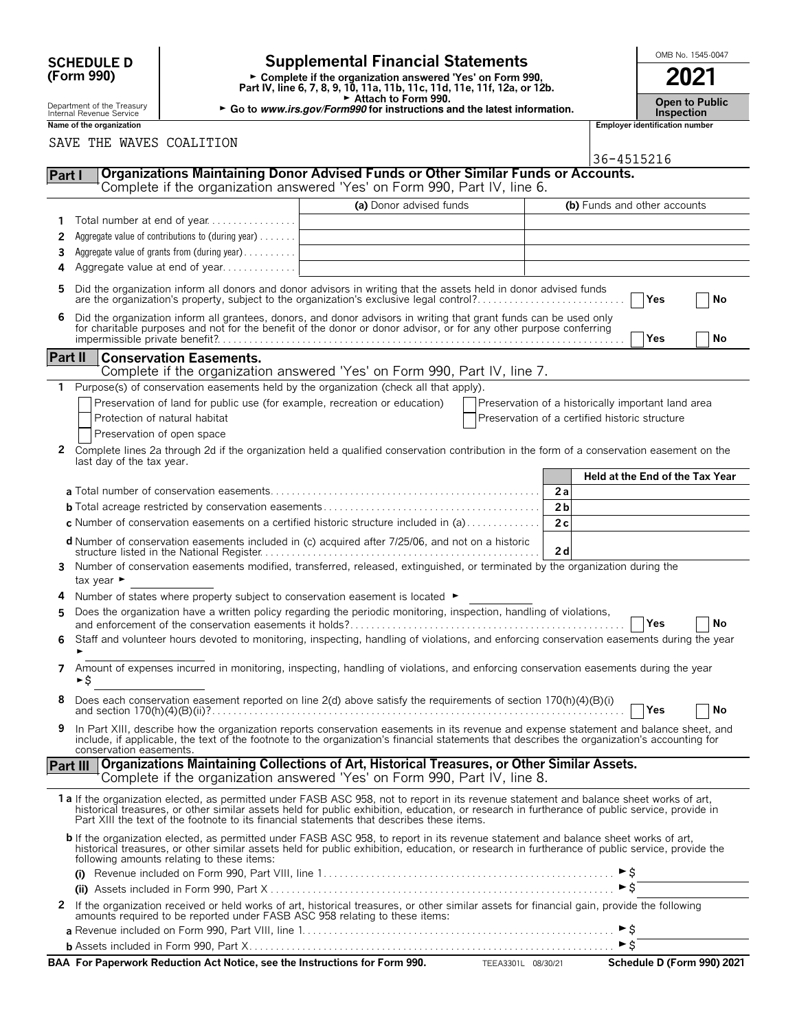| <b>SCHEDULE D</b> |  |
|-------------------|--|
| (Form 990)        |  |

# **SCHEDULE D**  $\begin{bmatrix} 0 \end{bmatrix}$  **Supplemental Financial Statements**  $\begin{bmatrix} 0 \end{bmatrix}$   $\begin{bmatrix} 0 \end{bmatrix}$   $\begin{bmatrix} 0 \end{bmatrix}$

**Part IV, line 6, 7, 8, 9, 10, 11a, 11b, 11c, 11d, 11e, 11f, 12a, or 12b.**<br>
Part IV, line 6, 7, 8, 9, 10, 11a, 11b, 11c, 11d, 11e, 11f, 12a, or 12b.

G **Attach to Form 990.**

Department of the Treasury **Compart of the Treasury <b>Compart of the Treasury Compart of the Treasury <b>Compart of Compart of Compart of Compart of Compart of Compart of the Inspection**<br>Internal Revenue Service **Inspection** 

|                | Name of the organization                                                                                                                                                                                                                                                                                                                                                                |                                                                                                                                                                | <b>Employer identification number</b>                                                                                                     |
|----------------|-----------------------------------------------------------------------------------------------------------------------------------------------------------------------------------------------------------------------------------------------------------------------------------------------------------------------------------------------------------------------------------------|----------------------------------------------------------------------------------------------------------------------------------------------------------------|-------------------------------------------------------------------------------------------------------------------------------------------|
|                | SAVE THE WAVES COALITION                                                                                                                                                                                                                                                                                                                                                                |                                                                                                                                                                |                                                                                                                                           |
|                |                                                                                                                                                                                                                                                                                                                                                                                         |                                                                                                                                                                | 36-4515216                                                                                                                                |
| Part I         |                                                                                                                                                                                                                                                                                                                                                                                         | Organizations Maintaining Donor Advised Funds or Other Similar Funds or Accounts.<br>Complete if the organization answered 'Yes' on Form 990, Part IV, line 6. |                                                                                                                                           |
|                |                                                                                                                                                                                                                                                                                                                                                                                         | (a) Donor advised funds                                                                                                                                        | (b) Funds and other accounts                                                                                                              |
| 1              | Total number at end of year                                                                                                                                                                                                                                                                                                                                                             |                                                                                                                                                                |                                                                                                                                           |
| 2              | Aggregate value of contributions to (during year)                                                                                                                                                                                                                                                                                                                                       |                                                                                                                                                                |                                                                                                                                           |
| 3              | Aggregate value of grants from (during year)                                                                                                                                                                                                                                                                                                                                            |                                                                                                                                                                |                                                                                                                                           |
| 4              | Aggregate value at end of year                                                                                                                                                                                                                                                                                                                                                          |                                                                                                                                                                |                                                                                                                                           |
| 5              | Did the organization inform all donors and donor advisors in writing that the assets held in donor advised funds<br>are the organization's property, subject to the organization's exclusive legal control?                                                                                                                                                                             |                                                                                                                                                                | Yes<br>No                                                                                                                                 |
| 6              | Did the organization inform all grantees, donors, and donor advisors in writing that grant funds can be used only<br>for charitable purposes and not for the benefit of the donor or donor advisor, or for any other purpose conferring                                                                                                                                                 |                                                                                                                                                                | Yes<br>No                                                                                                                                 |
|                | <b>Part II</b><br><b>Conservation Easements.</b>                                                                                                                                                                                                                                                                                                                                        | Complete if the organization answered 'Yes' on Form 990, Part IV, line 7.                                                                                      |                                                                                                                                           |
| 1              | Purpose(s) of conservation easements held by the organization (check all that apply).                                                                                                                                                                                                                                                                                                   |                                                                                                                                                                |                                                                                                                                           |
|                | Preservation of land for public use (for example, recreation or education)                                                                                                                                                                                                                                                                                                              |                                                                                                                                                                | Preservation of a historically important land area                                                                                        |
|                | Protection of natural habitat                                                                                                                                                                                                                                                                                                                                                           |                                                                                                                                                                | Preservation of a certified historic structure                                                                                            |
|                | Preservation of open space                                                                                                                                                                                                                                                                                                                                                              |                                                                                                                                                                |                                                                                                                                           |
| $\mathbf{2}$   | Complete lines 2a through 2d if the organization held a qualified conservation contribution in the form of a conservation easement on the<br>last day of the tax year.                                                                                                                                                                                                                  |                                                                                                                                                                |                                                                                                                                           |
|                |                                                                                                                                                                                                                                                                                                                                                                                         |                                                                                                                                                                | Held at the End of the Tax Year                                                                                                           |
|                |                                                                                                                                                                                                                                                                                                                                                                                         |                                                                                                                                                                | 2a                                                                                                                                        |
|                |                                                                                                                                                                                                                                                                                                                                                                                         |                                                                                                                                                                | 2 <sub>b</sub>                                                                                                                            |
|                | c Number of conservation easements on a certified historic structure included in (a) $\dots$                                                                                                                                                                                                                                                                                            |                                                                                                                                                                | 2c                                                                                                                                        |
|                | d Number of conservation easements included in (c) acquired after 7/25/06, and not on a historic                                                                                                                                                                                                                                                                                        |                                                                                                                                                                |                                                                                                                                           |
|                |                                                                                                                                                                                                                                                                                                                                                                                         |                                                                                                                                                                | 2d                                                                                                                                        |
| 3              | Number of conservation easements modified, transferred, released, extinguished, or terminated by the organization during the<br>tax year ►                                                                                                                                                                                                                                              |                                                                                                                                                                |                                                                                                                                           |
| 4              | Number of states where property subject to conservation easement is located $\blacktriangleright$                                                                                                                                                                                                                                                                                       |                                                                                                                                                                |                                                                                                                                           |
| 5              | Does the organization have a written policy regarding the periodic monitoring, inspection, handling of violations,                                                                                                                                                                                                                                                                      |                                                                                                                                                                |                                                                                                                                           |
|                |                                                                                                                                                                                                                                                                                                                                                                                         |                                                                                                                                                                | No<br>Yes                                                                                                                                 |
| 6              |                                                                                                                                                                                                                                                                                                                                                                                         |                                                                                                                                                                | Staff and volunteer hours devoted to monitoring, inspecting, handling of violations, and enforcing conservation easements during the year |
| $\overline{ }$ | Amount of expenses incurred in monitoring, inspecting, handling of violations, and enforcing conservation easements during the year<br>►\$                                                                                                                                                                                                                                              |                                                                                                                                                                |                                                                                                                                           |
|                | Does each conservation easement reported on line 2(d) above satisfy the requirements of section 170(h)(4)(B)(i)                                                                                                                                                                                                                                                                         |                                                                                                                                                                | No<br>Yes                                                                                                                                 |
| 9              | include, if applicable, the text of the footnote to the organization's financial statements that describes the organization's accounting for<br>conservation easements.                                                                                                                                                                                                                 |                                                                                                                                                                | In Part XIII, describe how the organization reports conservation easements in its revenue and expense statement and balance sheet, and    |
|                | Part III                                                                                                                                                                                                                                                                                                                                                                                | Organizations Maintaining Collections of Art, Historical Treasures, or Other Similar Assets.                                                                   |                                                                                                                                           |
|                |                                                                                                                                                                                                                                                                                                                                                                                         | Complete if the organization answered 'Yes' on Form 990, Part IV, line 8.                                                                                      |                                                                                                                                           |
|                | 1 a If the organization elected, as permitted under FASB ASC 958, not to report in its revenue statement and balance sheet works of art,<br>historical treasures, or other similar assets held for public exhibition, education, or research in furtherance of public service, provide in<br>Part XIII the text of the footnote to its financial statements that describes these items. |                                                                                                                                                                |                                                                                                                                           |
|                | b If the organization elected, as permitted under FASB ASC 958, to report in its revenue statement and balance sheet works of art,<br>historical treasures, or other similar assets held for public exhibition, education, or research in furtherance of public service, provide the<br>following amounts relating to these items:                                                      |                                                                                                                                                                |                                                                                                                                           |
|                |                                                                                                                                                                                                                                                                                                                                                                                         |                                                                                                                                                                | ►\$                                                                                                                                       |
|                |                                                                                                                                                                                                                                                                                                                                                                                         |                                                                                                                                                                | $\triangleright$ \$                                                                                                                       |
|                | 2 If the organization received or held works of art, historical treasures, or other similar assets for financial gain, provide the following<br>amounts required to be reported under FASB ASC 958 relating to these items:                                                                                                                                                             |                                                                                                                                                                |                                                                                                                                           |
|                |                                                                                                                                                                                                                                                                                                                                                                                         |                                                                                                                                                                |                                                                                                                                           |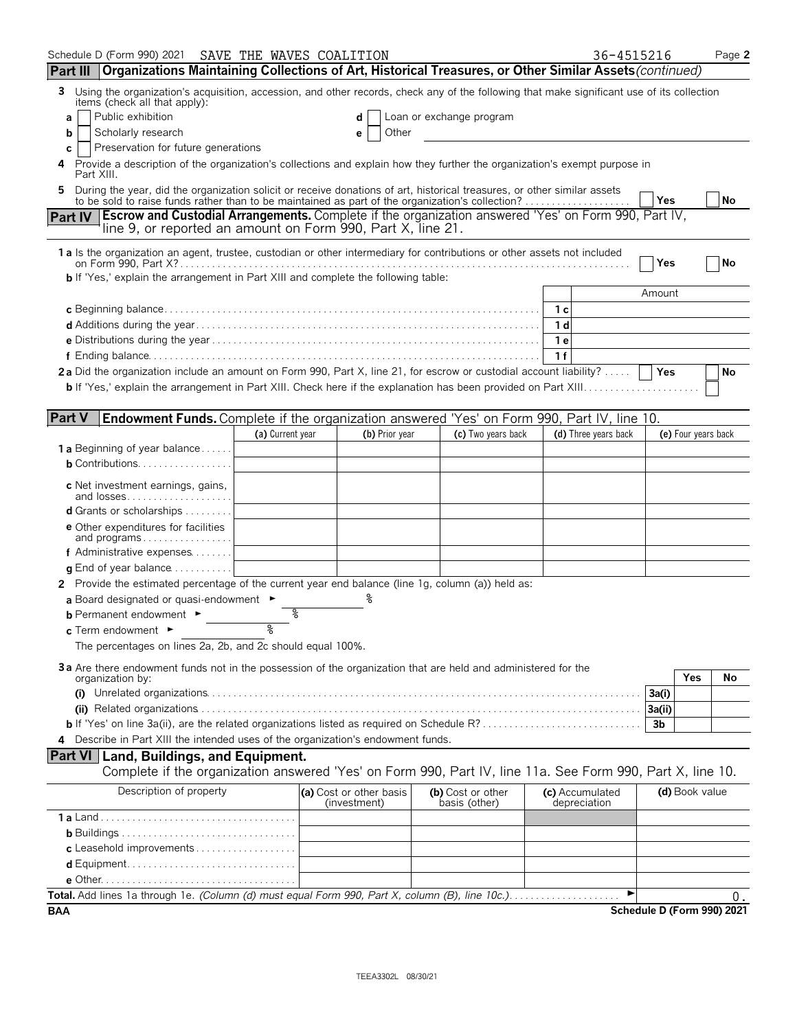| Schedule D (Form 990) 2021                                                                                                                                                                                      | SAVE THE WAVES COALITION |                                         |                                    |                                 | 36-4515216                 |                     | Page 2    |
|-----------------------------------------------------------------------------------------------------------------------------------------------------------------------------------------------------------------|--------------------------|-----------------------------------------|------------------------------------|---------------------------------|----------------------------|---------------------|-----------|
| Part III Organizations Maintaining Collections of Art, Historical Treasures, or Other Similar Assets (continued)                                                                                                |                          |                                         |                                    |                                 |                            |                     |           |
| Using the organization's acquisition, accession, and other records, check any of the following that make significant use of its collection<br>3<br>items (check all that apply):                                |                          |                                         |                                    |                                 |                            |                     |           |
| Public exhibition<br>a                                                                                                                                                                                          |                          |                                         | Loan or exchange program           |                                 |                            |                     |           |
| Scholarly research<br>b                                                                                                                                                                                         |                          | Other<br>е                              |                                    |                                 |                            |                     |           |
| Preservation for future generations<br>c                                                                                                                                                                        |                          |                                         |                                    |                                 |                            |                     |           |
| Provide a description of the organization's collections and explain how they further the organization's exempt purpose in<br>4<br>Part XIII.                                                                    |                          |                                         |                                    |                                 |                            |                     |           |
| During the year, did the organization solicit or receive donations of art, historical treasures, or other similar assets                                                                                        |                          |                                         |                                    |                                 |                            |                     |           |
| to be sold to raise funds rather than to be maintained as part of the organization's collection?<br><b>Escrow and Custodial Arrangements.</b> Complete if the organization answered 'Yes' on Form 990, Part IV, |                          |                                         |                                    |                                 | Yes                        |                     | <b>No</b> |
| <b>Part IV</b><br>line 9, or reported an amount on Form 990, Part X, line 21.                                                                                                                                   |                          |                                         |                                    |                                 |                            |                     |           |
| 1 a Is the organization an agent, trustee, custodian or other intermediary for contributions or other assets not included                                                                                       |                          |                                         |                                    |                                 | Yes                        |                     | No        |
| <b>b</b> If 'Yes,' explain the arrangement in Part XIII and complete the following table:                                                                                                                       |                          |                                         |                                    |                                 |                            |                     |           |
|                                                                                                                                                                                                                 |                          |                                         |                                    |                                 | Amount                     |                     |           |
|                                                                                                                                                                                                                 |                          |                                         |                                    | 1 с                             |                            |                     |           |
|                                                                                                                                                                                                                 |                          |                                         |                                    | 1 <sub>d</sub>                  |                            |                     |           |
|                                                                                                                                                                                                                 |                          |                                         |                                    | 1е                              |                            |                     |           |
|                                                                                                                                                                                                                 |                          |                                         |                                    | 1 f                             |                            |                     |           |
| 2a Did the organization include an amount on Form 990, Part X, line 21, for escrow or custodial account liability?                                                                                              |                          |                                         |                                    |                                 | Yes                        |                     | No        |
|                                                                                                                                                                                                                 |                          |                                         |                                    |                                 |                            |                     |           |
|                                                                                                                                                                                                                 |                          |                                         |                                    |                                 |                            |                     |           |
| <b>Part V</b><br>Endowment Funds. Complete if the organization answered 'Yes' on Form 990, Part IV, line 10.                                                                                                    |                          |                                         |                                    |                                 |                            |                     |           |
|                                                                                                                                                                                                                 | (a) Current year         | (b) Prior year                          | (c) Two years back                 | (d) Three years back            |                            | (e) Four years back |           |
| <b>1 a</b> Beginning of year balance                                                                                                                                                                            |                          |                                         |                                    |                                 |                            |                     |           |
| <b>b</b> Contributions.                                                                                                                                                                                         |                          |                                         |                                    |                                 |                            |                     |           |
|                                                                                                                                                                                                                 |                          |                                         |                                    |                                 |                            |                     |           |
| c Net investment earnings, gains,<br>and losses                                                                                                                                                                 |                          |                                         |                                    |                                 |                            |                     |           |
| <b>d</b> Grants or scholarships $\ldots \ldots \ldots$                                                                                                                                                          |                          |                                         |                                    |                                 |                            |                     |           |
| <b>e</b> Other expenditures for facilities<br>and programs                                                                                                                                                      |                          |                                         |                                    |                                 |                            |                     |           |
| f Administrative expenses                                                                                                                                                                                       |                          |                                         |                                    |                                 |                            |                     |           |
| $\alpha$ End of year balance $\ldots \ldots \ldots$                                                                                                                                                             |                          |                                         |                                    |                                 |                            |                     |           |
| 2 Provide the estimated percentage of the current year end balance (line 1g, column (a)) held as:                                                                                                               |                          |                                         |                                    |                                 |                            |                     |           |
| a Board designated or quasi-endowment $\blacktriangleright$                                                                                                                                                     |                          |                                         |                                    |                                 |                            |                     |           |
| <b>b</b> Permanent endowment ►                                                                                                                                                                                  | ႜ                        |                                         |                                    |                                 |                            |                     |           |
| $c$ Term endowment $\blacktriangleright$                                                                                                                                                                        | ৡ                        |                                         |                                    |                                 |                            |                     |           |
| The percentages on lines 2a, 2b, and 2c should equal 100%.                                                                                                                                                      |                          |                                         |                                    |                                 |                            |                     |           |
|                                                                                                                                                                                                                 |                          |                                         |                                    |                                 |                            |                     |           |
| 3a Are there endowment funds not in the possession of the organization that are held and administered for the<br>organization by:                                                                               |                          |                                         |                                    |                                 |                            | Yes                 | No        |
|                                                                                                                                                                                                                 |                          |                                         |                                    |                                 | 3a(i)                      |                     |           |
|                                                                                                                                                                                                                 |                          |                                         |                                    |                                 |                            |                     |           |
|                                                                                                                                                                                                                 |                          |                                         |                                    |                                 | 3b                         |                     |           |
| Describe in Part XIII the intended uses of the organization's endowment funds.<br>4                                                                                                                             |                          |                                         |                                    |                                 |                            |                     |           |
| Part VI   Land, Buildings, and Equipment.                                                                                                                                                                       |                          |                                         |                                    |                                 |                            |                     |           |
| Complete if the organization answered 'Yes' on Form 990, Part IV, line 11a. See Form 990, Part X, line 10.                                                                                                      |                          |                                         |                                    |                                 |                            |                     |           |
| Description of property                                                                                                                                                                                         |                          |                                         |                                    |                                 |                            |                     |           |
|                                                                                                                                                                                                                 |                          | (a) Cost or other basis<br>(investment) | (b) Cost or other<br>basis (other) | (c) Accumulated<br>depreciation |                            | (d) Book value      |           |
|                                                                                                                                                                                                                 |                          |                                         |                                    |                                 |                            |                     |           |
|                                                                                                                                                                                                                 |                          |                                         |                                    |                                 |                            |                     |           |
| c Leasehold improvements                                                                                                                                                                                        |                          |                                         |                                    |                                 |                            |                     |           |
|                                                                                                                                                                                                                 |                          |                                         |                                    |                                 |                            |                     |           |
|                                                                                                                                                                                                                 |                          |                                         |                                    |                                 |                            |                     |           |
| Total. Add lines 1a through 1e. (Column (d) must equal Form 990, Part X, column (B), line 10c.)                                                                                                                 |                          |                                         |                                    |                                 |                            |                     | 0.        |
| BAA                                                                                                                                                                                                             |                          |                                         |                                    |                                 | Schedule D (Form 990) 2021 |                     |           |

TEEA3302L 08/30/21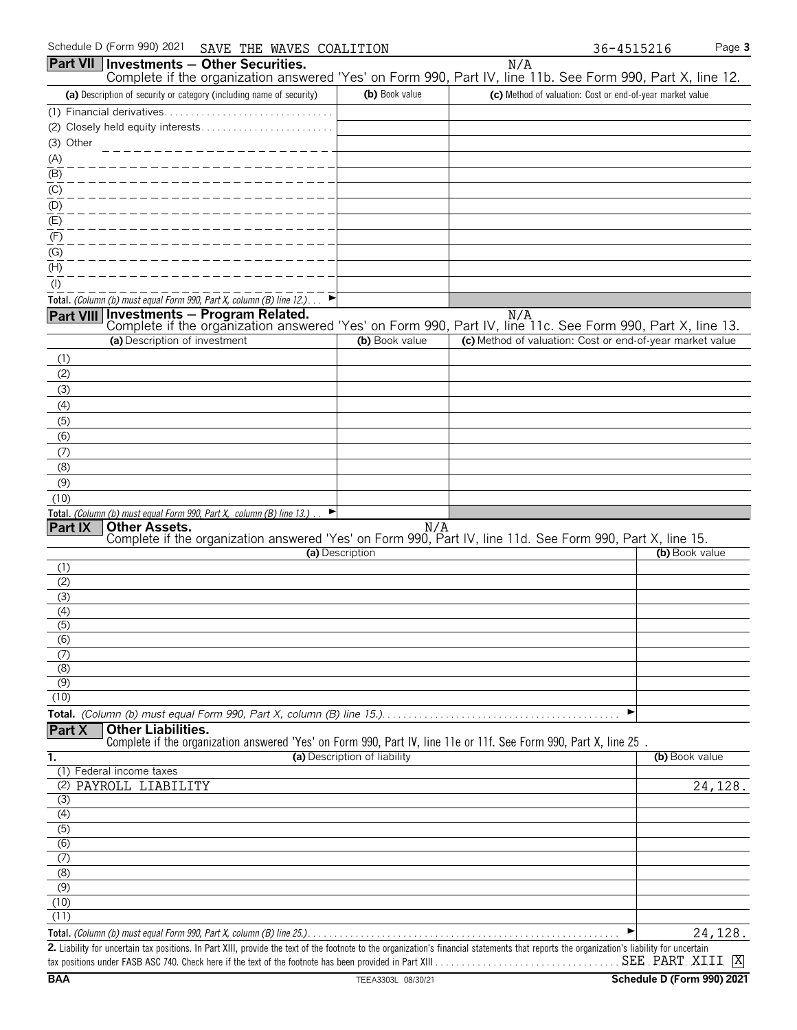|                         | Schedule D (Form 990) 2021<br>SAVE THE WAVES COALITION                                                                                                                             |                              | 36-4515216                                                |                | Page 3  |
|-------------------------|------------------------------------------------------------------------------------------------------------------------------------------------------------------------------------|------------------------------|-----------------------------------------------------------|----------------|---------|
| <b>Part VII</b>         | Investments - Other Securities.                                                                                                                                                    |                              | N/A                                                       |                |         |
|                         | Complete if the organization answered 'Yes' on Form 990, Part IV, line 11b. See Form 990, Part X, line 12.<br>(a) Description of security or category (including name of security) | (b) Book value               | (c) Method of valuation: Cost or end-of-year market value |                |         |
|                         |                                                                                                                                                                                    |                              |                                                           |                |         |
|                         | (2) Closely held equity interests                                                                                                                                                  |                              |                                                           |                |         |
| (3) Other               |                                                                                                                                                                                    |                              |                                                           |                |         |
| (A)                     |                                                                                                                                                                                    |                              |                                                           |                |         |
| (B)                     |                                                                                                                                                                                    |                              |                                                           |                |         |
| (C)                     |                                                                                                                                                                                    |                              |                                                           |                |         |
| (D)                     |                                                                                                                                                                                    |                              |                                                           |                |         |
| (E)                     |                                                                                                                                                                                    |                              |                                                           |                |         |
| (F)                     |                                                                                                                                                                                    |                              |                                                           |                |         |
| (G)                     |                                                                                                                                                                                    |                              |                                                           |                |         |
| (H)                     |                                                                                                                                                                                    |                              |                                                           |                |         |
| $($ l $)$               |                                                                                                                                                                                    |                              |                                                           |                |         |
|                         | Total. (Column (b) must equal Form 990, Part X, column (B) line 12.)<br>▶<br>Part VIII Investments - Program Related.                                                              |                              | N/A                                                       |                |         |
|                         | Complete if the organization answered 'Yes' on Form 990, Part IV, line 11c. See Form 990, Part X, line 13.                                                                         |                              |                                                           |                |         |
|                         | (a) Description of investment                                                                                                                                                      | (b) Book value               | (c) Method of valuation: Cost or end-of-year market value |                |         |
| (1)                     |                                                                                                                                                                                    |                              |                                                           |                |         |
| (2)                     |                                                                                                                                                                                    |                              |                                                           |                |         |
| (3)                     |                                                                                                                                                                                    |                              |                                                           |                |         |
| (4)                     |                                                                                                                                                                                    |                              |                                                           |                |         |
| (5)                     |                                                                                                                                                                                    |                              |                                                           |                |         |
| (6)                     |                                                                                                                                                                                    |                              |                                                           |                |         |
| (7)<br>(8)              |                                                                                                                                                                                    |                              |                                                           |                |         |
| (9)                     |                                                                                                                                                                                    |                              |                                                           |                |         |
| (10)                    |                                                                                                                                                                                    |                              |                                                           |                |         |
|                         | Total. (Column (b) must equal Form 990, Part X, column (B) line 13.)                                                                                                               |                              |                                                           |                |         |
| Part IX                 | <b>Other Assets.</b><br>Complete if the organization answered 'Yes' on Form 990, Part IV, line 11d. See Form 990, Part X, line 15.                                                 |                              |                                                           |                |         |
|                         |                                                                                                                                                                                    | (a) Description              |                                                           | (b) Book value |         |
| (1)                     |                                                                                                                                                                                    |                              |                                                           |                |         |
| (2)                     |                                                                                                                                                                                    |                              |                                                           |                |         |
| (3)                     |                                                                                                                                                                                    |                              |                                                           |                |         |
| (4)                     |                                                                                                                                                                                    |                              |                                                           |                |         |
| (5)                     |                                                                                                                                                                                    |                              |                                                           |                |         |
| (6)<br>(7)              |                                                                                                                                                                                    |                              |                                                           |                |         |
| (8)                     |                                                                                                                                                                                    |                              |                                                           |                |         |
| (9)                     |                                                                                                                                                                                    |                              |                                                           |                |         |
| (10)                    |                                                                                                                                                                                    |                              |                                                           |                |         |
|                         |                                                                                                                                                                                    |                              | ▶                                                         |                |         |
| Part X                  | <b>Other Liabilities.</b><br>Complete if the organization answered 'Yes' on Form 990, Part IV, line 11e or 11f. See Form 990, Part X, line 25.                                     |                              |                                                           |                |         |
| 1.                      |                                                                                                                                                                                    | (a) Description of liability |                                                           | (b) Book value |         |
|                         | (1) Federal income taxes                                                                                                                                                           |                              |                                                           |                |         |
|                         | (2) PAYROLL LIABILITY                                                                                                                                                              |                              |                                                           |                | 24,128. |
| (3)                     |                                                                                                                                                                                    |                              |                                                           |                |         |
| (4)                     |                                                                                                                                                                                    |                              |                                                           |                |         |
| $\overline{(5)}$<br>(6) |                                                                                                                                                                                    |                              |                                                           |                |         |
| (7)                     |                                                                                                                                                                                    |                              |                                                           |                |         |
| (8)                     |                                                                                                                                                                                    |                              |                                                           |                |         |
| (9)                     |                                                                                                                                                                                    |                              |                                                           |                |         |
| (10)                    |                                                                                                                                                                                    |                              |                                                           |                |         |
| (11)                    |                                                                                                                                                                                    |                              |                                                           |                |         |

**Total.** *(Column (b) must equal Form 990, Part X, column (B) line 25.)*. . . . . . . . . . . . . . . . . . . . . . . . . . . . . . . . . . . . . . . . . . . . . . . . . . . . . . . . . . . G **2.** Liability for uncertain tax positions. In Part XIII, provide the text of the footnote to the organization's financial statements that reports the organization's liability for uncertain tax positions under FASB ASC 740. Check here if the text of the footnote has been provided in Part XIII . . . . . . . . . . . . . . . . . . . . . . . . . . . . . . . . . . . . . . . . . . . . . . . . . . . . . . . X SEE PART XIII24,128.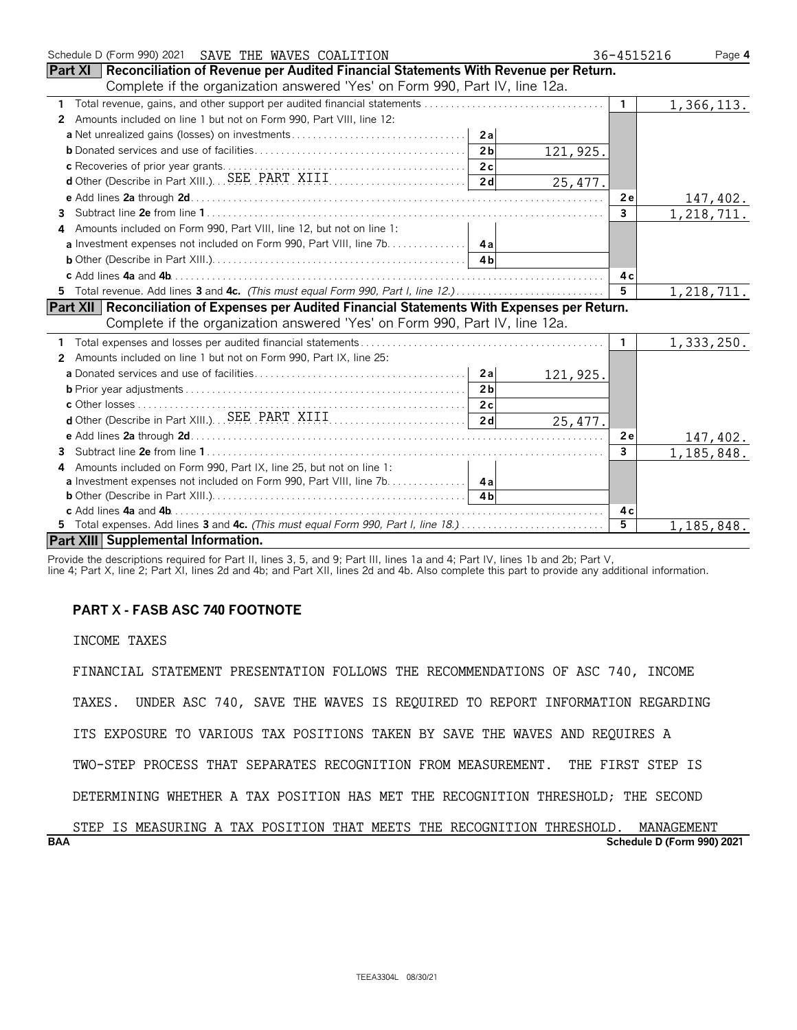| Schedule D (Form 990) 2021<br>SAVE THE WAVES COALITION                                                | 36-4515216              | Page 4       |
|-------------------------------------------------------------------------------------------------------|-------------------------|--------------|
| Part XI   Reconciliation of Revenue per Audited Financial Statements With Revenue per Return.         |                         |              |
| Complete if the organization answered 'Yes' on Form 990, Part IV, line 12a.                           |                         |              |
| 1                                                                                                     | $\mathbf{1}$            | 1, 366, 113. |
| Amounts included on line 1 but not on Form 990, Part VIII, line 12:<br>$\mathbf{2}$                   |                         |              |
|                                                                                                       |                         |              |
| 121,925.                                                                                              |                         |              |
|                                                                                                       |                         |              |
| 25,477.                                                                                               |                         |              |
|                                                                                                       | 2e                      | 147,402.     |
| 3                                                                                                     | 3                       | 1,218,711.   |
| Amounts included on Form 990, Part VIII, line 12, but not on line 1:<br>4                             |                         |              |
| a Investment expenses not included on Form 990, Part VIII, line 7b. 4a                                |                         |              |
|                                                                                                       |                         |              |
|                                                                                                       | 4 с                     |              |
| 5 Total revenue. Add lines 3 and 4c. (This must equal Form 990, Part I, line 12.)                     | 5                       | 1, 218, 711. |
| <b>Part XII Reconciliation of Expenses per Audited Financial Statements With Expenses per Return.</b> |                         |              |
| Complete if the organization answered 'Yes' on Form 990, Part IV, line 12a.                           |                         |              |
|                                                                                                       | $\mathbf{1}$            | 1,333,250.   |
| Amounts included on line 1 but not on Form 990, Part IX, line 25:<br>2                                |                         |              |
| 121, 925.                                                                                             |                         |              |
| 2 <sub>b</sub>                                                                                        |                         |              |
|                                                                                                       |                         |              |
| 25,477.                                                                                               |                         |              |
|                                                                                                       | 2e                      | 147,402.     |
| 3                                                                                                     | $\overline{\mathbf{3}}$ | 1, 185, 848. |
| Amounts included on Form 990, Part IX, line 25, but not on line 1:<br>4                               |                         |              |
| a Investment expenses not included on Form 990, Part VIII, line 7b. 4a                                |                         |              |
|                                                                                                       |                         |              |
|                                                                                                       | 4 c                     |              |
| 5 Total expenses. Add lines 3 and 4c. (This must equal Form 990, Part I, line 18.)                    | 5                       | 1,185,848.   |
| <b>Part XIII Supplemental Information.</b>                                                            |                         |              |

Provide the descriptions required for Part II, lines 3, 5, and 9; Part III, lines 1a and 4; Part IV, lines 1b and 2b; Part V,

line 4; Part X, line 2; Part XI, lines 2d and 4b; and Part XII, lines 2d and 4b. Also complete this part to provide any additional information.

# **PART X - FASB ASC 740 FOOTNOTE**

INCOME TAXES

FINANCIAL STATEMENT PRESENTATION FOLLOWS THE RECOMMENDATIONS OF ASC 740, INCOME TAXES. UNDER ASC 740, SAVE THE WAVES IS REQUIRED TO REPORT INFORMATION REGARDING ITS EXPOSURE TO VARIOUS TAX POSITIONS TAKEN BY SAVE THE WAVES AND REQUIRES A TWO-STEP PROCESS THAT SEPARATES RECOGNITION FROM MEASUREMENT. THE FIRST STEP IS DETERMINING WHETHER A TAX POSITION HAS MET THE RECOGNITION THRESHOLD; THE SECOND

**BAA Schedule D (Form 990) 2021** STEP IS MEASURING A TAX POSITION THAT MEETS THE RECOGNITION THRESHOLD. MANAGEMENT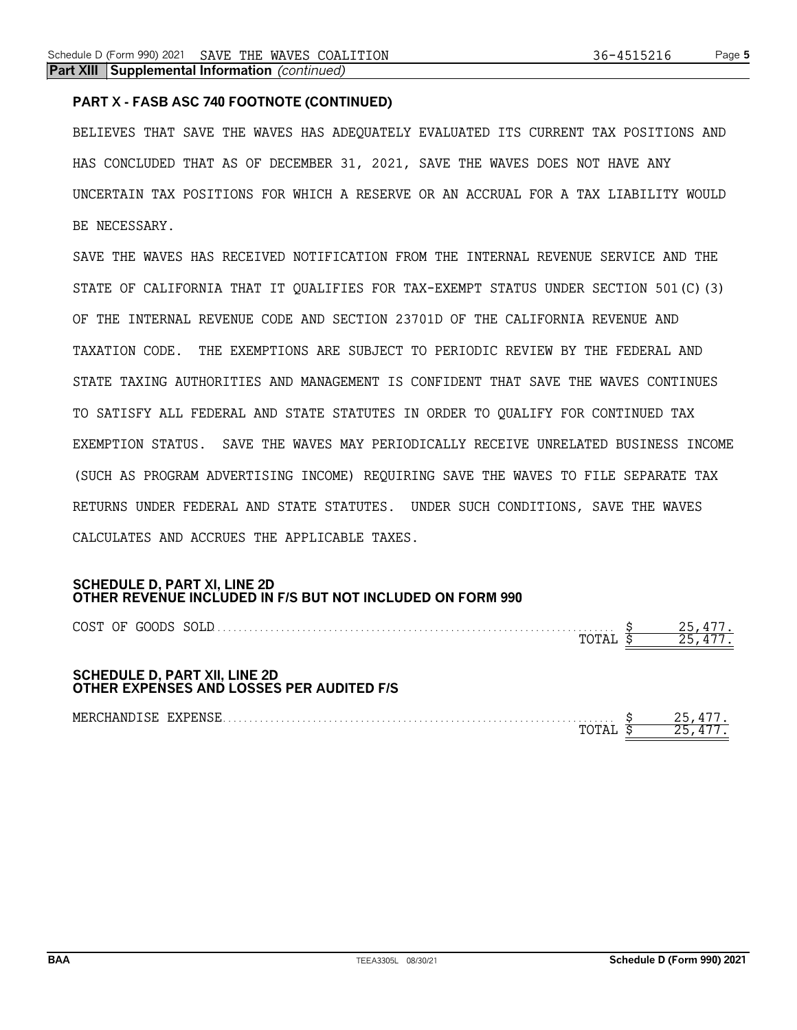# **PART X - FASB ASC 740 FOOTNOTE (CONTINUED)**

BELIEVES THAT SAVE THE WAVES HAS ADEQUATELY EVALUATED ITS CURRENT TAX POSITIONS AND HAS CONCLUDED THAT AS OF DECEMBER 31, 2021, SAVE THE WAVES DOES NOT HAVE ANY UNCERTAIN TAX POSITIONS FOR WHICH A RESERVE OR AN ACCRUAL FOR A TAX LIABILITY WOULD BE NECESSARY.

SAVE THE WAVES HAS RECEIVED NOTIFICATION FROM THE INTERNAL REVENUE SERVICE AND THE STATE OF CALIFORNIA THAT IT QUALIFIES FOR TAX-EXEMPT STATUS UNDER SECTION 501(C)(3) OF THE INTERNAL REVENUE CODE AND SECTION 23701D OF THE CALIFORNIA REVENUE AND TAXATION CODE. THE EXEMPTIONS ARE SUBJECT TO PERIODIC REVIEW BY THE FEDERAL AND STATE TAXING AUTHORITIES AND MANAGEMENT IS CONFIDENT THAT SAVE THE WAVES CONTINUES TO SATISFY ALL FEDERAL AND STATE STATUTES IN ORDER TO QUALIFY FOR CONTINUED TAX EXEMPTION STATUS. SAVE THE WAVES MAY PERIODICALLY RECEIVE UNRELATED BUSINESS INCOME (SUCH AS PROGRAM ADVERTISING INCOME) REQUIRING SAVE THE WAVES TO FILE SEPARATE TAX RETURNS UNDER FEDERAL AND STATE STATUTES. UNDER SUCH CONDITIONS, SAVE THE WAVES CALCULATES AND ACCRUES THE APPLICABLE TAXES.

# **SCHEDULE D, PART XI, LINE 2D OTHER REVENUE INCLUDED IN F/S BUT NOT INCLUDED ON FORM 990**

| COST OF GOODS SOLD                                                                |  |        |
|-----------------------------------------------------------------------------------|--|--------|
| <b>SCHEDULE D, PART XII, LINE 2D</b><br>OTHER EXPENSES AND LOSSES PER AUDITED F/S |  |        |
| MERCHANDISE EXPENSE                                                               |  | 25,477 |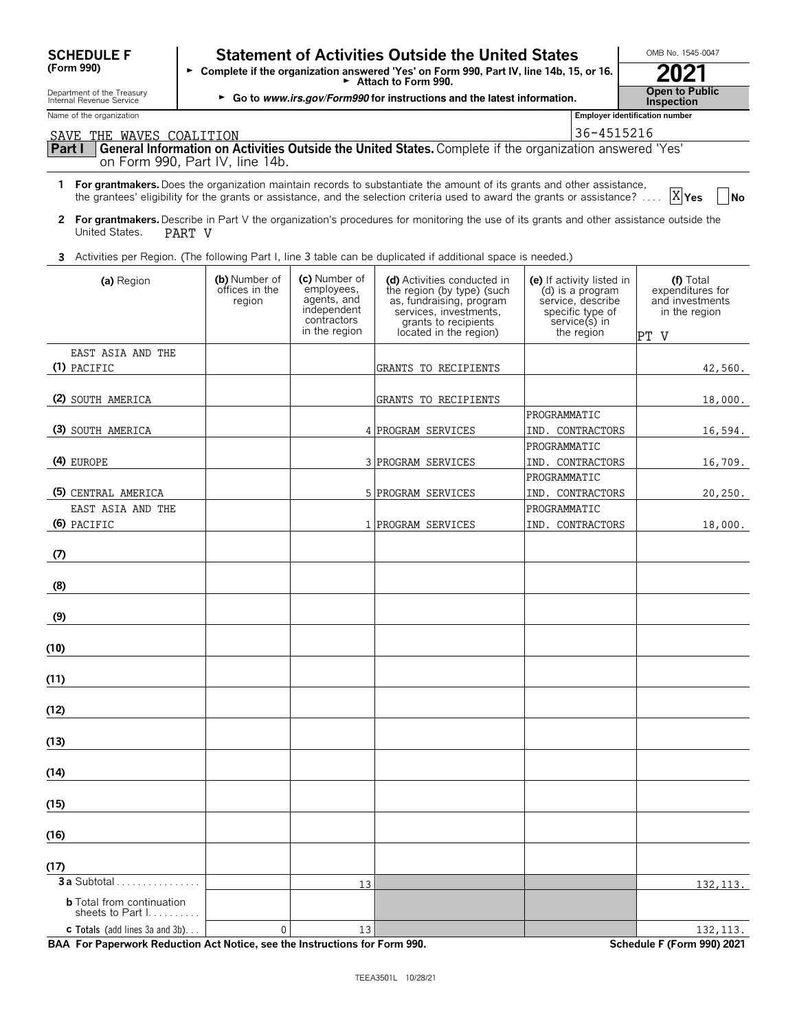| <b>SCHEDULE F</b> |  |
|-------------------|--|
| (Form 990)        |  |

# **F Statement of Activities Outside the United States LACTIONB No. 1545-0047**

**(Form 990)** G **Complete if the organization answered 'Yes' on Form 990, Part IV, line 14b, 15, or 16.** <sup>G</sup>**Attach to Form 990. 2021**

Department of the Treasury **Open to Public**<br>Internal Revenue Service **Inspection**<br>Internal Revenue Service **Inspection** 

| Name of the organization                                                                                                                                              |                                           |                                                                          |                                                                                                                                         | Employer identification number                                                                          |                                                                   |
|-----------------------------------------------------------------------------------------------------------------------------------------------------------------------|-------------------------------------------|--------------------------------------------------------------------------|-----------------------------------------------------------------------------------------------------------------------------------------|---------------------------------------------------------------------------------------------------------|-------------------------------------------------------------------|
| SAVE THE WAVES COALITION                                                                                                                                              |                                           |                                                                          |                                                                                                                                         | 36-4515216                                                                                              |                                                                   |
| Part I<br>on Form 990, Part IV, line 14b.                                                                                                                             |                                           |                                                                          | General Information on Activities Outside the United States. Complete if the organization answered 'Yes'                                |                                                                                                         |                                                                   |
|                                                                                                                                                                       |                                           |                                                                          |                                                                                                                                         |                                                                                                         |                                                                   |
| 1 For grantmakers. Does the organization maintain records to substantiate the amount of its grants and other assistance,                                              |                                           |                                                                          | the grantees' eligibility for the grants or assistance, and the selection criteria used to award the grants or assistance?              |                                                                                                         | X <sub>Yes</sub><br><b>No</b>                                     |
| 2 For grantmakers. Describe in Part V the organization's procedures for monitoring the use of its grants and other assistance outside the<br>United States.<br>PART V |                                           |                                                                          |                                                                                                                                         |                                                                                                         |                                                                   |
| 3 Activities per Region. (The following Part I, line 3 table can be duplicated if additional space is needed.)                                                        |                                           |                                                                          |                                                                                                                                         |                                                                                                         |                                                                   |
| (a) Region                                                                                                                                                            | (b) Number of<br>offices in the<br>region | (c) Number of<br>employees,<br>agents, and<br>independent<br>contractors | (d) Activities conducted in<br>the region (by type) (such<br>as, fundraising, program<br>services, investments,<br>grants to recipients | (e) If activity listed in<br>(d) is a program<br>service, describe<br>specific type of<br>service(s) in | (f) Total<br>expenditures for<br>and investments<br>in the region |
|                                                                                                                                                                       |                                           | in the region                                                            | located in the region)                                                                                                                  | the region                                                                                              | PT V                                                              |
| EAST ASIA AND THE<br>(1) PACIFIC                                                                                                                                      |                                           |                                                                          | GRANTS TO RECIPIENTS                                                                                                                    |                                                                                                         | 42,560.                                                           |
|                                                                                                                                                                       |                                           |                                                                          |                                                                                                                                         |                                                                                                         |                                                                   |
| (2) SOUTH AMERICA                                                                                                                                                     |                                           |                                                                          | GRANTS TO RECIPIENTS                                                                                                                    |                                                                                                         | 18,000.                                                           |
|                                                                                                                                                                       |                                           |                                                                          |                                                                                                                                         | PROGRAMMATIC                                                                                            |                                                                   |
| (3) SOUTH AMERICA                                                                                                                                                     |                                           |                                                                          | 4 PROGRAM SERVICES                                                                                                                      | IND. CONTRACTORS                                                                                        | 16,594.                                                           |
|                                                                                                                                                                       |                                           |                                                                          |                                                                                                                                         | PROGRAMMATIC                                                                                            |                                                                   |
| (4) EUROPE                                                                                                                                                            |                                           |                                                                          | 3 PROGRAM SERVICES                                                                                                                      | IND. CONTRACTORS                                                                                        | 16,709.                                                           |
|                                                                                                                                                                       |                                           |                                                                          |                                                                                                                                         | PROGRAMMATIC                                                                                            |                                                                   |
| (5) CENTRAL AMERICA                                                                                                                                                   |                                           |                                                                          | 5 PROGRAM SERVICES                                                                                                                      | IND. CONTRACTORS                                                                                        | 20, 250.                                                          |
| EAST ASIA AND THE                                                                                                                                                     |                                           |                                                                          |                                                                                                                                         | PROGRAMMATIC                                                                                            |                                                                   |
| (6) PACIFIC                                                                                                                                                           |                                           |                                                                          | 1 PROGRAM SERVICES                                                                                                                      | IND. CONTRACTORS                                                                                        | 18,000.                                                           |
| (7)                                                                                                                                                                   |                                           |                                                                          |                                                                                                                                         |                                                                                                         |                                                                   |
| (8)                                                                                                                                                                   |                                           |                                                                          |                                                                                                                                         |                                                                                                         |                                                                   |
| (9)                                                                                                                                                                   |                                           |                                                                          |                                                                                                                                         |                                                                                                         |                                                                   |
| (10)                                                                                                                                                                  |                                           |                                                                          |                                                                                                                                         |                                                                                                         |                                                                   |
| (11)                                                                                                                                                                  |                                           |                                                                          |                                                                                                                                         |                                                                                                         |                                                                   |
|                                                                                                                                                                       |                                           |                                                                          |                                                                                                                                         |                                                                                                         |                                                                   |
| (12)                                                                                                                                                                  |                                           |                                                                          |                                                                                                                                         |                                                                                                         |                                                                   |
| (13)                                                                                                                                                                  |                                           |                                                                          |                                                                                                                                         |                                                                                                         |                                                                   |
| (14)                                                                                                                                                                  |                                           |                                                                          |                                                                                                                                         |                                                                                                         |                                                                   |
| (15)                                                                                                                                                                  |                                           |                                                                          |                                                                                                                                         |                                                                                                         |                                                                   |
| (16)                                                                                                                                                                  |                                           |                                                                          |                                                                                                                                         |                                                                                                         |                                                                   |
| (17)                                                                                                                                                                  |                                           |                                                                          |                                                                                                                                         |                                                                                                         |                                                                   |
| 3 a Subtotal                                                                                                                                                          |                                           | 13                                                                       |                                                                                                                                         |                                                                                                         | 132, 113.                                                         |
| <b>b</b> Total from continuation<br>sheets to Part I.                                                                                                                 |                                           |                                                                          |                                                                                                                                         |                                                                                                         |                                                                   |
| <b>c</b> Totals (add lines 3a and 3b)                                                                                                                                 | $\mathbf 0$                               | 13                                                                       |                                                                                                                                         |                                                                                                         | 132, 113.                                                         |

**BAA For Paperwork Reduction Act Notice, see the Instructions for Form 990.** Schedule F (Form 990) 2021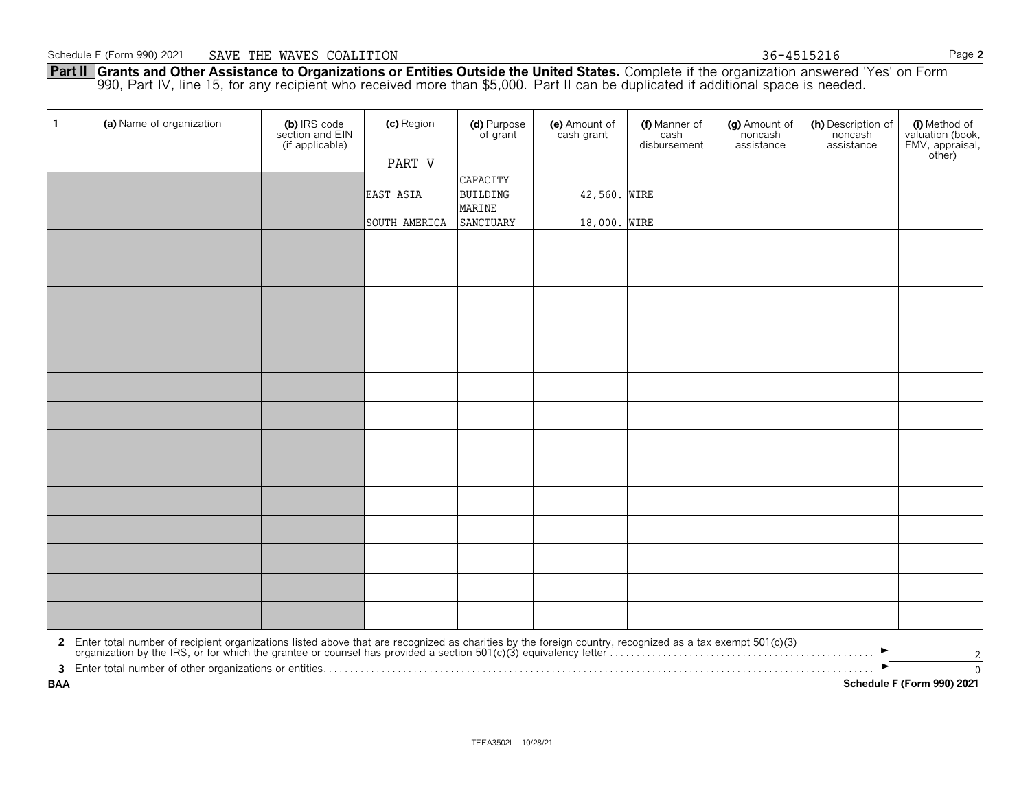**Part II Srants and Other Assistance to Organizations or Entities Outside the United States.** Complete if the organization answered 'Yes' on Form (1990, Part IV, line 15, for any recipient who received more than \$5,000. Pa 36-4515216

| $\mathbf{1}$ | (a) Name of organization                                                                                                                                                                                                       | (b) IRS code<br>section and EIN<br>(if applicable) | (c) Region<br>PART V | (d) Purpose<br>of grant | (e) Amount of<br>cash grant | (f) Manner of<br>cash<br>disbursement | (g) Amount of<br>noncash<br>assistance | (h) Description of<br>noncash<br>assistance | (i) Method of<br>valuation (book,<br>FMV, appraisal,<br>other) |
|--------------|--------------------------------------------------------------------------------------------------------------------------------------------------------------------------------------------------------------------------------|----------------------------------------------------|----------------------|-------------------------|-----------------------------|---------------------------------------|----------------------------------------|---------------------------------------------|----------------------------------------------------------------|
|              |                                                                                                                                                                                                                                |                                                    |                      | CAPACITY                |                             |                                       |                                        |                                             |                                                                |
|              |                                                                                                                                                                                                                                |                                                    | EAST ASIA            | <b>BUILDING</b>         | 42,560.                     | <b>WIRE</b>                           |                                        |                                             |                                                                |
|              |                                                                                                                                                                                                                                |                                                    |                      | MARINE                  |                             |                                       |                                        |                                             |                                                                |
|              |                                                                                                                                                                                                                                |                                                    | SOUTH AMERICA        | SANCTUARY               | 18,000. WIRE                |                                       |                                        |                                             |                                                                |
|              |                                                                                                                                                                                                                                |                                                    |                      |                         |                             |                                       |                                        |                                             |                                                                |
|              |                                                                                                                                                                                                                                |                                                    |                      |                         |                             |                                       |                                        |                                             |                                                                |
|              |                                                                                                                                                                                                                                |                                                    |                      |                         |                             |                                       |                                        |                                             |                                                                |
|              |                                                                                                                                                                                                                                |                                                    |                      |                         |                             |                                       |                                        |                                             |                                                                |
|              |                                                                                                                                                                                                                                |                                                    |                      |                         |                             |                                       |                                        |                                             |                                                                |
|              |                                                                                                                                                                                                                                |                                                    |                      |                         |                             |                                       |                                        |                                             |                                                                |
|              |                                                                                                                                                                                                                                |                                                    |                      |                         |                             |                                       |                                        |                                             |                                                                |
|              |                                                                                                                                                                                                                                |                                                    |                      |                         |                             |                                       |                                        |                                             |                                                                |
|              |                                                                                                                                                                                                                                |                                                    |                      |                         |                             |                                       |                                        |                                             |                                                                |
|              |                                                                                                                                                                                                                                |                                                    |                      |                         |                             |                                       |                                        |                                             |                                                                |
|              |                                                                                                                                                                                                                                |                                                    |                      |                         |                             |                                       |                                        |                                             |                                                                |
|              |                                                                                                                                                                                                                                |                                                    |                      |                         |                             |                                       |                                        |                                             |                                                                |
|              |                                                                                                                                                                                                                                |                                                    |                      |                         |                             |                                       |                                        |                                             |                                                                |
|              |                                                                                                                                                                                                                                |                                                    |                      |                         |                             |                                       |                                        |                                             |                                                                |
|              | 2 Enter total number of recipient organizations listed above that are recognized as charities by the foreign country, recognized as a tax exempt 501(c)(3) organization by the IRS, or for which the grantee or counsel has pr |                                                    |                      |                         |                             |                                       |                                        |                                             |                                                                |
|              |                                                                                                                                                                                                                                |                                                    |                      |                         |                             |                                       |                                        |                                             | 2<br>$\overline{0}$                                            |
| <b>BAA</b>   |                                                                                                                                                                                                                                |                                                    |                      |                         |                             |                                       |                                        |                                             | Schedule F (Form 990) 2021                                     |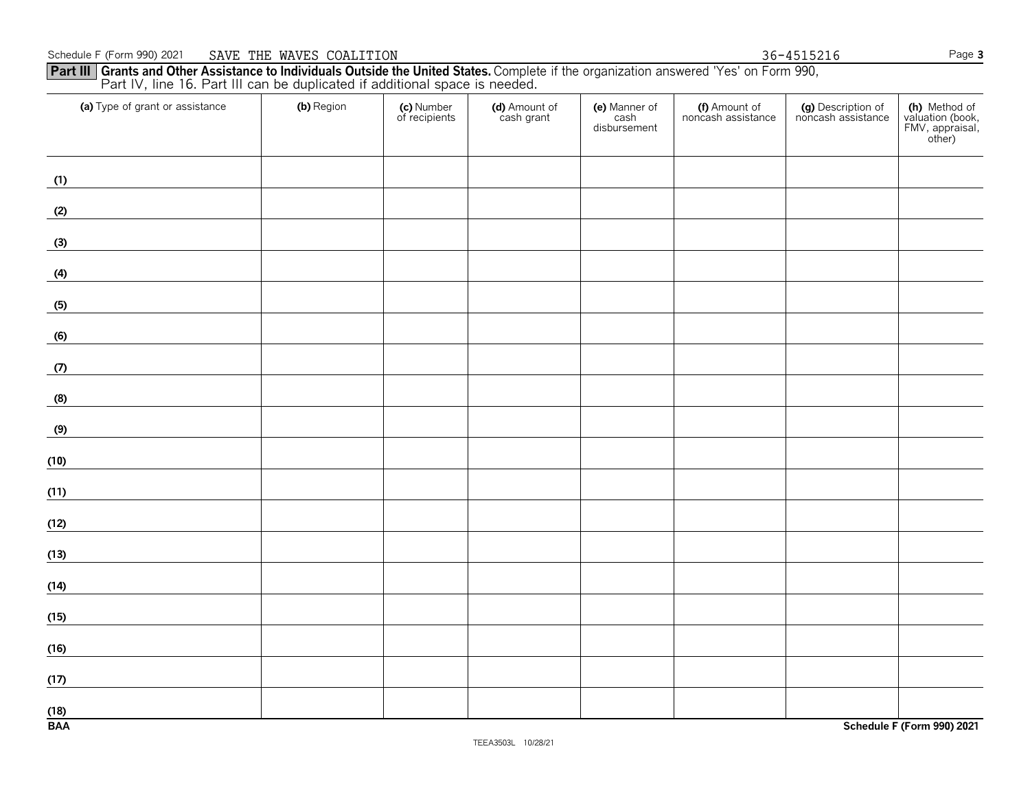#### Schedule F (Form 990) 20211 SAVE THE WAVES COALITION **Page 3** SAVE THE WAVES COALITION

# Part III | Grants and Other Assistance to Individuals Outside the United States. Complete if the organization answered 'Yes' on Form 990,<br>Part IV, line 16. Part III can be duplicated if additional space is needed.  $\frac{36-4515216}{200}$

| (b) Region | (c) Number<br>of recipients | (d) Amount of<br>cash grant | (e) Manner of<br>cash<br>disbursement | (f) Amount of<br>noncash assistance | (g) Description of<br>noncash assistance | (h) Method of<br>valuation (book,<br>FMV, appraisal,<br>other) |
|------------|-----------------------------|-----------------------------|---------------------------------------|-------------------------------------|------------------------------------------|----------------------------------------------------------------|
|            |                             |                             |                                       |                                     |                                          |                                                                |
|            |                             |                             |                                       |                                     |                                          |                                                                |
|            |                             |                             |                                       |                                     |                                          |                                                                |
|            |                             |                             |                                       |                                     |                                          |                                                                |
|            |                             |                             |                                       |                                     |                                          |                                                                |
|            |                             |                             |                                       |                                     |                                          |                                                                |
|            |                             |                             |                                       |                                     |                                          |                                                                |
|            |                             |                             |                                       |                                     |                                          |                                                                |
|            |                             |                             |                                       |                                     |                                          |                                                                |
|            |                             |                             |                                       |                                     |                                          |                                                                |
|            |                             |                             |                                       |                                     |                                          |                                                                |
|            |                             |                             |                                       |                                     |                                          |                                                                |
|            |                             |                             |                                       |                                     |                                          |                                                                |
|            |                             |                             |                                       |                                     |                                          |                                                                |
|            |                             |                             |                                       |                                     |                                          |                                                                |
|            |                             |                             |                                       |                                     |                                          |                                                                |
|            |                             |                             |                                       |                                     |                                          |                                                                |
|            |                             |                             |                                       |                                     |                                          | Schedule F (Form 990) 2021                                     |
|            |                             |                             |                                       |                                     |                                          |                                                                |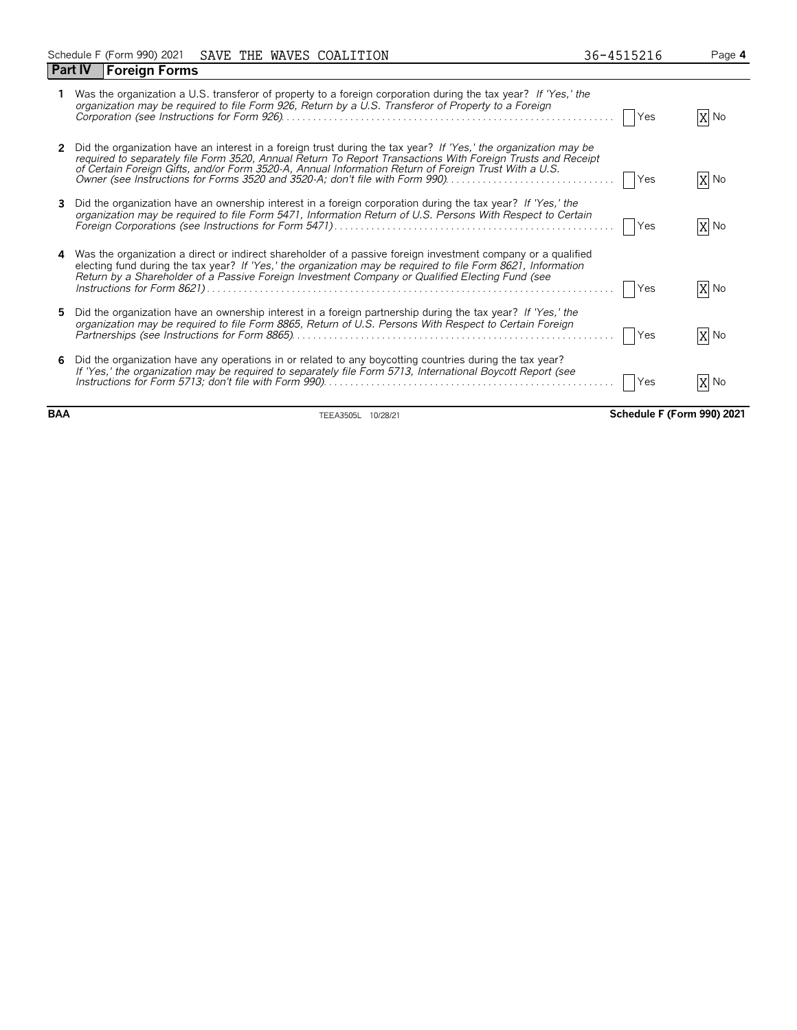|    | Part IV<br><b>Foreign Forms</b>                                                                                                                                                                                                                                                                                                        |            |      |
|----|----------------------------------------------------------------------------------------------------------------------------------------------------------------------------------------------------------------------------------------------------------------------------------------------------------------------------------------|------------|------|
|    | Was the organization a U.S. transferor of property to a foreign corporation during the tax year? If 'Yes,' the<br>organization may be required to file Form 926, Return by a U.S. Transferor of Property to a Foreign                                                                                                                  | Yes        | X No |
|    | Did the organization have an interest in a foreign trust during the tax year? If 'Yes,' the organization may be<br>required to separately file Form 3520, Annual Return To Report Transactions With Foreign Trusts and Receipt<br>of Certain Foreign Gifts, and/or Form 3520-A, Annual Information Return of Foreign Trust With a U.S. | Yes        | X No |
| 3  | Did the organization have an ownership interest in a foreign corporation during the tax year? If 'Yes,' the<br>organization may be required to file Form 5471, Information Return of U.S. Persons With Respect to Certain                                                                                                              | <b>Yes</b> | X No |
| 4  | Was the organization a direct or indirect shareholder of a passive foreign investment company or a qualified<br>electing fund during the tax year? If 'Yes,' the organization may be required to file Form 8621, Information<br>Return by a Shareholder of a Passive Foreign Investment Company or Qualified Electing Fund (see        | Yes        | X No |
| 5. | Did the organization have an ownership interest in a foreign partnership during the tax year? If 'Yes,' the<br>organization may be required to file Form 8865, Return of U.S. Persons With Respect to Certain Foreign                                                                                                                  | Yes        | X No |
|    | Did the organization have any operations in or related to any boycotting countries during the tax year?<br>If 'Yes,' the organization may be required to separately file Form 5713, International Boycott Report (see                                                                                                                  | Yes        | X No |

**BAA** TEEA3505L 10/28/21 **Schedule F (Form 990) 2021**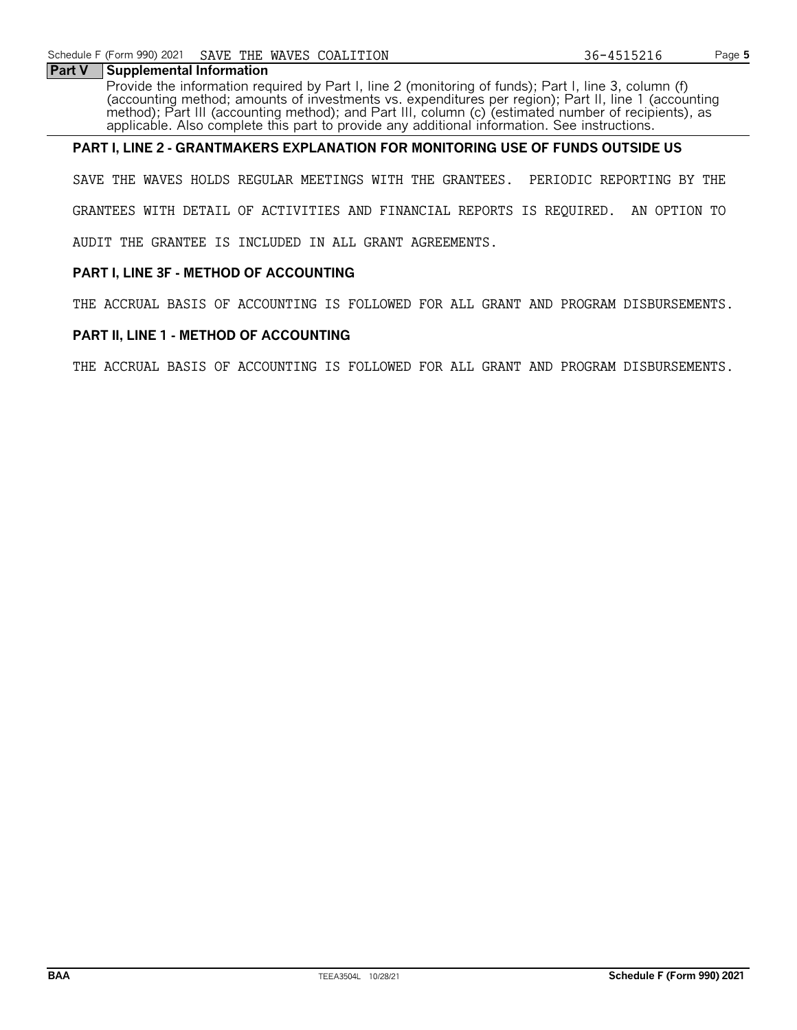### **Part V** Supplemental Information

Provide the information required by Part I, line 2 (monitoring of funds); Part I, line 3, column (f) (accounting method; amounts of investments vs. expenditures per region); Part II, line 1 (accounting method); Part III (accounting method); and Part III, column (c) (estimated number of recipients), as applicable. Also complete this part to provide any additional information. See instructions.

# **PART I, LINE 2 - GRANTMAKERS EXPLANATION FOR MONITORING USE OF FUNDS OUTSIDE US**

SAVE THE WAVES HOLDS REGULAR MEETINGS WITH THE GRANTEES. PERIODIC REPORTING BY THE GRANTEES WITH DETAIL OF ACTIVITIES AND FINANCIAL REPORTS IS REQUIRED. AN OPTION TO AUDIT THE GRANTEE IS INCLUDED IN ALL GRANT AGREEMENTS.

# **PART I, LINE 3F - METHOD OF ACCOUNTING**

THE ACCRUAL BASIS OF ACCOUNTING IS FOLLOWED FOR ALL GRANT AND PROGRAM DISBURSEMENTS.

# **PART II, LINE 1 - METHOD OF ACCOUNTING**

THE ACCRUAL BASIS OF ACCOUNTING IS FOLLOWED FOR ALL GRANT AND PROGRAM DISBURSEMENTS.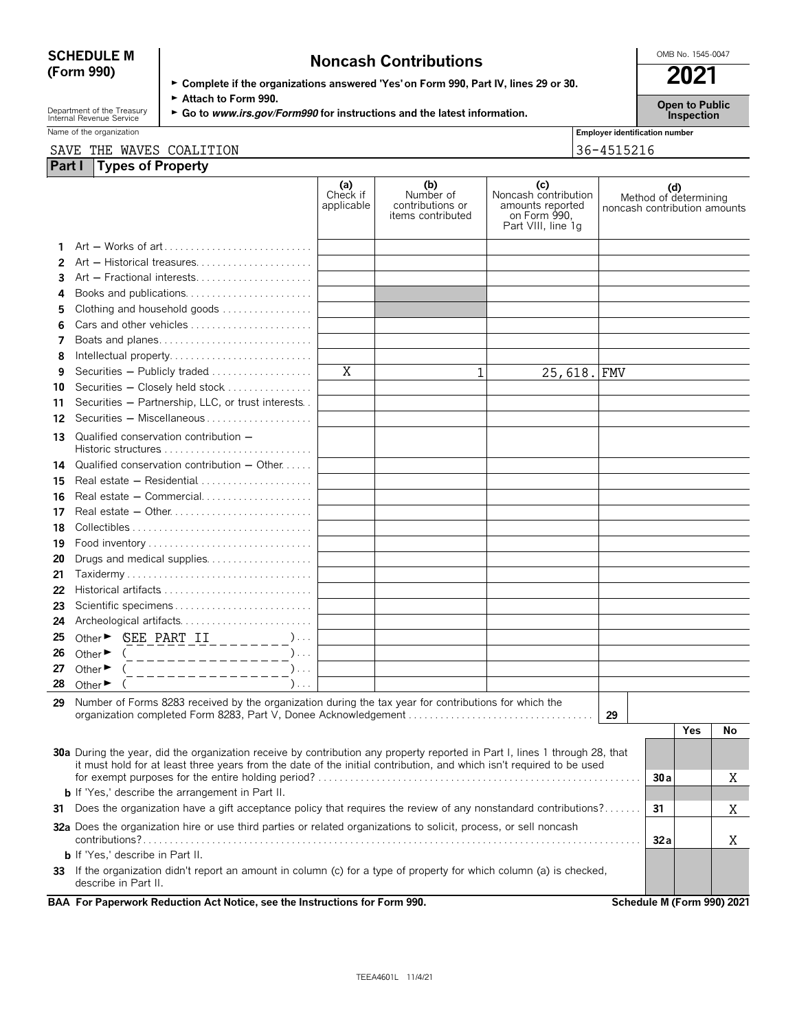| <b>SCHEDULE M</b> | <b>Noncash Contributions</b>                                                         | OMB No. 1545-0047 |
|-------------------|--------------------------------------------------------------------------------------|-------------------|
| (Form 990)        | ► Complete if the organizations answered 'Yes' on Form 990, Part IV, lines 29 or 30. | 2021              |

Department of the Treasury **Computer Cattach to Form 990.**<br>Internal Revenue Service **Captains Computer Category/Form990 for instructions and the latest information. <b>Inspection** 

Name of the organization **Employer identification number Employer identification number** 

# SAVE THE WAVES COALITION 36-4515216

| Part I | <b>Types of Property</b>                                                                                                                                                                                                                            |                               |                                                           |                                                                                       |                              |     |                            |    |
|--------|-----------------------------------------------------------------------------------------------------------------------------------------------------------------------------------------------------------------------------------------------------|-------------------------------|-----------------------------------------------------------|---------------------------------------------------------------------------------------|------------------------------|-----|----------------------------|----|
|        |                                                                                                                                                                                                                                                     | (a)<br>Check if<br>applicable | (b)<br>Number of<br>contributions or<br>items contributed | (c)<br>Noncash contribution<br>amounts reported<br>on Form 990.<br>Part VIII, line 1q | noncash contribution amounts | (d) | Method of determining      |    |
| 1      |                                                                                                                                                                                                                                                     |                               |                                                           |                                                                                       |                              |     |                            |    |
| 2      |                                                                                                                                                                                                                                                     |                               |                                                           |                                                                                       |                              |     |                            |    |
| 3      | Art - Fractional interests                                                                                                                                                                                                                          |                               |                                                           |                                                                                       |                              |     |                            |    |
| 4      | Books and publications                                                                                                                                                                                                                              |                               |                                                           |                                                                                       |                              |     |                            |    |
| 5      | Clothing and household goods                                                                                                                                                                                                                        |                               |                                                           |                                                                                       |                              |     |                            |    |
| 6      | Cars and other vehicles                                                                                                                                                                                                                             |                               |                                                           |                                                                                       |                              |     |                            |    |
| 7      | Boats and planes                                                                                                                                                                                                                                    |                               |                                                           |                                                                                       |                              |     |                            |    |
| 8      | Intellectual property                                                                                                                                                                                                                               |                               |                                                           |                                                                                       |                              |     |                            |    |
| 9      | Securities - Publicly traded                                                                                                                                                                                                                        | X                             | $\mathbf{1}$                                              | 25,618. FMV                                                                           |                              |     |                            |    |
| 10     | Securities - Closely held stock                                                                                                                                                                                                                     |                               |                                                           |                                                                                       |                              |     |                            |    |
| 11     | Securities - Partnership, LLC, or trust interests                                                                                                                                                                                                   |                               |                                                           |                                                                                       |                              |     |                            |    |
| 12     | Securities - Miscellaneous                                                                                                                                                                                                                          |                               |                                                           |                                                                                       |                              |     |                            |    |
| 13     | Qualified conservation contribution -<br>Historic structures $\ldots, \ldots, \ldots, \ldots, \ldots, \ldots, \ldots$                                                                                                                               |                               |                                                           |                                                                                       |                              |     |                            |    |
| 14     | Qualified conservation contribution $-$ Other                                                                                                                                                                                                       |                               |                                                           |                                                                                       |                              |     |                            |    |
| 15     | Real estate - Residential                                                                                                                                                                                                                           |                               |                                                           |                                                                                       |                              |     |                            |    |
| 16     |                                                                                                                                                                                                                                                     |                               |                                                           |                                                                                       |                              |     |                            |    |
| 17     |                                                                                                                                                                                                                                                     |                               |                                                           |                                                                                       |                              |     |                            |    |
| 18     |                                                                                                                                                                                                                                                     |                               |                                                           |                                                                                       |                              |     |                            |    |
| 19     |                                                                                                                                                                                                                                                     |                               |                                                           |                                                                                       |                              |     |                            |    |
| 20     | Drugs and medical supplies                                                                                                                                                                                                                          |                               |                                                           |                                                                                       |                              |     |                            |    |
| 21     |                                                                                                                                                                                                                                                     |                               |                                                           |                                                                                       |                              |     |                            |    |
| 22     |                                                                                                                                                                                                                                                     |                               |                                                           |                                                                                       |                              |     |                            |    |
| 23     | Scientific specimens                                                                                                                                                                                                                                |                               |                                                           |                                                                                       |                              |     |                            |    |
| 24     | Archeological artifacts                                                                                                                                                                                                                             |                               |                                                           |                                                                                       |                              |     |                            |    |
| 25     | Other $\triangleright$ <b>SEE</b> PART II _________)                                                                                                                                                                                                |                               |                                                           |                                                                                       |                              |     |                            |    |
| 26     | $) \ldots$<br>Other $\blacktriangleright$<br>$\left($<br>______________                                                                                                                                                                             |                               |                                                           |                                                                                       |                              |     |                            |    |
| 27     | Other ►<br>$\mathcal{L}$<br>$\left($                                                                                                                                                                                                                |                               |                                                           |                                                                                       |                              |     |                            |    |
| 28     | Other $\blacktriangleright$<br>$)$                                                                                                                                                                                                                  |                               |                                                           |                                                                                       |                              |     |                            |    |
|        | 29 Number of Forms 8283 received by the organization during the tax year for contributions for which the<br>organization completed Form 8283, Part V, Donee Acknowledgement                                                                         |                               |                                                           |                                                                                       | 29                           |     |                            |    |
|        |                                                                                                                                                                                                                                                     |                               |                                                           |                                                                                       |                              |     | Yes                        | No |
|        |                                                                                                                                                                                                                                                     |                               |                                                           |                                                                                       |                              |     |                            |    |
|        | 30a During the year, did the organization receive by contribution any property reported in Part I, lines 1 through 28, that<br>it must hold for at least three years from the date of the initial contribution, and which isn't required to be used |                               |                                                           |                                                                                       |                              |     |                            |    |
|        |                                                                                                                                                                                                                                                     |                               |                                                           |                                                                                       |                              | 30a |                            | Χ  |
|        | <b>b</b> If 'Yes,' describe the arrangement in Part II.                                                                                                                                                                                             |                               |                                                           |                                                                                       |                              |     |                            |    |
| 31     | Does the organization have a gift acceptance policy that requires the review of any nonstandard contributions?                                                                                                                                      |                               | 31                                                        |                                                                                       | Χ                            |     |                            |    |
|        | <b>32a</b> Does the organization hire or use third parties or related organizations to solicit, process, or sell noncash                                                                                                                            |                               |                                                           |                                                                                       |                              |     |                            |    |
|        | <b>b</b> If 'Yes,' describe in Part II.                                                                                                                                                                                                             |                               |                                                           |                                                                                       |                              | 32a |                            | Χ  |
|        | 33 If the organization didn't report an amount in column (c) for a type of property for which column (a) is checked,                                                                                                                                |                               |                                                           |                                                                                       |                              |     |                            |    |
|        | describe in Part II.                                                                                                                                                                                                                                |                               |                                                           |                                                                                       |                              |     |                            |    |
|        | BAA For Paperwork Reduction Act Notice, see the Instructions for Form 990.                                                                                                                                                                          |                               |                                                           |                                                                                       |                              |     | Schedule M (Form 990) 2021 |    |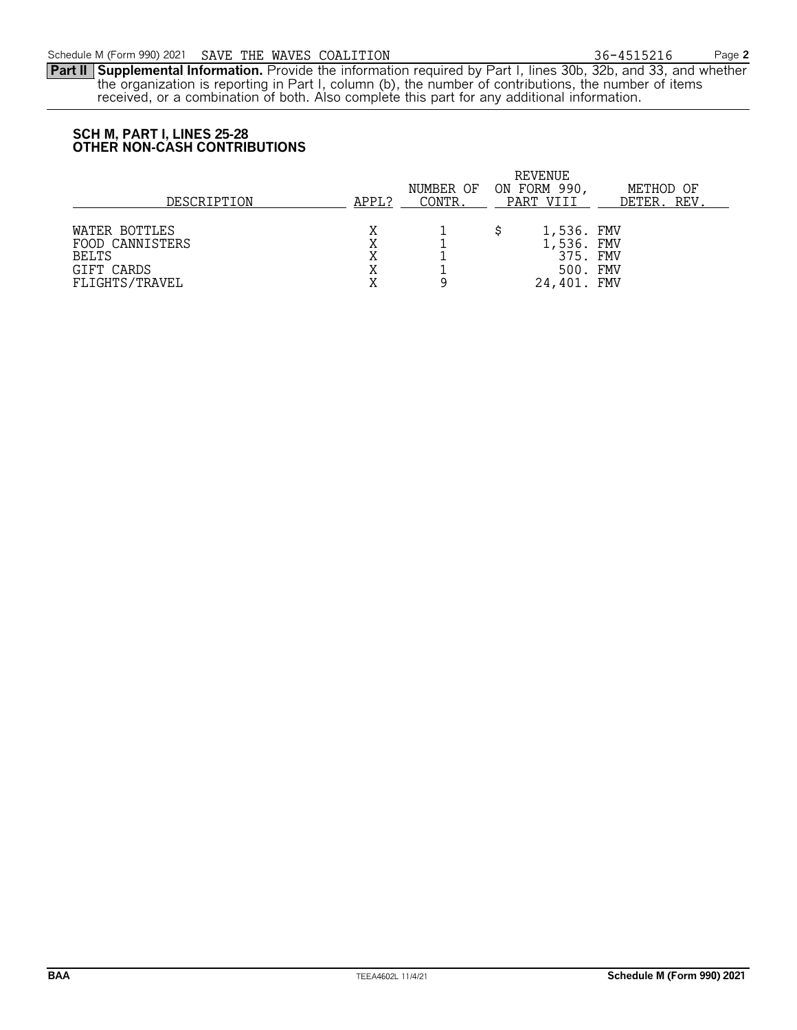**Part II Supplemental Information.** Provide the information required by Part I, lines 30b, 32b, and 33, and whether the organization is reporting in Part I, column (b), the number of contributions, the number of items received, or a combination of both. Also complete this part for any additional information.

# **SCH M, PART I, LINES 25-28 OTHER NON-CASH CONTRIBUTIONS**

| DESCRIPTION                                                                      | APPL?       | NUMBER OF<br>CONTR. | REVENUE<br>ON FORM 990,<br>PART VIII                            | METHOD OF<br><u>DETER. REV</u> |
|----------------------------------------------------------------------------------|-------------|---------------------|-----------------------------------------------------------------|--------------------------------|
| WATER BOTTLES<br>FOOD CANNISTERS<br><b>BELTS</b><br>GIFT CARDS<br>FLIGHTS/TRAVEL | Χ<br>Χ<br>Χ |                     | 1,536. FMV<br>1,536. FMV<br>375. FMV<br>500. FMV<br>24,401. FMV |                                |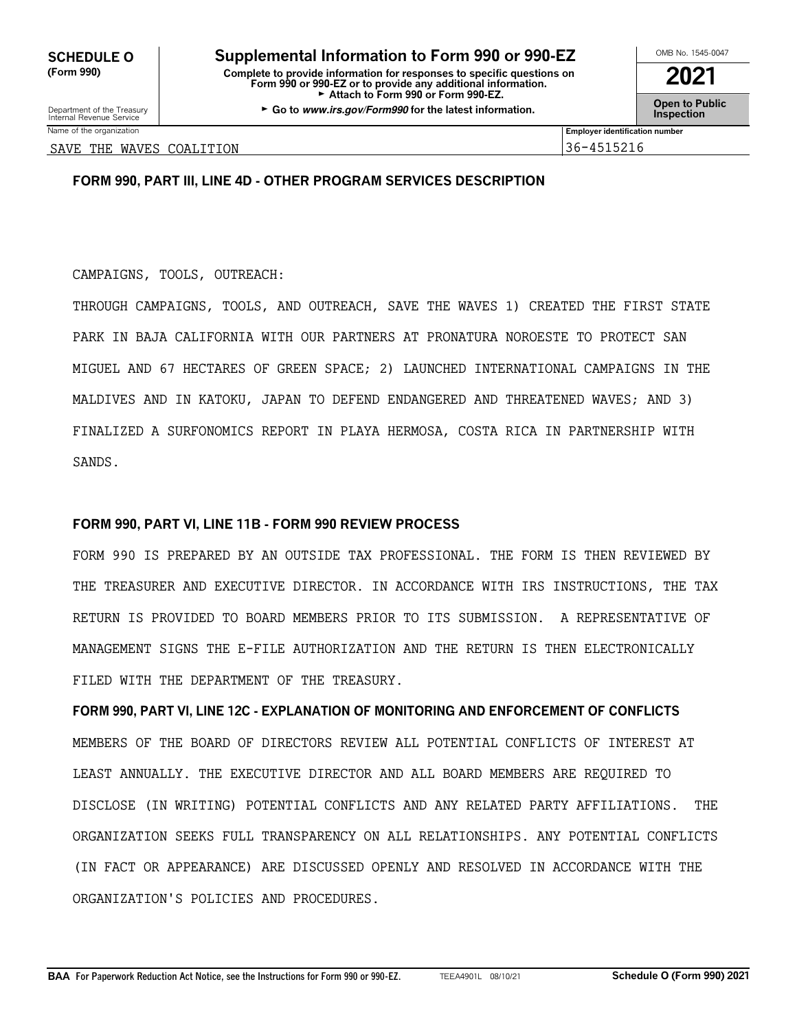**OMB No. 1545-0047 <b>Supplemental Information to Form 990 or 990-EZ (Form 990) Complete to provide information for responses to specific questions on Form 990 or 990-EZ or to provide any additional information. 2021** Attach to Form 990 or Form 990-EZ.

Department of the Treasury **GGO to Sublic**<br>Internal Revenue Service **Inspection**<br>Internal Revenue Service

Name of the organization **Employer identification number Employer identification number** 

SAVE THE WAVES COALITION 36-4515216

# **FORM 990, PART III, LINE 4D - OTHER PROGRAM SERVICES DESCRIPTION**

CAMPAIGNS, TOOLS, OUTREACH:

THROUGH CAMPAIGNS, TOOLS, AND OUTREACH, SAVE THE WAVES 1) CREATED THE FIRST STATE PARK IN BAJA CALIFORNIA WITH OUR PARTNERS AT PRONATURA NOROESTE TO PROTECT SAN MIGUEL AND 67 HECTARES OF GREEN SPACE; 2) LAUNCHED INTERNATIONAL CAMPAIGNS IN THE MALDIVES AND IN KATOKU, JAPAN TO DEFEND ENDANGERED AND THREATENED WAVES; AND 3) FINALIZED A SURFONOMICS REPORT IN PLAYA HERMOSA, COSTA RICA IN PARTNERSHIP WITH SANDS.

# **FORM 990, PART VI, LINE 11B - FORM 990 REVIEW PROCESS**

FORM 990 IS PREPARED BY AN OUTSIDE TAX PROFESSIONAL. THE FORM IS THEN REVIEWED BY THE TREASURER AND EXECUTIVE DIRECTOR. IN ACCORDANCE WITH IRS INSTRUCTIONS, THE TAX RETURN IS PROVIDED TO BOARD MEMBERS PRIOR TO ITS SUBMISSION. A REPRESENTATIVE OF MANAGEMENT SIGNS THE E-FILE AUTHORIZATION AND THE RETURN IS THEN ELECTRONICALLY FILED WITH THE DEPARTMENT OF THE TREASURY.

**FORM 990, PART VI, LINE 12C - EXPLANATION OF MONITORING AND ENFORCEMENT OF CONFLICTS** MEMBERS OF THE BOARD OF DIRECTORS REVIEW ALL POTENTIAL CONFLICTS OF INTEREST AT LEAST ANNUALLY. THE EXECUTIVE DIRECTOR AND ALL BOARD MEMBERS ARE REQUIRED TO DISCLOSE (IN WRITING) POTENTIAL CONFLICTS AND ANY RELATED PARTY AFFILIATIONS. THE ORGANIZATION SEEKS FULL TRANSPARENCY ON ALL RELATIONSHIPS. ANY POTENTIAL CONFLICTS (IN FACT OR APPEARANCE) ARE DISCUSSED OPENLY AND RESOLVED IN ACCORDANCE WITH THE ORGANIZATION'S POLICIES AND PROCEDURES.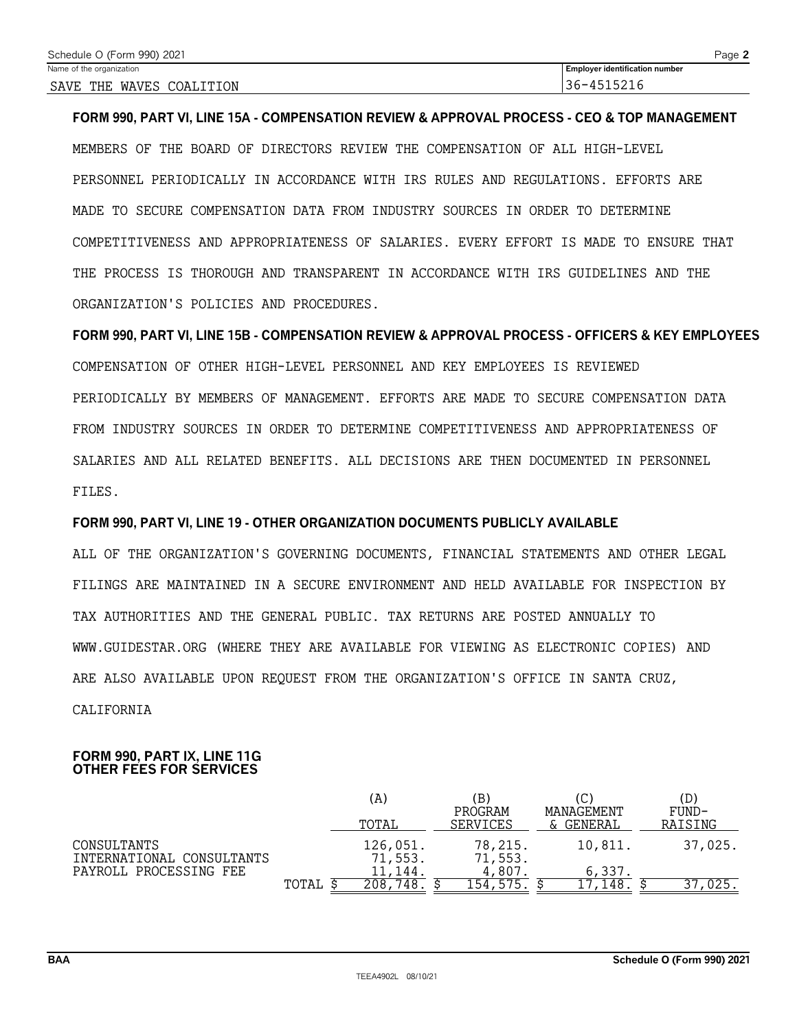**FORM 990, PART VI, LINE 15A - COMPENSATION REVIEW & APPROVAL PROCESS - CEO & TOP MANAGEMENT** MEMBERS OF THE BOARD OF DIRECTORS REVIEW THE COMPENSATION OF ALL HIGH-LEVEL PERSONNEL PERIODICALLY IN ACCORDANCE WITH IRS RULES AND REGULATIONS. EFFORTS ARE MADE TO SECURE COMPENSATION DATA FROM INDUSTRY SOURCES IN ORDER TO DETERMINE COMPETITIVENESS AND APPROPRIATENESS OF SALARIES. EVERY EFFORT IS MADE TO ENSURE THAT THE PROCESS IS THOROUGH AND TRANSPARENT IN ACCORDANCE WITH IRS GUIDELINES AND THE ORGANIZATION'S POLICIES AND PROCEDURES.

**FORM 990, PART VI, LINE 15B - COMPENSATION REVIEW & APPROVAL PROCESS - OFFICERS & KEY EMPLOYEES** COMPENSATION OF OTHER HIGH-LEVEL PERSONNEL AND KEY EMPLOYEES IS REVIEWED PERIODICALLY BY MEMBERS OF MANAGEMENT. EFFORTS ARE MADE TO SECURE COMPENSATION DATA FROM INDUSTRY SOURCES IN ORDER TO DETERMINE COMPETITIVENESS AND APPROPRIATENESS OF SALARIES AND ALL RELATED BENEFITS. ALL DECISIONS ARE THEN DOCUMENTED IN PERSONNEL FILES.

# **FORM 990, PART VI, LINE 19 - OTHER ORGANIZATION DOCUMENTS PUBLICLY AVAILABLE**

ALL OF THE ORGANIZATION'S GOVERNING DOCUMENTS, FINANCIAL STATEMENTS AND OTHER LEGAL FILINGS ARE MAINTAINED IN A SECURE ENVIRONMENT AND HELD AVAILABLE FOR INSPECTION BY TAX AUTHORITIES AND THE GENERAL PUBLIC. TAX RETURNS ARE POSTED ANNUALLY TO WWW.GUIDESTAR.ORG (WHERE THEY ARE AVAILABLE FOR VIEWING AS ELECTRONIC COPIES) AND ARE ALSO AVAILABLE UPON REQUEST FROM THE ORGANIZATION'S OFFICE IN SANTA CRUZ, CALIFORNIA

## **FORM 990, PART IX, LINE 11G OTHER FEES FOR SERVICES**

|                                          |       | (A)                 | ΈB,                 |                              | (D)              |
|------------------------------------------|-------|---------------------|---------------------|------------------------------|------------------|
|                                          |       | TOTAL               | PROGRAM<br>SERVICES | <b>MANAGEMENT</b><br>GENERAL | FUND-<br>RAISING |
| CONSULTANTS<br>INTERNATIONAL CONSULTANTS |       | 126,051.<br>71,553. | 78,215.<br>71,553.  | 10.811.                      | 37,025.          |
| PAYROLL PROCESSING FEE                   |       | 11,144.             | 4,807               | 6,337.                       |                  |
|                                          | TOTAL | '48<br>208.         | 154,575             | 148                          |                  |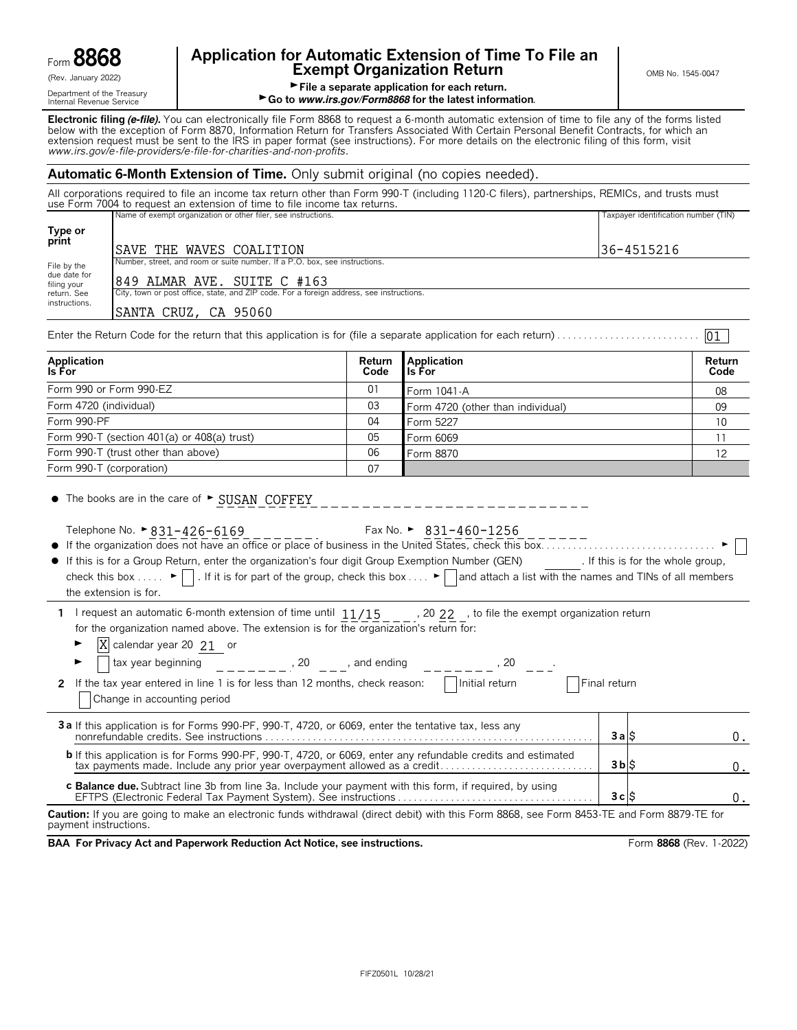|                              | О<br>١,<br>~          |  |
|------------------------------|-----------------------|--|
| $\mathsf{form}\; \mathbf{C}$ | ۱L<br>г<br>I O<br>a i |  |

# **Application for Automatic Extension of Time To File an Exempt Organization Return CONG No. 1545-0047**<br> **Exempt Organization Return**

Griesman, **File a separate application for each return.**<br>
Department of the Treasury<br> **Go to www.irs.gov/Form8868 for the latest inform** ► Go to *www.irs.gov/Form8868* for the latest information.

**Electronic filing (e-file).** You can electronically file Form 8868 to request a 6-month automatic extension of time to file any of the forms listed below with the exception of Form 8870, Information Return for Transfers Associated With Certain Personal Benefit Contracts, for which an<br>extension request must be sent to the IRS in paper format (see instructions). For mor *www.irs.gov/e*-*file*-*providers/e-file-for-charities-and-non-profits*.

# **Automatic 6-Month Extension of Time.** Only submit original (no copies needed).

All corporations required to file an income tax return other than Form 990-T (including 1120-C filers), partnerships, REMICs, and trusts must use Form 7004 to request an extension of time to file income tax returns.

|                                                                                                                          | Name of exempt organization or other filer, see instructions.              | Taxpayer identification number (TIN) |  |  |  |  |
|--------------------------------------------------------------------------------------------------------------------------|----------------------------------------------------------------------------|--------------------------------------|--|--|--|--|
| Type or<br>print                                                                                                         | SAVE THE WAVES COALITION                                                   | 36-4515216                           |  |  |  |  |
| File by the                                                                                                              | Number, street, and room or suite number. If a P.O. box, see instructions. |                                      |  |  |  |  |
| due date for<br>filing your                                                                                              | 849 ALMAR AVE. SUITE C #163                                                |                                      |  |  |  |  |
| City, town or post office, state, and ZIP code. For a foreign address, see instructions.<br>return. See<br>instructions. |                                                                            |                                      |  |  |  |  |
|                                                                                                                          | SANTA CRUZ, CA 95060                                                       |                                      |  |  |  |  |
| 01                                                                                                                       |                                                                            |                                      |  |  |  |  |

| Application<br>Is For                       | Return<br>Code | <b>Application</b><br>l Is For    | Return<br>Code |
|---------------------------------------------|----------------|-----------------------------------|----------------|
| Form 990 or Form 990-EZ                     | 01             | Form 1041-A                       | 08             |
| Form 4720 (individual)                      | 03             | Form 4720 (other than individual) | 09             |
| Form 990-PF                                 | 04             | Form 5227                         | 10             |
| Form 990-T (section 401(a) or 408(a) trust) | 05             | Form 6069                         |                |
| Form 990-T (trust other than above)         | 06             | Form 8870                         | 12             |
| Form 990-T (corporation)                    | 07             |                                   |                |

 $\bullet$  The books are in the care of  $\blacktriangleright$  SUSAN COFFEY

Telephone No.  $\geq 831 - 426 - 6169$ 

Fax No.  $\geq 831-460-1256$ 

\_\_\_\_\_\_\_\_\_\_\_\_\_\_\_\_\_\_

|      |              | .                                                                    | ---<br>----       |   |
|------|--------------|----------------------------------------------------------------------|-------------------|---|
|      |              | _________________                                                    | _________________ |   |
| ● it | organization | n does not have an office or place of business in the United States. | check .           | . |

- ? If this is for a Group Return, enter the organization's four digit Group Exemption Number (GEN) . If this is for the whole group, check this box . . . .  $\blacktriangleright \Box$ . If it is for part of the group, check this box . . .  $\blacktriangleright \Box$  and attach a list with the names and TINs of all members the extension is for.
- **1** I request an automatic 6-month extension of time until  $11/15$ ,  $20$  22, b to file the exempt organization return for the organization named above. The extension is for the organization's return for:
	- $\blacktriangleright$   $\overline{X}$  calendar year 20 21 or

| tax year beginning<br>20<br>and ending                                                                                                                                                          |                |  |
|-------------------------------------------------------------------------------------------------------------------------------------------------------------------------------------------------|----------------|--|
| Initial return<br>2 If the tax year entered in line 1 is for less than 12 months, check reason:<br>Change in accounting period                                                                  | Final return   |  |
| 3 a If this application is for Forms 990-PF, 990-T, 4720, or 6069, enter the tentative tax, less any                                                                                            | 3 a IS         |  |
| <b>b</b> If this application is for Forms 990-PF, 990-T, 4720, or 6069, enter any refundable credits and estimated<br>tax payments made. Include any prior year overpayment allowed as a credit | $3b$ $\upbeta$ |  |
| <b>c Balance due.</b> Subtract line 3b from line 3a. Include your payment with this form, if required, by using                                                                                 | 3clS           |  |
| $- - - -$                                                                                                                                                                                       |                |  |

**Caution:** If you are going to make an electronic funds withdrawal (direct debit) with this Form 8868, see Form 8453-TE and Form 8879-TE for payment instructions.

**BAA For Privacy Act and Paperwork Reduction Act Notice, see instructions. Form 8868 (Rev. 1-2022)**